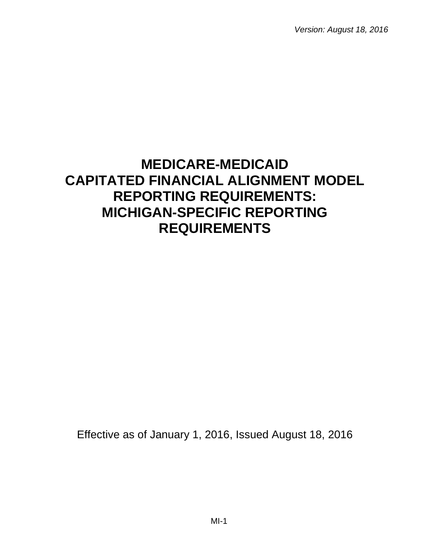*Version: August 18, 2016*

# **MEDICARE-MEDICAID CAPITATED FINANCIAL ALIGNMENT MODEL REPORTING REQUIREMENTS: MICHIGAN-SPECIFIC REPORTING REQUIREMENTS**

Effective as of January 1, 2016, Issued August 18, 2016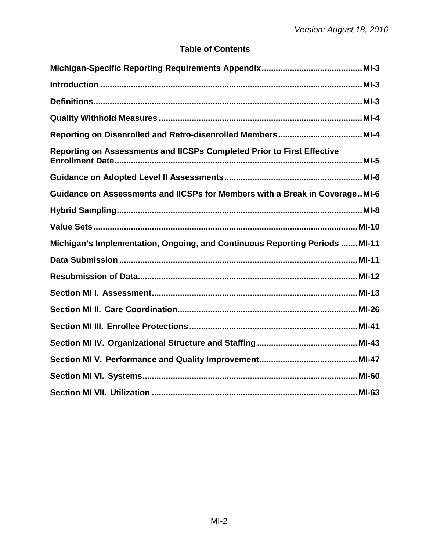# **Table of Contents**

| Reporting on Assessments and IICSPs Completed Prior to First Effective      |
|-----------------------------------------------------------------------------|
|                                                                             |
| Guidance on Assessments and IICSPs for Members with a Break in CoverageMI-6 |
|                                                                             |
|                                                                             |
| Michigan's Implementation, Ongoing, and Continuous Reporting Periods  MI-11 |
|                                                                             |
|                                                                             |
|                                                                             |
|                                                                             |
|                                                                             |
|                                                                             |
|                                                                             |
|                                                                             |
|                                                                             |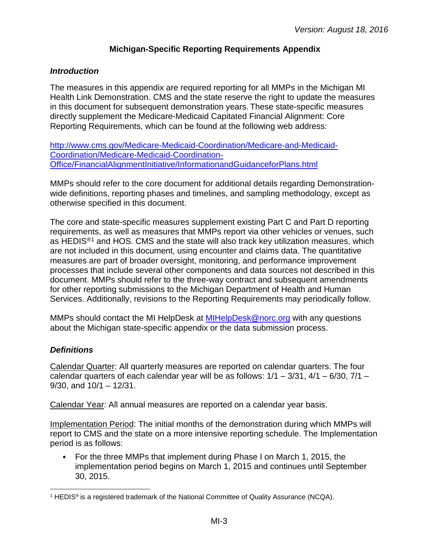# **Michigan-Specific Reporting Requirements Appendix**

#### <span id="page-2-1"></span><span id="page-2-0"></span>*Introduction*

The measures in this appendix are required reporting for all MMPs in the Michigan MI Health Link Demonstration. CMS and the state reserve the right to update the measures in this document for subsequent demonstration years. These state-specific measures directly supplement the Medicare-Medicaid Capitated Financial Alignment: Core Reporting Requirements, which can be found at the following web address:

[http://www.cms.gov/Medicare-Medicaid-Coordination/Medicare-and-Medicaid-](http://www.cms.gov/Medicare-Medicaid-Coordination/Medicare-and-Medicaid-Coordination/Medicare-Medicaid-Coordination-Office/FinancialAlignmentInitiative/InformationandGuidanceforPlans.html)[Coordination/Medicare-Medicaid-Coordination-](http://www.cms.gov/Medicare-Medicaid-Coordination/Medicare-and-Medicaid-Coordination/Medicare-Medicaid-Coordination-Office/FinancialAlignmentInitiative/InformationandGuidanceforPlans.html)[Office/FinancialAlignmentInitiative/InformationandGuidanceforPlans.html](http://www.cms.gov/Medicare-Medicaid-Coordination/Medicare-and-Medicaid-Coordination/Medicare-Medicaid-Coordination-Office/FinancialAlignmentInitiative/InformationandGuidanceforPlans.html)

MMPs should refer to the core document for additional details regarding Demonstrationwide definitions, reporting phases and timelines, and sampling methodology, except as otherwise specified in this document.

The core and state-specific measures supplement existing Part C and Part D reporting requirements, as well as measures that MMPs report via other vehicles or venues, such as HEDIS<sup>®[1](#page-2-3)</sup> and HOS. CMS and the state will also track key utilization measures, which are not included in this document, using encounter and claims data. The quantitative measures are part of broader oversight, monitoring, and performance improvement processes that include several other components and data sources not described in this document. MMPs should refer to the three-way contract and subsequent amendments for other reporting submissions to the Michigan Department of Health and Human Services. Additionally, revisions to the Reporting Requirements may periodically follow.

MMPs should contact the MI HelpDesk at [MIHelpDesk@norc.org](mailto:MIHelpDesk@norc.org) with any questions about the Michigan state-specific appendix or the data submission process.

# <span id="page-2-2"></span>*Definitions*

Calendar Quarter: All quarterly measures are reported on calendar quarters. The four calendar quarters of each calendar year will be as follows:  $1/1 - 3/31$ ,  $4/1 - 6/30$ ,  $7/1 -$ 9/30, and 10/1 – 12/31.

Calendar Year: All annual measures are reported on a calendar year basis.

Implementation Period: The initial months of the demonstration during which MMPs will report to CMS and the state on a more intensive reporting schedule. The Implementation period is as follows:

For the three MMPs that implement during Phase I on March 1, 2015, the implementation period begins on March 1, 2015 and continues until September 30, 2015.

<span id="page-2-3"></span><sup>&</sup>lt;sup>1</sup> HEDIS<sup>®</sup> is a registered trademark of the National Committee of Quality Assurance (NCQA).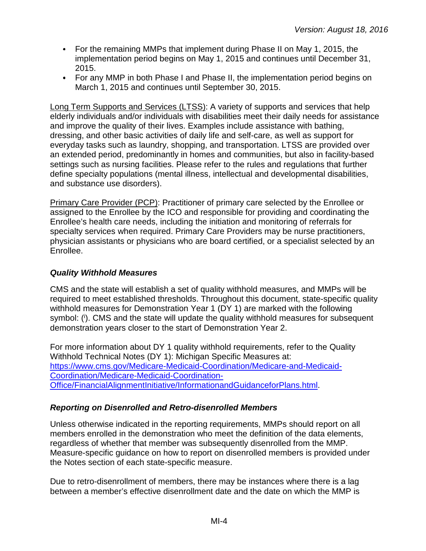- For the remaining MMPs that implement during Phase II on May 1, 2015, the implementation period begins on May 1, 2015 and continues until December 31, 2015.
- For any MMP in both Phase I and Phase II, the implementation period begins on March 1, 2015 and continues until September 30, 2015.

Long Term Supports and Services (LTSS): A variety of supports and services that help elderly individuals and/or individuals with disabilities meet their daily needs for assistance and improve the quality of their lives. Examples include assistance with bathing, dressing, and other basic activities of daily life and self-care, as well as support for everyday tasks such as laundry, shopping, and transportation. LTSS are provided over an extended period, predominantly in homes and communities, but also in facility-based settings such as nursing facilities. Please refer to the rules and regulations that further define specialty populations (mental illness, intellectual and developmental disabilities, and substance use disorders).

Primary Care Provider (PCP): Practitioner of primary care selected by the Enrollee or assigned to the Enrollee by the ICO and responsible for providing and coordinating the Enrollee's health care needs, including the initiation and monitoring of referrals for specialty services when required. Primary Care Providers may be nurse practitioners, physician assistants or physicians who are board certified, or a specialist selected by an Enrollee.

# <span id="page-3-0"></span>*Quality Withhold Measures*

CMS and the state will establish a set of quality withhold measures, and MMPs will be required to meet established thresholds. Throughout this document, state-specific quality withhold measures for Demonstration Year 1 (DY 1) are marked with the following symbol: (i). CMS and the state will update the quality withhold measures for subsequent demonstration years closer to the start of Demonstration Year 2.

For more information about DY 1 quality withhold requirements, refer to the Quality Withhold Technical Notes (DY 1): Michigan Specific Measures at: [https://www.cms.gov/Medicare-Medicaid-Coordination/Medicare-and-Medicaid-](https://www.cms.gov/Medicare-Medicaid-Coordination/Medicare-and-Medicaid-Coordination/Medicare-Medicaid-Coordination-Office/FinancialAlignmentInitiative/InformationandGuidanceforPlans.html)[Coordination/Medicare-Medicaid-Coordination-](https://www.cms.gov/Medicare-Medicaid-Coordination/Medicare-and-Medicaid-Coordination/Medicare-Medicaid-Coordination-Office/FinancialAlignmentInitiative/InformationandGuidanceforPlans.html)[Office/FinancialAlignmentInitiative/InformationandGuidanceforPlans.html.](https://www.cms.gov/Medicare-Medicaid-Coordination/Medicare-and-Medicaid-Coordination/Medicare-Medicaid-Coordination-Office/FinancialAlignmentInitiative/InformationandGuidanceforPlans.html)

# <span id="page-3-1"></span>*Reporting on Disenrolled and Retro-disenrolled Members*

Unless otherwise indicated in the reporting requirements, MMPs should report on all members enrolled in the demonstration who meet the definition of the data elements, regardless of whether that member was subsequently disenrolled from the MMP. Measure-specific guidance on how to report on disenrolled members is provided under the Notes section of each state-specific measure.

Due to retro-disenrollment of members, there may be instances where there is a lag between a member's effective disenrollment date and the date on which the MMP is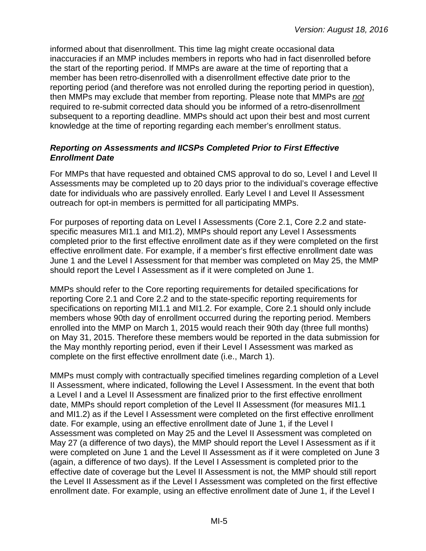informed about that disenrollment. This time lag might create occasional data inaccuracies if an MMP includes members in reports who had in fact disenrolled before the start of the reporting period. If MMPs are aware at the time of reporting that a member has been retro-disenrolled with a disenrollment effective date prior to the reporting period (and therefore was not enrolled during the reporting period in question), then MMPs may exclude that member from reporting. Please note that MMPs are *not* required to re-submit corrected data should you be informed of a retro-disenrollment subsequent to a reporting deadline. MMPs should act upon their best and most current knowledge at the time of reporting regarding each member's enrollment status.

#### <span id="page-4-0"></span>*Reporting on Assessments and IICSPs Completed Prior to First Effective Enrollment Date*

For MMPs that have requested and obtained CMS approval to do so, Level I and Level II Assessments may be completed up to 20 days prior to the individual's coverage effective date for individuals who are passively enrolled. Early Level I and Level II Assessment outreach for opt-in members is permitted for all participating MMPs.

For purposes of reporting data on Level I Assessments (Core 2.1, Core 2.2 and statespecific measures MI1.1 and MI1.2), MMPs should report any Level I Assessments completed prior to the first effective enrollment date as if they were completed on the first effective enrollment date. For example, if a member's first effective enrollment date was June 1 and the Level I Assessment for that member was completed on May 25, the MMP should report the Level I Assessment as if it were completed on June 1.

MMPs should refer to the Core reporting requirements for detailed specifications for reporting Core 2.1 and Core 2.2 and to the state-specific reporting requirements for specifications on reporting MI1.1 and MI1.2. For example, Core 2.1 should only include members whose 90th day of enrollment occurred during the reporting period. Members enrolled into the MMP on March 1, 2015 would reach their 90th day (three full months) on May 31, 2015. Therefore these members would be reported in the data submission for the May monthly reporting period, even if their Level I Assessment was marked as complete on the first effective enrollment date (i.e., March 1).

MMPs must comply with contractually specified timelines regarding completion of a Level II Assessment, where indicated, following the Level I Assessment. In the event that both a Level I and a Level II Assessment are finalized prior to the first effective enrollment date, MMPs should report completion of the Level II Assessment (for measures MI1.1 and MI1.2) as if the Level I Assessment were completed on the first effective enrollment date. For example, using an effective enrollment date of June 1, if the Level I Assessment was completed on May 25 and the Level II Assessment was completed on May 27 (a difference of two days), the MMP should report the Level I Assessment as if it were completed on June 1 and the Level II Assessment as if it were completed on June 3 (again, a difference of two days). If the Level I Assessment is completed prior to the effective date of coverage but the Level II Assessment is not, the MMP should still report the Level II Assessment as if the Level I Assessment was completed on the first effective enrollment date. For example, using an effective enrollment date of June 1, if the Level I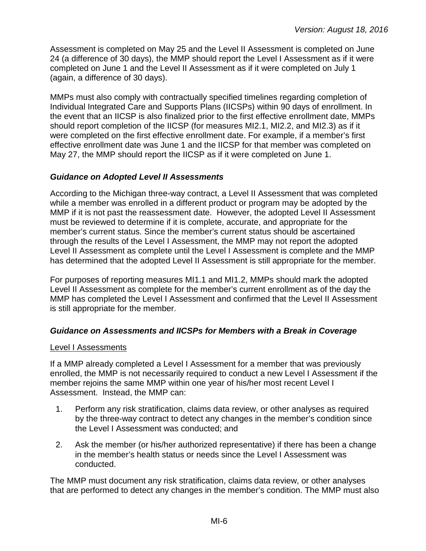Assessment is completed on May 25 and the Level II Assessment is completed on June 24 (a difference of 30 days), the MMP should report the Level I Assessment as if it were completed on June 1 and the Level II Assessment as if it were completed on July 1 (again, a difference of 30 days).

MMPs must also comply with contractually specified timelines regarding completion of Individual Integrated Care and Supports Plans (IICSPs) within 90 days of enrollment. In the event that an IICSP is also finalized prior to the first effective enrollment date, MMPs should report completion of the IICSP (for measures MI2.1, MI2.2, and MI2.3) as if it were completed on the first effective enrollment date. For example, if a member's first effective enrollment date was June 1 and the IICSP for that member was completed on May 27, the MMP should report the IICSP as if it were completed on June 1.

# <span id="page-5-0"></span>*Guidance on Adopted Level II Assessments*

According to the Michigan three-way contract, a Level II Assessment that was completed while a member was enrolled in a different product or program may be adopted by the MMP if it is not past the reassessment date. However, the adopted Level II Assessment must be reviewed to determine if it is complete, accurate, and appropriate for the member's current status. Since the member's current status should be ascertained through the results of the Level I Assessment, the MMP may not report the adopted Level II Assessment as complete until the Level I Assessment is complete and the MMP has determined that the adopted Level II Assessment is still appropriate for the member.

For purposes of reporting measures MI1.1 and MI1.2, MMPs should mark the adopted Level II Assessment as complete for the member's current enrollment as of the day the MMP has completed the Level I Assessment and confirmed that the Level II Assessment is still appropriate for the member.

# <span id="page-5-1"></span>*Guidance on Assessments and IICSPs for Members with a Break in Coverage*

# Level I Assessments

If a MMP already completed a Level I Assessment for a member that was previously enrolled, the MMP is not necessarily required to conduct a new Level I Assessment if the member rejoins the same MMP within one year of his/her most recent Level I Assessment. Instead, the MMP can:

- 1. Perform any risk stratification, claims data review, or other analyses as required by the three-way contract to detect any changes in the member's condition since the Level I Assessment was conducted; and
- 2. Ask the member (or his/her authorized representative) if there has been a change in the member's health status or needs since the Level I Assessment was conducted.

The MMP must document any risk stratification, claims data review, or other analyses that are performed to detect any changes in the member's condition. The MMP must also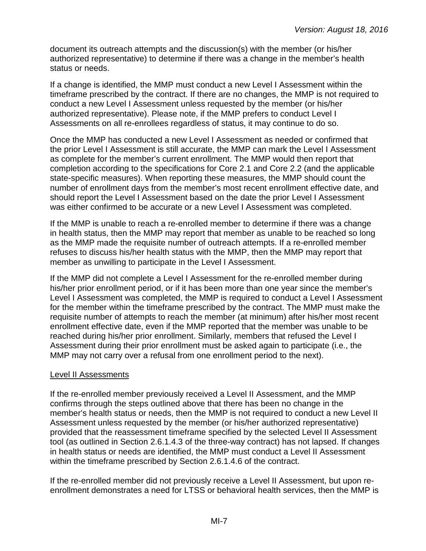document its outreach attempts and the discussion(s) with the member (or his/her authorized representative) to determine if there was a change in the member's health status or needs.

If a change is identified, the MMP must conduct a new Level I Assessment within the timeframe prescribed by the contract. If there are no changes, the MMP is not required to conduct a new Level I Assessment unless requested by the member (or his/her authorized representative). Please note, if the MMP prefers to conduct Level I Assessments on all re-enrollees regardless of status, it may continue to do so.

Once the MMP has conducted a new Level I Assessment as needed or confirmed that the prior Level I Assessment is still accurate, the MMP can mark the Level I Assessment as complete for the member's current enrollment. The MMP would then report that completion according to the specifications for Core 2.1 and Core 2.2 (and the applicable state-specific measures). When reporting these measures, the MMP should count the number of enrollment days from the member's most recent enrollment effective date, and should report the Level I Assessment based on the date the prior Level I Assessment was either confirmed to be accurate or a new Level I Assessment was completed.

If the MMP is unable to reach a re-enrolled member to determine if there was a change in health status, then the MMP may report that member as unable to be reached so long as the MMP made the requisite number of outreach attempts. If a re-enrolled member refuses to discuss his/her health status with the MMP, then the MMP may report that member as unwilling to participate in the Level I Assessment.

If the MMP did not complete a Level I Assessment for the re-enrolled member during his/her prior enrollment period, or if it has been more than one year since the member's Level I Assessment was completed, the MMP is required to conduct a Level I Assessment for the member within the timeframe prescribed by the contract. The MMP must make the requisite number of attempts to reach the member (at minimum) after his/her most recent enrollment effective date, even if the MMP reported that the member was unable to be reached during his/her prior enrollment. Similarly, members that refused the Level I Assessment during their prior enrollment must be asked again to participate (i.e., the MMP may not carry over a refusal from one enrollment period to the next).

# Level II Assessments

If the re-enrolled member previously received a Level II Assessment, and the MMP confirms through the steps outlined above that there has been no change in the member's health status or needs, then the MMP is not required to conduct a new Level II Assessment unless requested by the member (or his/her authorized representative) provided that the reassessment timeframe specified by the selected Level II Assessment tool (as outlined in Section 2.6.1.4.3 of the three-way contract) has not lapsed. If changes in health status or needs are identified, the MMP must conduct a Level II Assessment within the timeframe prescribed by Section 2.6.1.4.6 of the contract.

If the re-enrolled member did not previously receive a Level II Assessment, but upon reenrollment demonstrates a need for LTSS or behavioral health services, then the MMP is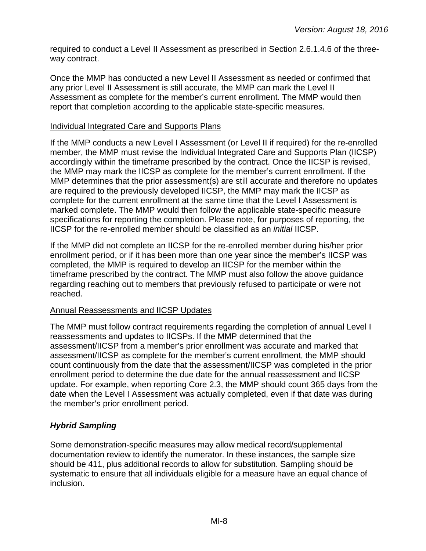required to conduct a Level II Assessment as prescribed in Section 2.6.1.4.6 of the threeway contract.

Once the MMP has conducted a new Level II Assessment as needed or confirmed that any prior Level II Assessment is still accurate, the MMP can mark the Level II Assessment as complete for the member's current enrollment. The MMP would then report that completion according to the applicable state-specific measures.

#### Individual Integrated Care and Supports Plans

If the MMP conducts a new Level I Assessment (or Level II if required) for the re-enrolled member, the MMP must revise the Individual Integrated Care and Supports Plan (IICSP) accordingly within the timeframe prescribed by the contract. Once the IICSP is revised, the MMP may mark the IICSP as complete for the member's current enrollment. If the MMP determines that the prior assessment(s) are still accurate and therefore no updates are required to the previously developed IICSP, the MMP may mark the IICSP as complete for the current enrollment at the same time that the Level I Assessment is marked complete. The MMP would then follow the applicable state-specific measure specifications for reporting the completion. Please note, for purposes of reporting, the IICSP for the re-enrolled member should be classified as an *initial* IICSP.

If the MMP did not complete an IICSP for the re-enrolled member during his/her prior enrollment period, or if it has been more than one year since the member's IICSP was completed, the MMP is required to develop an IICSP for the member within the timeframe prescribed by the contract. The MMP must also follow the above guidance regarding reaching out to members that previously refused to participate or were not reached.

# Annual Reassessments and IICSP Updates

The MMP must follow contract requirements regarding the completion of annual Level I reassessments and updates to IICSPs. If the MMP determined that the assessment/IICSP from a member's prior enrollment was accurate and marked that assessment/IICSP as complete for the member's current enrollment, the MMP should count continuously from the date that the assessment/IICSP was completed in the prior enrollment period to determine the due date for the annual reassessment and IICSP update. For example, when reporting Core 2.3, the MMP should count 365 days from the date when the Level I Assessment was actually completed, even if that date was during the member's prior enrollment period.

# <span id="page-7-0"></span>*Hybrid Sampling*

Some demonstration-specific measures may allow medical record/supplemental documentation review to identify the numerator. In these instances, the sample size should be 411, plus additional records to allow for substitution. Sampling should be systematic to ensure that all individuals eligible for a measure have an equal chance of inclusion.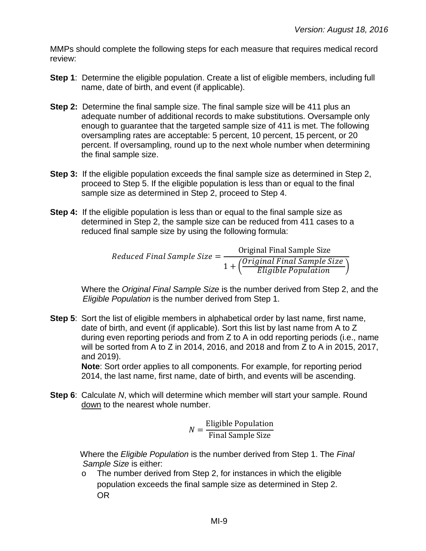MMPs should complete the following steps for each measure that requires medical record review:

- **Step 1:** Determine the eligible population. Create a list of eligible members, including full name, date of birth, and event (if applicable).
- **Step 2:** Determine the final sample size. The final sample size will be 411 plus an adequate number of additional records to make substitutions. Oversample only enough to guarantee that the targeted sample size of 411 is met. The following oversampling rates are acceptable: 5 percent, 10 percent, 15 percent, or 20 percent. If oversampling, round up to the next whole number when determining the final sample size.
- **Step 3:** If the eligible population exceeds the final sample size as determined in Step 2, proceed to Step 5. If the eligible population is less than or equal to the final sample size as determined in Step 2, proceed to Step 4.
- **Step 4:** If the eligible population is less than or equal to the final sample size as determined in Step 2, the sample size can be reduced from 411 cases to a reduced final sample size by using the following formula:

 $Reduced Final Sample Size = \frac{Original Final Sample Size}{(Original Final Sample)}$  $1 + \left(\frac{Original\;Final\;Sample\;Size}{Eligible\; Population}\right)$ 

Where the *Original Final Sample Size* is the number derived from Step 2, and the *Eligible Population* is the number derived from Step 1.

**Step 5:** Sort the list of eligible members in alphabetical order by last name, first name, date of birth, and event (if applicable). Sort this list by last name from A to Z during even reporting periods and from Z to A in odd reporting periods (i.e., name will be sorted from A to Z in 2014, 2016, and 2018 and from Z to A in 2015, 2017, and 2019).

**Note**: Sort order applies to all components. For example, for reporting period 2014, the last name, first name, date of birth, and events will be ascending.

**Step 6**: Calculate *N*, which will determine which member will start your sample. Round down to the nearest whole number.

$$
N = \frac{\text{Eligible Population}}{\text{Final Sample Size}}
$$

Where the *Eligible Population* is the number derived from Step 1. The *Final Sample Size* is either:

o The number derived from Step 2, for instances in which the eligible population exceeds the final sample size as determined in Step 2. OR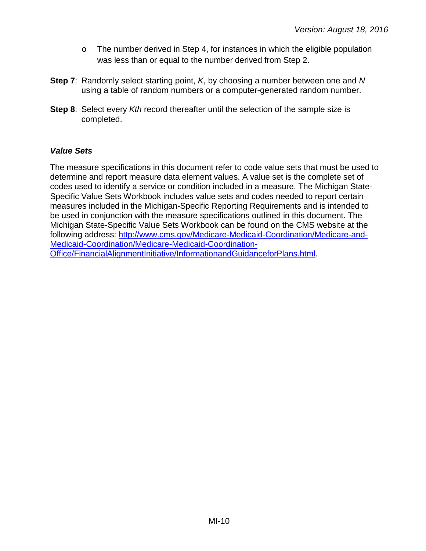- o The number derived in Step 4, for instances in which the eligible population was less than or equal to the number derived from Step 2.
- **Step 7**: Randomly select starting point, *K*, by choosing a number between one and *N* using a table of random numbers or a computer-generated random number.
- **Step 8**: Select every *Kth* record thereafter until the selection of the sample size is completed.

# <span id="page-9-0"></span>*Value Sets*

The measure specifications in this document refer to code value sets that must be used to determine and report measure data element values. A value set is the complete set of codes used to identify a service or condition included in a measure. The Michigan State-Specific Value Sets Workbook includes value sets and codes needed to report certain measures included in the Michigan-Specific Reporting Requirements and is intended to be used in conjunction with the measure specifications outlined in this document. The Michigan State-Specific Value Sets Workbook can be found on the CMS website at the following address: [http://www.cms.gov/Medicare-Medicaid-Coordination/Medicare-and-](http://www.cms.gov/Medicare-Medicaid-Coordination/Medicare-and-Medicaid-Coordination/Medicare-Medicaid-Coordination-Office/FinancialAlignmentInitiative/InformationandGuidanceforPlans.html)[Medicaid-Coordination/Medicare-Medicaid-Coordination-](http://www.cms.gov/Medicare-Medicaid-Coordination/Medicare-and-Medicaid-Coordination/Medicare-Medicaid-Coordination-Office/FinancialAlignmentInitiative/InformationandGuidanceforPlans.html)[Office/FinancialAlignmentInitiative/InformationandGuidanceforPlans.html.](http://www.cms.gov/Medicare-Medicaid-Coordination/Medicare-and-Medicaid-Coordination/Medicare-Medicaid-Coordination-Office/FinancialAlignmentInitiative/InformationandGuidanceforPlans.html)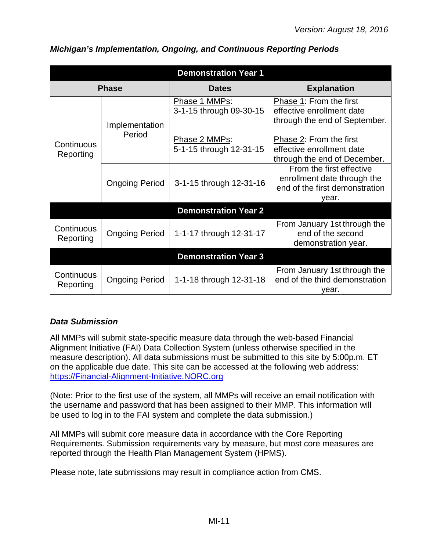| <b>Demonstration Year 1</b> |                       |                                          |                                                                                                    |  |
|-----------------------------|-----------------------|------------------------------------------|----------------------------------------------------------------------------------------------------|--|
|                             | <b>Phase</b>          | <b>Dates</b>                             | <b>Explanation</b>                                                                                 |  |
|                             | Implementation        | Phase 1 MMPs:<br>3-1-15 through 09-30-15 | Phase 1: From the first<br>effective enrollment date<br>through the end of September.              |  |
| Continuous<br>Reporting     | Period                | Phase 2 MMPs:<br>5-1-15 through 12-31-15 | Phase 2: From the first<br>effective enrollment date<br>through the end of December.               |  |
|                             | <b>Ongoing Period</b> | 3-1-15 through 12-31-16                  | From the first effective<br>enrollment date through the<br>end of the first demonstration<br>year. |  |
|                             |                       | <b>Demonstration Year 2</b>              |                                                                                                    |  |
| Continuous<br>Reporting     | <b>Ongoing Period</b> | 1-1-17 through 12-31-17                  | From January 1st through the<br>end of the second<br>demonstration year.                           |  |
| <b>Demonstration Year 3</b> |                       |                                          |                                                                                                    |  |
| Continuous<br>Reporting     | <b>Ongoing Period</b> | 1-1-18 through 12-31-18                  | From January 1st through the<br>end of the third demonstration<br>year.                            |  |

# <span id="page-10-0"></span>*Michigan's Implementation, Ongoing, and Continuous Reporting Periods*

# <span id="page-10-1"></span>*Data Submission*

All MMPs will submit state-specific measure data through the web-based Financial Alignment Initiative (FAI) Data Collection System (unless otherwise specified in the measure description). All data submissions must be submitted to this site by 5:00p.m. ET on the applicable due date. This site can be accessed at the following web address: [https://Financial-Alignment-Initiative.NORC.org](https://financial-alignment-initiative.norc.org/) 

(Note: Prior to the first use of the system, all MMPs will receive an email notification with the username and password that has been assigned to their MMP. This information will be used to log in to the FAI system and complete the data submission.)

All MMPs will submit core measure data in accordance with the Core Reporting Requirements. Submission requirements vary by measure, but most core measures are reported through the Health Plan Management System (HPMS).

Please note, late submissions may result in compliance action from CMS.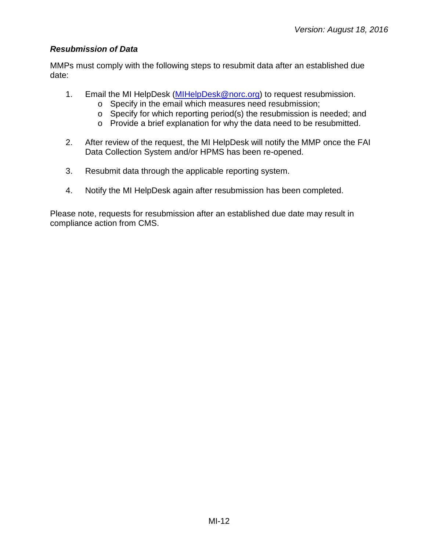#### <span id="page-11-0"></span>*Resubmission of Data*

MMPs must comply with the following steps to resubmit data after an established due date:

- 1. Email the MI HelpDesk [\(MIHelpDesk@norc.org\)](mailto:MIHelpDesk@norc.org) to request resubmission.
	- o Specify in the email which measures need resubmission;
	- o Specify for which reporting period(s) the resubmission is needed; and
	- o Provide a brief explanation for why the data need to be resubmitted.
- 2. After review of the request, the MI HelpDesk will notify the MMP once the FAI Data Collection System and/or HPMS has been re-opened.
- 3. Resubmit data through the applicable reporting system.
- 4. Notify the MI HelpDesk again after resubmission has been completed.

Please note, requests for resubmission after an established due date may result in compliance action from CMS.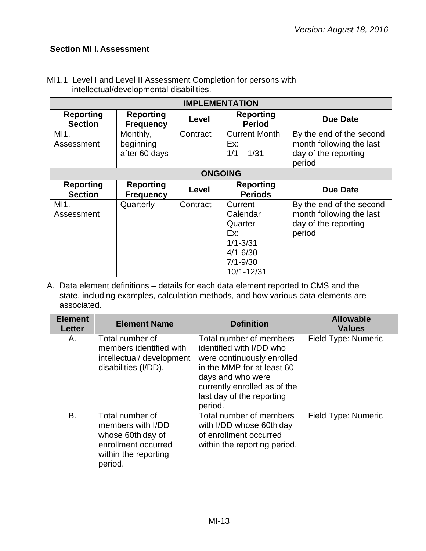# <span id="page-12-0"></span>**Section MI I. Assessment**

| <b>IMPLEMENTATION</b>              |                                        |                |                                                                                                     |                                                                                        |
|------------------------------------|----------------------------------------|----------------|-----------------------------------------------------------------------------------------------------|----------------------------------------------------------------------------------------|
| <b>Reporting</b><br><b>Section</b> | <b>Reporting</b><br><b>Frequency</b>   | Level          | <b>Reporting</b><br><b>Period</b>                                                                   | <b>Due Date</b>                                                                        |
| MI1.<br>Assessment                 | Monthly,<br>beginning<br>after 60 days | Contract       | <b>Current Month</b><br>Ex:<br>$1/1 - 1/31$                                                         | By the end of the second<br>month following the last<br>day of the reporting<br>period |
|                                    |                                        | <b>ONGOING</b> |                                                                                                     |                                                                                        |
| <b>Reporting</b><br><b>Section</b> | <b>Reporting</b><br><b>Frequency</b>   | Level          | <b>Reporting</b><br><b>Periods</b>                                                                  | <b>Due Date</b>                                                                        |
| MI1.<br>Assessment                 | Quarterly                              | Contract       | Current<br>Calendar<br>Quarter<br>Ex:<br>$1/1 - 3/31$<br>$4/1 - 6/30$<br>$7/1 - 9/30$<br>10/1-12/31 | By the end of the second<br>month following the last<br>day of the reporting<br>period |

MI1.1 Level I and Level II Assessment Completion for persons with intellectual/developmental disabilities.

| <b>Element</b><br><b>Letter</b> | <b>Element Name</b>                                                                                                 | <b>Definition</b>                                                                                                                                                                                            | <b>Allowable</b><br><b>Values</b> |
|---------------------------------|---------------------------------------------------------------------------------------------------------------------|--------------------------------------------------------------------------------------------------------------------------------------------------------------------------------------------------------------|-----------------------------------|
| А.                              | Total number of<br>members identified with<br>intellectual/ development<br>disabilities (I/DD).                     | Total number of members<br>identified with I/DD who<br>were continuously enrolled<br>in the MMP for at least 60<br>days and who were<br>currently enrolled as of the<br>last day of the reporting<br>period. | Field Type: Numeric               |
| B.                              | Total number of<br>members with I/DD<br>whose 60th day of<br>enrollment occurred<br>within the reporting<br>period. | Total number of members<br>with I/DD whose 60th day<br>of enrollment occurred<br>within the reporting period.                                                                                                | Field Type: Numeric               |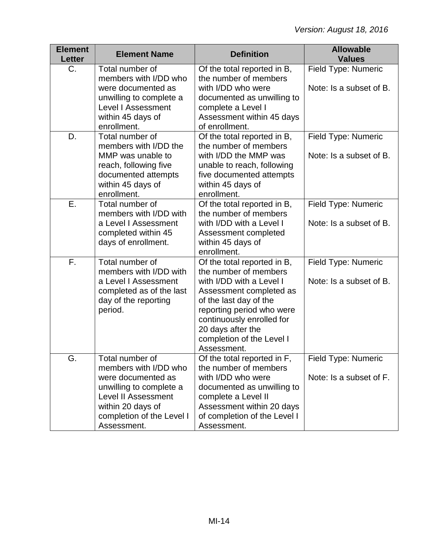| <b>Element</b><br><b>Letter</b> | <b>Element Name</b>                                                                                                                                                                      | <b>Definition</b>                                                                                                                                                                                                                                                | <b>Allowable</b><br><b>Values</b>              |
|---------------------------------|------------------------------------------------------------------------------------------------------------------------------------------------------------------------------------------|------------------------------------------------------------------------------------------------------------------------------------------------------------------------------------------------------------------------------------------------------------------|------------------------------------------------|
| C.                              | Total number of<br>members with I/DD who<br>were documented as<br>unwilling to complete a<br><b>Level I Assessment</b><br>within 45 days of<br>enrollment.                               | Of the total reported in B,<br>the number of members<br>with I/DD who were<br>documented as unwilling to<br>complete a Level I<br>Assessment within 45 days<br>of enrollment.                                                                                    | Field Type: Numeric<br>Note: Is a subset of B. |
| D.                              | Total number of<br>members with I/DD the<br>MMP was unable to<br>reach, following five<br>documented attempts<br>within 45 days of<br>enrollment.                                        | Of the total reported in B,<br>the number of members<br>with I/DD the MMP was<br>unable to reach, following<br>five documented attempts<br>within 45 days of<br>enrollment.                                                                                      | Field Type: Numeric<br>Note: Is a subset of B. |
| Ε.                              | Total number of<br>members with I/DD with<br>a Level I Assessment<br>completed within 45<br>days of enrollment.                                                                          | Of the total reported in B,<br>the number of members<br>with I/DD with a Level I<br>Assessment completed<br>within 45 days of<br>enrollment.                                                                                                                     | Field Type: Numeric<br>Note: Is a subset of B. |
| F.                              | Total number of<br>members with I/DD with<br>a Level I Assessment<br>completed as of the last<br>day of the reporting<br>period.                                                         | Of the total reported in B,<br>the number of members<br>with I/DD with a Level I<br>Assessment completed as<br>of the last day of the<br>reporting period who were<br>continuously enrolled for<br>20 days after the<br>completion of the Level I<br>Assessment. | Field Type: Numeric<br>Note: Is a subset of B. |
| G.                              | Total number of<br>members with I/DD who<br>were documented as<br>unwilling to complete a<br><b>Level II Assessment</b><br>within 20 days of<br>completion of the Level I<br>Assessment. | Of the total reported in F,<br>the number of members<br>with I/DD who were<br>documented as unwilling to<br>complete a Level II<br>Assessment within 20 days<br>of completion of the Level I<br>Assessment.                                                      | Field Type: Numeric<br>Note: Is a subset of F. |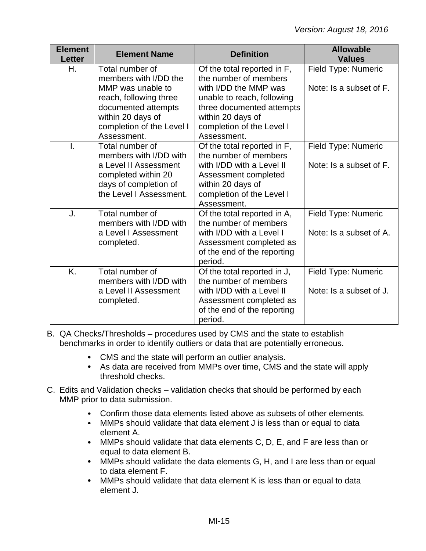| <b>Element</b><br><b>Letter</b> | <b>Element Name</b>                                                                                                                                              | <b>Definition</b>                                                                                                                                                                          | <b>Allowable</b><br><b>Values</b>              |
|---------------------------------|------------------------------------------------------------------------------------------------------------------------------------------------------------------|--------------------------------------------------------------------------------------------------------------------------------------------------------------------------------------------|------------------------------------------------|
| Η.                              | Total number of<br>members with I/DD the<br>MMP was unable to<br>reach, following three<br>documented attempts<br>within 20 days of<br>completion of the Level I | Of the total reported in F,<br>the number of members<br>with I/DD the MMP was<br>unable to reach, following<br>three documented attempts<br>within 20 days of<br>completion of the Level I | Field Type: Numeric<br>Note: Is a subset of F. |
| $\mathbf{I}$                    | Assessment.<br>Total number of<br>members with I/DD with<br>a Level II Assessment<br>completed within 20<br>days of completion of<br>the Level I Assessment.     | Assessment.<br>Of the total reported in F,<br>the number of members<br>with I/DD with a Level II<br>Assessment completed<br>within 20 days of<br>completion of the Level I<br>Assessment.  | Field Type: Numeric<br>Note: Is a subset of F. |
| J.                              | Total number of<br>members with I/DD with<br>a Level I Assessment<br>completed.                                                                                  | Of the total reported in A,<br>the number of members<br>with I/DD with a Level I<br>Assessment completed as<br>of the end of the reporting<br>period.                                      | Field Type: Numeric<br>Note: Is a subset of A. |
| K.                              | Total number of<br>members with I/DD with<br>a Level II Assessment<br>completed.                                                                                 | Of the total reported in J,<br>the number of members<br>with I/DD with a Level II<br>Assessment completed as<br>of the end of the reporting<br>period.                                     | Field Type: Numeric<br>Note: Is a subset of J. |

- B. QA Checks/Thresholds procedures used by CMS and the state to establish benchmarks in order to identify outliers or data that are potentially erroneous.
	- CMS and the state will perform an outlier analysis.
	- As data are received from MMPs over time, CMS and the state will apply threshold checks.
- C. Edits and Validation checks validation checks that should be performed by each MMP prior to data submission.
	- Confirm those data elements listed above as subsets of other elements.  $\bullet$
	- $\bullet$ MMPs should validate that data element J is less than or equal to data element A.
	- $\bullet$ MMPs should validate that data elements C, D, E, and F are less than or equal to data element B.
	- $\bullet$ MMPs should validate the data elements G, H, and I are less than or equal to data element F.
	- $\bullet$ MMPs should validate that data element K is less than or equal to data element J.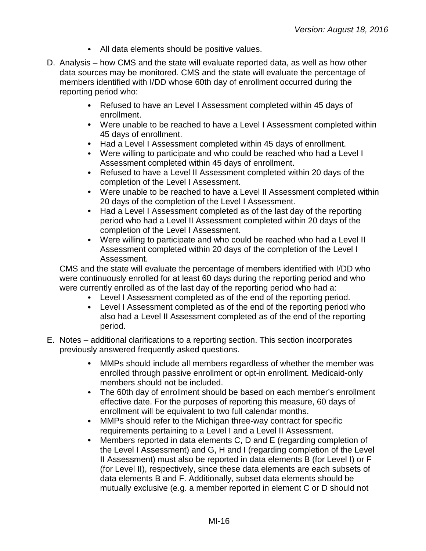- All data elements should be positive values.
- D. Analysis how CMS and the state will evaluate reported data, as well as how other data sources may be monitored. CMS and the state will evaluate the percentage of members identified with I/DD whose 60th day of enrollment occurred during the reporting period who:
	- $\bullet$ Refused to have an Level I Assessment completed within 45 days of enrollment.
	- Were unable to be reached to have a Level I Assessment completed within 45 days of enrollment.
	- Had a Level I Assessment completed within 45 days of enrollment.
	- Were willing to participate and who could be reached who had a Level I Assessment completed within 45 days of enrollment.
	- Refused to have a Level II Assessment completed within 20 days of the completion of the Level I Assessment.
	- Were unable to be reached to have a Level II Assessment completed within 20 days of the completion of the Level I Assessment.
	- $\bullet$ Had a Level I Assessment completed as of the last day of the reporting period who had a Level II Assessment completed within 20 days of the completion of the Level I Assessment.
	- Were willing to participate and who could be reached who had a Level II Assessment completed within 20 days of the completion of the Level I Assessment.

CMS and the state will evaluate the percentage of members identified with I/DD who were continuously enrolled for at least 60 days during the reporting period and who were currently enrolled as of the last day of the reporting period who had a:

- Level I Assessment completed as of the end of the reporting period.
- Level I Assessment completed as of the end of the reporting period who  $\bullet$ also had a Level II Assessment completed as of the end of the reporting period.
- E. Notes additional clarifications to a reporting section. This section incorporates previously answered frequently asked questions.
	- $\bullet$ MMPs should include all members regardless of whether the member was enrolled through passive enrollment or opt-in enrollment. Medicaid-only members should not be included.
	- $\bullet$ The 60th day of enrollment should be based on each member's enrollment effective date. For the purposes of reporting this measure, 60 days of enrollment will be equivalent to two full calendar months.
	- $\bullet$ MMPs should refer to the Michigan three-way contract for specific requirements pertaining to a Level I and a Level II Assessment.
	- Members reported in data elements C, D and E (regarding completion of  $\bullet$ the Level I Assessment) and G, H and I (regarding completion of the Level II Assessment) must also be reported in data elements B (for Level I) or F (for Level II), respectively, since these data elements are each subsets of data elements B and F. Additionally, subset data elements should be mutually exclusive (e.g. a member reported in element C or D should not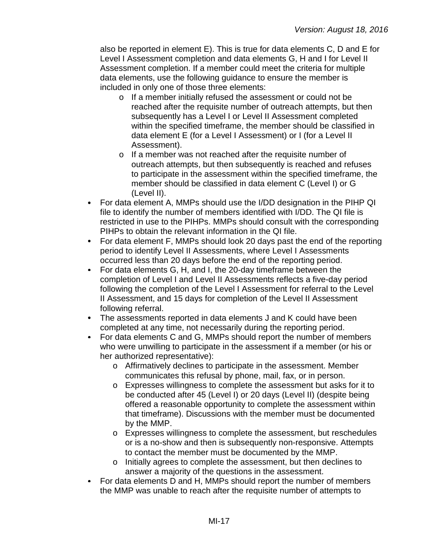also be reported in element E). This is true for data elements C, D and E for Level I Assessment completion and data elements G, H and I for Level II Assessment completion. If a member could meet the criteria for multiple data elements, use the following guidance to ensure the member is included in only one of those three elements:

- o If a member initially refused the assessment or could not be reached after the requisite number of outreach attempts, but then subsequently has a Level I or Level II Assessment completed within the specified timeframe, the member should be classified in data element E (for a Level I Assessment) or I (for a Level II Assessment).
- o If a member was not reached after the requisite number of outreach attempts, but then subsequently is reached and refuses to participate in the assessment within the specified timeframe, the member should be classified in data element C (Level I) or G (Level II).
- For data element A, MMPs should use the I/DD designation in the PIHP QI file to identify the number of members identified with I/DD. The QI file is restricted in use to the PIHPs. MMPs should consult with the corresponding PIHPs to obtain the relevant information in the QI file.
- For data element F, MMPs should look 20 days past the end of the reporting  $\bullet$ period to identify Level II Assessments, where Level I Assessments occurred less than 20 days before the end of the reporting period.
- For data elements G, H, and I, the 20-day timeframe between the  $\bullet$ completion of Level I and Level II Assessments reflects a five-day period following the completion of the Level I Assessment for referral to the Level II Assessment, and 15 days for completion of the Level II Assessment following referral.
- The assessments reported in data elements J and K could have been completed at any time, not necessarily during the reporting period.
- For data elements C and G, MMPs should report the number of members  $\bullet$ who were unwilling to participate in the assessment if a member (or his or her authorized representative):
	- o Affirmatively declines to participate in the assessment. Member communicates this refusal by phone, mail, fax, or in person.
	- o Expresses willingness to complete the assessment but asks for it to be conducted after 45 (Level I) or 20 days (Level II) (despite being offered a reasonable opportunity to complete the assessment within that timeframe). Discussions with the member must be documented by the MMP.
	- o Expresses willingness to complete the assessment, but reschedules or is a no-show and then is subsequently non-responsive. Attempts to contact the member must be documented by the MMP.
	- o Initially agrees to complete the assessment, but then declines to answer a majority of the questions in the assessment.
- For data elements D and H, MMPs should report the number of members the MMP was unable to reach after the requisite number of attempts to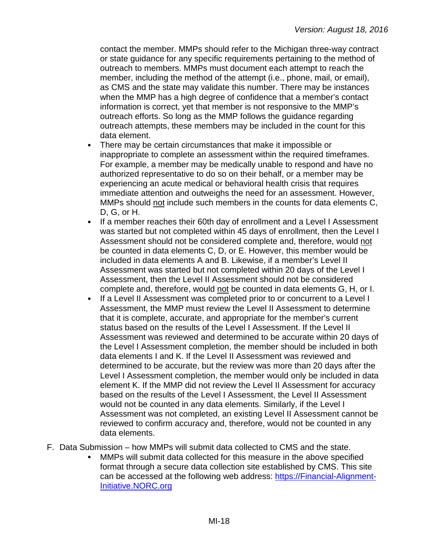contact the member. MMPs should refer to the Michigan three-way contract or state guidance for any specific requirements pertaining to the method of outreach to members. MMPs must document each attempt to reach the member, including the method of the attempt (i.e., phone, mail, or email), as CMS and the state may validate this number. There may be instances when the MMP has a high degree of confidence that a member's contact information is correct, yet that member is not responsive to the MMP's outreach efforts. So long as the MMP follows the guidance regarding outreach attempts, these members may be included in the count for this data element.

- There may be certain circumstances that make it impossible or inappropriate to complete an assessment within the required timeframes. For example, a member may be medically unable to respond and have no authorized representative to do so on their behalf, or a member may be experiencing an acute medical or behavioral health crisis that requires immediate attention and outweighs the need for an assessment. However, MMPs should not include such members in the counts for data elements C, D, G, or H.
- If a member reaches their 60th day of enrollment and a Level I Assessment  $\bullet$ was started but not completed within 45 days of enrollment, then the Level I Assessment should not be considered complete and, therefore, would not be counted in data elements C, D, or E. However, this member would be included in data elements A and B. Likewise, if a member's Level II Assessment was started but not completed within 20 days of the Level I Assessment, then the Level II Assessment should not be considered complete and, therefore, would not be counted in data elements G, H, or I.
- If a Level II Assessment was completed prior to or concurrent to a Level I  $\bullet$ Assessment, the MMP must review the Level II Assessment to determine that it is complete, accurate, and appropriate for the member's current status based on the results of the Level I Assessment. If the Level II Assessment was reviewed and determined to be accurate within 20 days of the Level I Assessment completion, the member should be included in both data elements I and K. If the Level II Assessment was reviewed and determined to be accurate, but the review was more than 20 days after the Level I Assessment completion, the member would only be included in data element K. If the MMP did not review the Level II Assessment for accuracy based on the results of the Level I Assessment, the Level II Assessment would not be counted in any data elements. Similarly, if the Level I Assessment was not completed, an existing Level II Assessment cannot be reviewed to confirm accuracy and, therefore, would not be counted in any data elements.
- F. Data Submission how MMPs will submit data collected to CMS and the state.
	- MMPs will submit data collected for this measure in the above specified format through a secure data collection site established by CMS. This site can be accessed at the following web address: [https://Financial-Alignment-](https://financial-alignment-initiative.norc.org/)[Initiative.NORC.org](https://financial-alignment-initiative.norc.org/)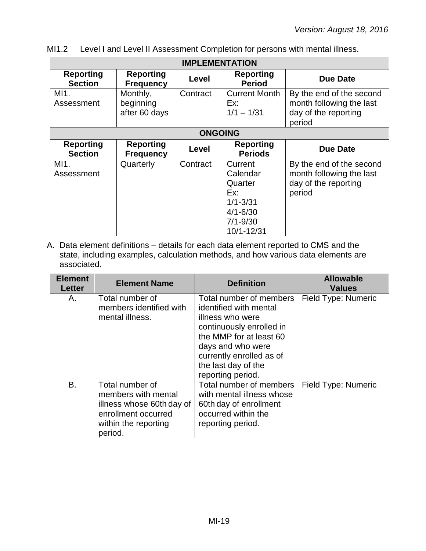MI1.2 Level I and Level II Assessment Completion for persons with mental illness.

| <b>IMPLEMENTATION</b>              |                                        |          |                                                                                                     |                                                                                        |
|------------------------------------|----------------------------------------|----------|-----------------------------------------------------------------------------------------------------|----------------------------------------------------------------------------------------|
| <b>Reporting</b><br><b>Section</b> | <b>Reporting</b><br><b>Frequency</b>   | Level    | <b>Reporting</b><br><b>Period</b>                                                                   | <b>Due Date</b>                                                                        |
| MI1.<br>Assessment                 | Monthly,<br>beginning<br>after 60 days | Contract | <b>Current Month</b><br>Ex:<br>$1/1 - 1/31$                                                         | By the end of the second<br>month following the last<br>day of the reporting<br>period |
|                                    | <b>ONGOING</b>                         |          |                                                                                                     |                                                                                        |
| <b>Reporting</b><br><b>Section</b> | <b>Reporting</b><br><b>Frequency</b>   | Level    | <b>Reporting</b><br><b>Periods</b>                                                                  | Due Date                                                                               |
| MI1.<br>Assessment                 | Quarterly                              | Contract | Current<br>Calendar<br>Quarter<br>Ex:<br>$1/1 - 3/31$<br>$4/1 - 6/30$<br>$7/1 - 9/30$<br>10/1-12/31 | By the end of the second<br>month following the last<br>day of the reporting<br>period |

| <b>Element</b><br><b>Letter</b> | <b>Element Name</b>                                                                                                           | <b>Definition</b>                                                                                                                                                                                                         | <b>Allowable</b><br><b>Values</b> |
|---------------------------------|-------------------------------------------------------------------------------------------------------------------------------|---------------------------------------------------------------------------------------------------------------------------------------------------------------------------------------------------------------------------|-----------------------------------|
| А.                              | Total number of<br>members identified with<br>mental illness.                                                                 | Total number of members<br>identified with mental<br>illness who were<br>continuously enrolled in<br>the MMP for at least 60<br>days and who were<br>currently enrolled as of<br>the last day of the<br>reporting period. | Field Type: Numeric               |
| Β.                              | Total number of<br>members with mental<br>illness whose 60th day of<br>enrollment occurred<br>within the reporting<br>period. | Total number of members<br>with mental illness whose<br>60th day of enrollment<br>occurred within the<br>reporting period.                                                                                                | Field Type: Numeric               |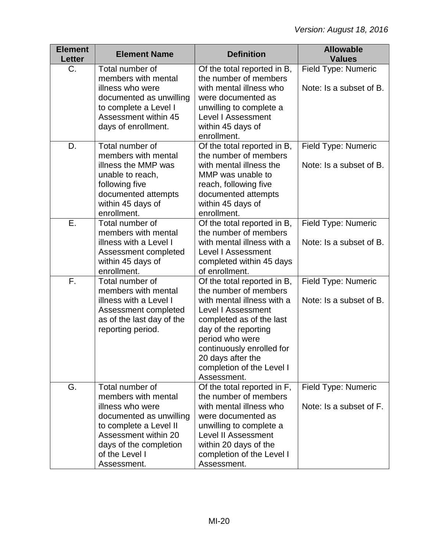| <b>Element</b><br><b>Letter</b> | <b>Element Name</b>                                                                                                                                                                                | <b>Definition</b>                                                                                                                                                                                                                                                             | <b>Allowable</b><br><b>Values</b>              |
|---------------------------------|----------------------------------------------------------------------------------------------------------------------------------------------------------------------------------------------------|-------------------------------------------------------------------------------------------------------------------------------------------------------------------------------------------------------------------------------------------------------------------------------|------------------------------------------------|
| $C_{\cdot}$                     | Total number of<br>members with mental<br>illness who were<br>documented as unwilling<br>to complete a Level I<br>Assessment within 45<br>days of enrollment.                                      | Of the total reported in B,<br>the number of members<br>with mental illness who<br>were documented as<br>unwilling to complete a<br>Level I Assessment<br>within 45 days of<br>enrollment.                                                                                    | Field Type: Numeric<br>Note: Is a subset of B. |
| D.                              | Total number of<br>members with mental<br>illness the MMP was<br>unable to reach,<br>following five<br>documented attempts<br>within 45 days of<br>enrollment.                                     | Of the total reported in B,<br>the number of members<br>with mental illness the<br>MMP was unable to<br>reach, following five<br>documented attempts<br>within 45 days of<br>enrollment.                                                                                      | Field Type: Numeric<br>Note: Is a subset of B. |
| Е.                              | Total number of<br>members with mental<br>illness with a Level I<br>Assessment completed<br>within 45 days of<br>enrollment.                                                                       | Of the total reported in B,<br>the number of members<br>with mental illness with a<br>Level I Assessment<br>completed within 45 days<br>of enrollment.                                                                                                                        | Field Type: Numeric<br>Note: Is a subset of B. |
| F.                              | Total number of<br>members with mental<br>illness with a Level I<br>Assessment completed<br>as of the last day of the<br>reporting period.                                                         | Of the total reported in B,<br>the number of members<br>with mental illness with a<br>Level I Assessment<br>completed as of the last<br>day of the reporting<br>period who were<br>continuously enrolled for<br>20 days after the<br>completion of the Level I<br>Assessment. | Field Type: Numeric<br>Note: Is a subset of B. |
| G.                              | Total number of<br>members with mental<br>illness who were<br>documented as unwilling<br>to complete a Level II<br>Assessment within 20<br>days of the completion<br>of the Level I<br>Assessment. | Of the total reported in F,<br>the number of members<br>with mental illness who<br>were documented as<br>unwilling to complete a<br>Level II Assessment<br>within 20 days of the<br>completion of the Level I<br>Assessment.                                                  | Field Type: Numeric<br>Note: Is a subset of F. |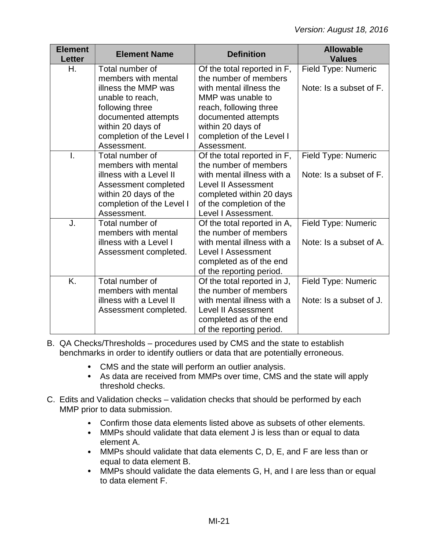| <b>Element</b><br><b>Letter</b> | <b>Element Name</b>                                                                                                                                                                          | <b>Definition</b>                                                                                                                                                                                                      | <b>Allowable</b><br><b>Values</b>              |
|---------------------------------|----------------------------------------------------------------------------------------------------------------------------------------------------------------------------------------------|------------------------------------------------------------------------------------------------------------------------------------------------------------------------------------------------------------------------|------------------------------------------------|
| Η.                              | Total number of<br>members with mental<br>illness the MMP was<br>unable to reach,<br>following three<br>documented attempts<br>within 20 days of<br>completion of the Level I<br>Assessment. | Of the total reported in F,<br>the number of members<br>with mental illness the<br>MMP was unable to<br>reach, following three<br>documented attempts<br>within 20 days of<br>completion of the Level I<br>Assessment. | Field Type: Numeric<br>Note: Is a subset of F. |
| I.                              | Total number of<br>members with mental<br>illness with a Level II<br>Assessment completed<br>within 20 days of the<br>completion of the Level I<br>Assessment.                               | Of the total reported in F,<br>the number of members<br>with mental illness with a<br><b>Level II Assessment</b><br>completed within 20 days<br>of the completion of the<br>Level I Assessment.                        | Field Type: Numeric<br>Note: Is a subset of F. |
| J.                              | Total number of<br>members with mental<br>illness with a Level I<br>Assessment completed.                                                                                                    | Of the total reported in A,<br>the number of members<br>with mental illness with a<br><b>Level I Assessment</b><br>completed as of the end<br>of the reporting period.                                                 | Field Type: Numeric<br>Note: Is a subset of A. |
| K.                              | Total number of<br>members with mental<br>illness with a Level II<br>Assessment completed.                                                                                                   | Of the total reported in J,<br>the number of members<br>with mental illness with a<br><b>Level II Assessment</b><br>completed as of the end<br>of the reporting period.                                                | Field Type: Numeric<br>Note: Is a subset of J. |

- B. QA Checks/Thresholds procedures used by CMS and the state to establish benchmarks in order to identify outliers or data that are potentially erroneous.
	- CMS and the state will perform an outlier analysis.
	- As data are received from MMPs over time, CMS and the state will apply threshold checks.
- C. Edits and Validation checks validation checks that should be performed by each MMP prior to data submission.
	- Confirm those data elements listed above as subsets of other elements.  $\bullet$
	- MMPs should validate that data element J is less than or equal to data element A.
	- MMPs should validate that data elements C, D, E, and F are less than or equal to data element B.
	- MMPs should validate the data elements G, H, and I are less than or equal to data element F.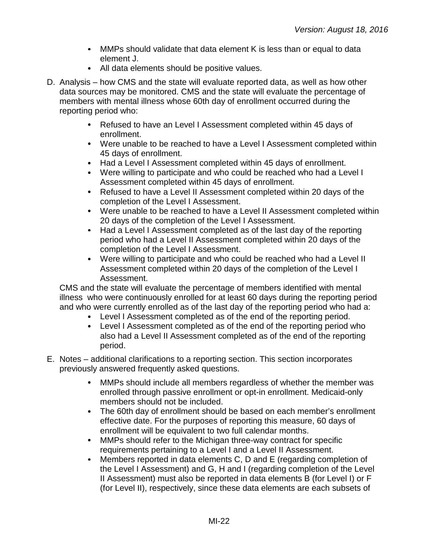- MMPs should validate that data element K is less than or equal to data element J.
- All data elements should be positive values.
- D. Analysis how CMS and the state will evaluate reported data, as well as how other data sources may be monitored. CMS and the state will evaluate the percentage of members with mental illness whose 60th day of enrollment occurred during the reporting period who:
	- Refused to have an Level I Assessment completed within 45 days of enrollment.
	- Were unable to be reached to have a Level I Assessment completed within 45 days of enrollment.
	- Had a Level I Assessment completed within 45 days of enrollment.
	- Were willing to participate and who could be reached who had a Level I Assessment completed within 45 days of enrollment.
	- Refused to have a Level II Assessment completed within 20 days of the completion of the Level I Assessment.
	- Were unable to be reached to have a Level II Assessment completed within 20 days of the completion of the Level I Assessment.
	- Had a Level I Assessment completed as of the last day of the reporting period who had a Level II Assessment completed within 20 days of the completion of the Level I Assessment.
	- Were willing to participate and who could be reached who had a Level II Assessment completed within 20 days of the completion of the Level I Assessment.

CMS and the state will evaluate the percentage of members identified with mental illness who were continuously enrolled for at least 60 days during the reporting period and who were currently enrolled as of the last day of the reporting period who had a:

- Level I Assessment completed as of the end of the reporting period.
- Level I Assessment completed as of the end of the reporting period who also had a Level II Assessment completed as of the end of the reporting period.
- E. Notes additional clarifications to a reporting section. This section incorporates previously answered frequently asked questions.
	- MMPs should include all members regardless of whether the member was  $\bullet$ enrolled through passive enrollment or opt-in enrollment. Medicaid-only members should not be included.
	- The 60th day of enrollment should be based on each member's enrollment effective date. For the purposes of reporting this measure, 60 days of enrollment will be equivalent to two full calendar months.
	- MMPs should refer to the Michigan three-way contract for specific  $\bullet$ requirements pertaining to a Level I and a Level II Assessment.
	- $\bullet$ Members reported in data elements C, D and E (regarding completion of the Level I Assessment) and G, H and I (regarding completion of the Level II Assessment) must also be reported in data elements B (for Level I) or F (for Level II), respectively, since these data elements are each subsets of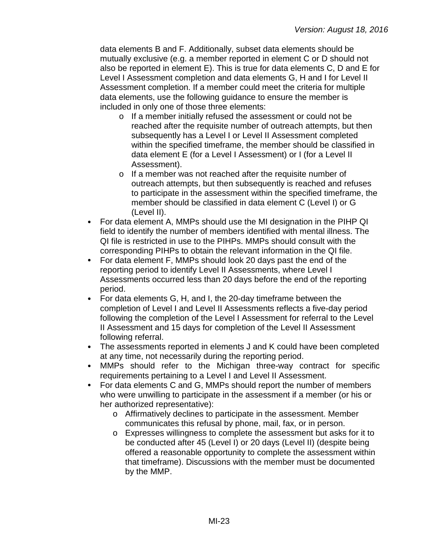data elements B and F. Additionally, subset data elements should be mutually exclusive (e.g. a member reported in element C or D should not also be reported in element E). This is true for data elements C, D and E for Level I Assessment completion and data elements G, H and I for Level II Assessment completion. If a member could meet the criteria for multiple data elements, use the following guidance to ensure the member is included in only one of those three elements:

- o If a member initially refused the assessment or could not be reached after the requisite number of outreach attempts, but then subsequently has a Level I or Level II Assessment completed within the specified timeframe, the member should be classified in data element E (for a Level I Assessment) or I (for a Level II Assessment).
- o If a member was not reached after the requisite number of outreach attempts, but then subsequently is reached and refuses to participate in the assessment within the specified timeframe, the member should be classified in data element C (Level I) or G (Level II).
- For data element A, MMPs should use the MI designation in the PIHP QI  $\bullet$ field to identify the number of members identified with mental illness. The QI file is restricted in use to the PIHPs. MMPs should consult with the corresponding PIHPs to obtain the relevant information in the QI file.
- For data element F, MMPs should look 20 days past the end of the reporting period to identify Level II Assessments, where Level I Assessments occurred less than 20 days before the end of the reporting period.
- For data elements G, H, and I, the 20-day timeframe between the completion of Level I and Level II Assessments reflects a five-day period following the completion of the Level I Assessment for referral to the Level II Assessment and 15 days for completion of the Level II Assessment following referral.
- The assessments reported in elements J and K could have been completed at any time, not necessarily during the reporting period.
- MMPs should refer to the Michigan three-way contract for specific  $\bullet$ requirements pertaining to a Level I and Level II Assessment.
- For data elements C and G, MMPs should report the number of members  $\bullet$ who were unwilling to participate in the assessment if a member (or his or her authorized representative):
	- o Affirmatively declines to participate in the assessment. Member communicates this refusal by phone, mail, fax, or in person.
	- o Expresses willingness to complete the assessment but asks for it to be conducted after 45 (Level I) or 20 days (Level II) (despite being offered a reasonable opportunity to complete the assessment within that timeframe). Discussions with the member must be documented by the MMP.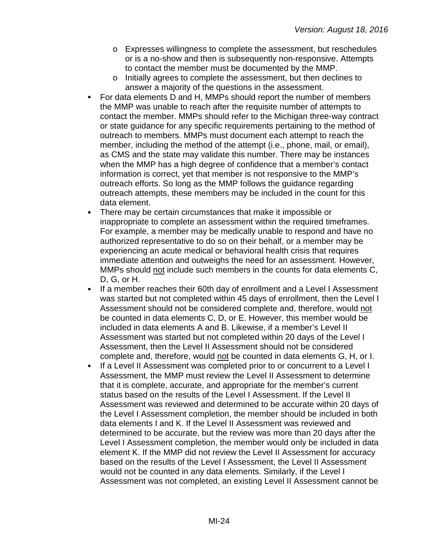- o Expresses willingness to complete the assessment, but reschedules or is a no-show and then is subsequently non-responsive. Attempts to contact the member must be documented by the MMP.
- o Initially agrees to complete the assessment, but then declines to answer a majority of the questions in the assessment.
- For data elements D and H, MMPs should report the number of members  $\bullet$ the MMP was unable to reach after the requisite number of attempts to contact the member. MMPs should refer to the Michigan three-way contract or state guidance for any specific requirements pertaining to the method of outreach to members. MMPs must document each attempt to reach the member, including the method of the attempt (i.e., phone, mail, or email), as CMS and the state may validate this number. There may be instances when the MMP has a high degree of confidence that a member's contact information is correct, yet that member is not responsive to the MMP's outreach efforts. So long as the MMP follows the guidance regarding outreach attempts, these members may be included in the count for this data element.
- There may be certain circumstances that make it impossible or  $\bullet$ inappropriate to complete an assessment within the required timeframes. For example, a member may be medically unable to respond and have no authorized representative to do so on their behalf, or a member may be experiencing an acute medical or behavioral health crisis that requires immediate attention and outweighs the need for an assessment. However, MMPs should not include such members in the counts for data elements C, D, G, or H.
- $\bullet$ If a member reaches their 60th day of enrollment and a Level I Assessment was started but not completed within 45 days of enrollment, then the Level I Assessment should not be considered complete and, therefore, would not be counted in data elements C, D, or E. However, this member would be included in data elements A and B. Likewise, if a member's Level II Assessment was started but not completed within 20 days of the Level I Assessment, then the Level II Assessment should not be considered complete and, therefore, would not be counted in data elements G, H, or I.
- If a Level II Assessment was completed prior to or concurrent to a Level I  $\bullet$ Assessment, the MMP must review the Level II Assessment to determine that it is complete, accurate, and appropriate for the member's current status based on the results of the Level I Assessment. If the Level II Assessment was reviewed and determined to be accurate within 20 days of the Level I Assessment completion, the member should be included in both data elements I and K. If the Level II Assessment was reviewed and determined to be accurate, but the review was more than 20 days after the Level I Assessment completion, the member would only be included in data element K. If the MMP did not review the Level II Assessment for accuracy based on the results of the Level I Assessment, the Level II Assessment would not be counted in any data elements. Similarly, if the Level I Assessment was not completed, an existing Level II Assessment cannot be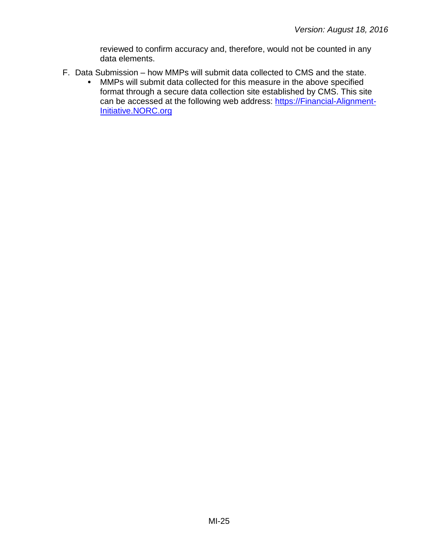reviewed to confirm accuracy and, therefore, would not be counted in any data elements.

- F. Data Submission how MMPs will submit data collected to CMS and the state.
	- MMPs will submit data collected for this measure in the above specified  $\bullet$ format through a secure data collection site established by CMS. This site can be accessed at the following web address: [https://Financial-Alignment-](https://financial-alignment-initiative.norc.org/)[Initiative.NORC.org](https://financial-alignment-initiative.norc.org/)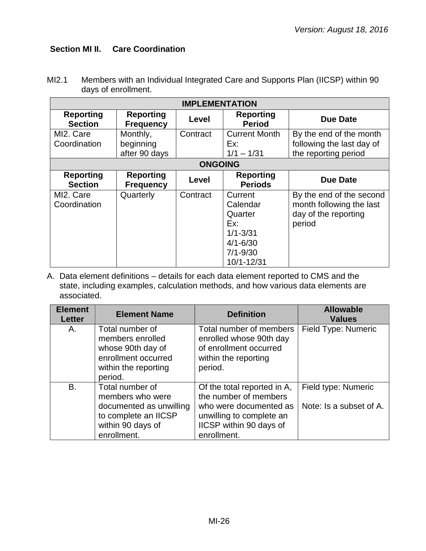# <span id="page-25-0"></span>**Section MI II. Care Coordination**

| MI2.1 | Members with an Individual Integrated Care and Supports Plan (IICSP) within 90<br>days of enrollment.<br><b>IMPI EMENTATION</b> |
|-------|---------------------------------------------------------------------------------------------------------------------------------|
|       |                                                                                                                                 |

| <b>IMPLEMENTATION</b>              |                                      |                |                                    |                           |
|------------------------------------|--------------------------------------|----------------|------------------------------------|---------------------------|
| <b>Reporting</b><br><b>Section</b> | <b>Reporting</b><br><b>Frequency</b> | Level          | <b>Reporting</b><br><b>Period</b>  | <b>Due Date</b>           |
| MI2. Care                          | Monthly,                             | Contract       | <b>Current Month</b>               | By the end of the month   |
| Coordination                       | beginning                            |                | Ex:                                | following the last day of |
|                                    | after 90 days                        |                | $1/1 - 1/31$                       | the reporting period      |
|                                    |                                      | <b>ONGOING</b> |                                    |                           |
| <b>Reporting</b><br><b>Section</b> | <b>Reporting</b><br><b>Frequency</b> | Level          | <b>Reporting</b><br><b>Periods</b> | <b>Due Date</b>           |
| MI2. Care                          | Quarterly                            | Contract       | Current                            | By the end of the second  |
| Coordination                       |                                      |                | Calendar                           | month following the last  |
|                                    |                                      |                | Quarter                            | day of the reporting      |
|                                    |                                      |                | Ex:                                | period                    |
|                                    |                                      |                | $1/1 - 3/31$                       |                           |
|                                    |                                      |                | $4/1 - 6/30$                       |                           |
|                                    |                                      |                | $7/1 - 9/30$                       |                           |
|                                    |                                      |                | 10/1-12/31                         |                           |

| <b>Element</b><br><b>Letter</b> | <b>Element Name</b>                                                                                                        | <b>Definition</b>                                                                                                                                    |                                                |
|---------------------------------|----------------------------------------------------------------------------------------------------------------------------|------------------------------------------------------------------------------------------------------------------------------------------------------|------------------------------------------------|
| А.                              | Total number of<br>members enrolled<br>whose 90th day of<br>enrollment occurred<br>within the reporting<br>period.         | Total number of members<br>enrolled whose 90th day<br>of enrollment occurred<br>within the reporting<br>period.                                      | Field Type: Numeric                            |
| <b>B.</b>                       | Total number of<br>members who were<br>documented as unwilling<br>to complete an IICSP<br>within 90 days of<br>enrollment. | Of the total reported in A,<br>the number of members<br>who were documented as<br>unwilling to complete an<br>IICSP within 90 days of<br>enrollment. | Field type: Numeric<br>Note: Is a subset of A. |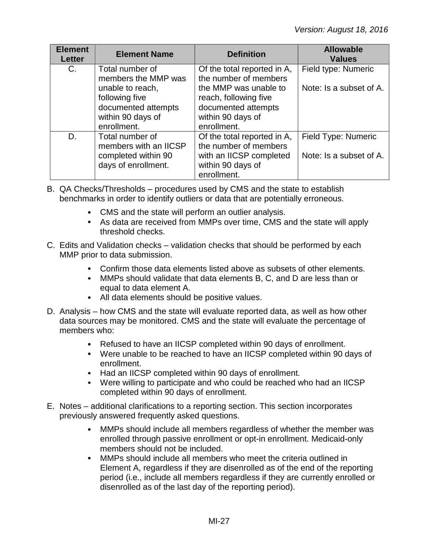| <b>Element</b><br><b>Letter</b> | <b>Element Name</b>                                                                           | <b>Definition</b>                                                                                                   | <b>Allowable</b><br><b>Values</b>              |
|---------------------------------|-----------------------------------------------------------------------------------------------|---------------------------------------------------------------------------------------------------------------------|------------------------------------------------|
| C.                              | Total number of<br>members the MMP was                                                        | Of the total reported in A,<br>the number of members                                                                | Field type: Numeric                            |
|                                 | unable to reach,<br>following five<br>documented attempts<br>within 90 days of<br>enrollment. | the MMP was unable to<br>reach, following five<br>documented attempts<br>within 90 days of<br>enrollment.           | Note: Is a subset of A.                        |
| D.                              | Total number of<br>members with an IICSP<br>completed within 90<br>days of enrollment.        | Of the total reported in A,<br>the number of members<br>with an IICSP completed<br>within 90 days of<br>enrollment. | Field Type: Numeric<br>Note: Is a subset of A. |

- B. QA Checks/Thresholds procedures used by CMS and the state to establish benchmarks in order to identify outliers or data that are potentially erroneous.
	- CMS and the state will perform an outlier analysis.
	- As data are received from MMPs over time, CMS and the state will apply threshold checks.
- C. Edits and Validation checks validation checks that should be performed by each MMP prior to data submission.
	- Confirm those data elements listed above as subsets of other elements.
	- MMPs should validate that data elements B, C, and D are less than or equal to data element A.
	- All data elements should be positive values.
- D. Analysis how CMS and the state will evaluate reported data, as well as how other data sources may be monitored. CMS and the state will evaluate the percentage of members who:
	- Refused to have an IICSP completed within 90 days of enrollment.
	- Were unable to be reached to have an IICSP completed within 90 days of enrollment.
	- Had an IICSP completed within 90 days of enrollment.
	- Were willing to participate and who could be reached who had an IICSP completed within 90 days of enrollment.
- E. Notes additional clarifications to a reporting section. This section incorporates previously answered frequently asked questions.
	- MMPs should include all members regardless of whether the member was  $\bullet$ enrolled through passive enrollment or opt-in enrollment. Medicaid-only members should not be included.
	- MMPs should include all members who meet the criteria outlined in  $\bullet$ Element A, regardless if they are disenrolled as of the end of the reporting period (i.e., include all members regardless if they are currently enrolled or disenrolled as of the last day of the reporting period).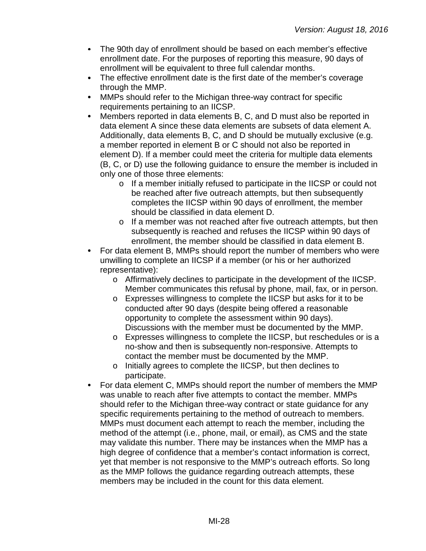- $\bullet$ The 90th day of enrollment should be based on each member's effective enrollment date. For the purposes of reporting this measure, 90 days of enrollment will be equivalent to three full calendar months.
- The effective enrollment date is the first date of the member's coverage through the MMP.
- $\bullet$ MMPs should refer to the Michigan three-way contract for specific requirements pertaining to an IICSP.
- Members reported in data elements B, C, and D must also be reported in  $\bullet$ data element A since these data elements are subsets of data element A. Additionally, data elements B, C, and D should be mutually exclusive (e.g. a member reported in element B or C should not also be reported in element D). If a member could meet the criteria for multiple data elements (B, C, or D) use the following guidance to ensure the member is included in only one of those three elements:
	- o If a member initially refused to participate in the IICSP or could not be reached after five outreach attempts, but then subsequently completes the IICSP within 90 days of enrollment, the member should be classified in data element D.
	- o If a member was not reached after five outreach attempts, but then subsequently is reached and refuses the IICSP within 90 days of enrollment, the member should be classified in data element B.
- For data element B, MMPs should report the number of members who were  $\bullet$ unwilling to complete an IICSP if a member (or his or her authorized representative):
	- o Affirmatively declines to participate in the development of the IICSP. Member communicates this refusal by phone, mail, fax, or in person.
	- o Expresses willingness to complete the IICSP but asks for it to be conducted after 90 days (despite being offered a reasonable opportunity to complete the assessment within 90 days). Discussions with the member must be documented by the MMP.
	- o Expresses willingness to complete the IICSP, but reschedules or is a no-show and then is subsequently non-responsive. Attempts to contact the member must be documented by the MMP.
	- o Initially agrees to complete the IICSP, but then declines to participate.
- For data element C, MMPs should report the number of members the MMP was unable to reach after five attempts to contact the member. MMPs should refer to the Michigan three-way contract or state guidance for any specific requirements pertaining to the method of outreach to members. MMPs must document each attempt to reach the member, including the method of the attempt (i.e., phone, mail, or email), as CMS and the state may validate this number. There may be instances when the MMP has a high degree of confidence that a member's contact information is correct, yet that member is not responsive to the MMP's outreach efforts. So long as the MMP follows the guidance regarding outreach attempts, these members may be included in the count for this data element.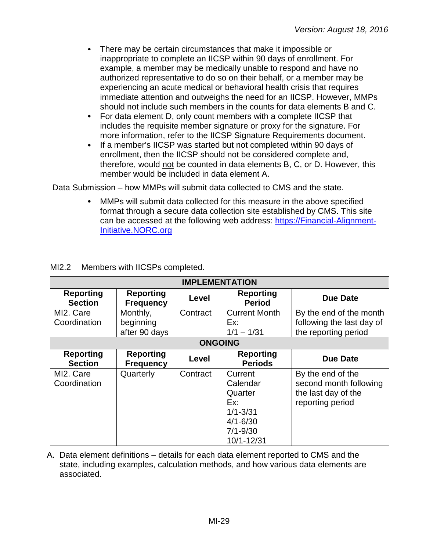- $\bullet$ There may be certain circumstances that make it impossible or inappropriate to complete an IICSP within 90 days of enrollment. For example, a member may be medically unable to respond and have no authorized representative to do so on their behalf, or a member may be experiencing an acute medical or behavioral health crisis that requires immediate attention and outweighs the need for an IICSP. However, MMPs should not include such members in the counts for data elements B and C.
- For data element D, only count members with a complete IICSP that  $\bullet$ includes the requisite member signature or proxy for the signature. For more information, refer to the IICSP Signature Requirements document.
- If a member's IICSP was started but not completed within 90 days of  $\bullet$ enrollment, then the IICSP should not be considered complete and, therefore, would not be counted in data elements B, C, or D. However, this member would be included in data element A.

Data Submission – how MMPs will submit data collected to CMS and the state.

MMPs will submit data collected for this measure in the above specified format through a secure data collection site established by CMS. This site can be accessed at the following web address: [https://Financial-Alignment-](https://financial-alignment-initiative.norc.org/)[Initiative.NORC.org](https://financial-alignment-initiative.norc.org/)

| <b>IMPLEMENTATION</b>              |                                        |                |                                                                                                     |                                                                                        |
|------------------------------------|----------------------------------------|----------------|-----------------------------------------------------------------------------------------------------|----------------------------------------------------------------------------------------|
| <b>Reporting</b><br><b>Section</b> | <b>Reporting</b><br><b>Frequency</b>   | Level          | <b>Reporting</b><br><b>Period</b>                                                                   | <b>Due Date</b>                                                                        |
| MI2. Care<br>Coordination          | Monthly,<br>beginning<br>after 90 days | Contract       | <b>Current Month</b><br>Ex:<br>$1/1 - 1/31$                                                         | By the end of the month<br>following the last day of<br>the reporting period           |
|                                    |                                        | <b>ONGOING</b> |                                                                                                     |                                                                                        |
| <b>Reporting</b><br><b>Section</b> | <b>Reporting</b><br><b>Frequency</b>   | Level          | <b>Reporting</b><br><b>Periods</b>                                                                  | <b>Due Date</b>                                                                        |
| MI2. Care<br>Coordination          | Quarterly                              | Contract       | Current<br>Calendar<br>Quarter<br>Ex:<br>$1/1 - 3/31$<br>$4/1 - 6/30$<br>$7/1 - 9/30$<br>10/1-12/31 | By the end of the<br>second month following<br>the last day of the<br>reporting period |

# MI2.2 Members with IICSPs completed.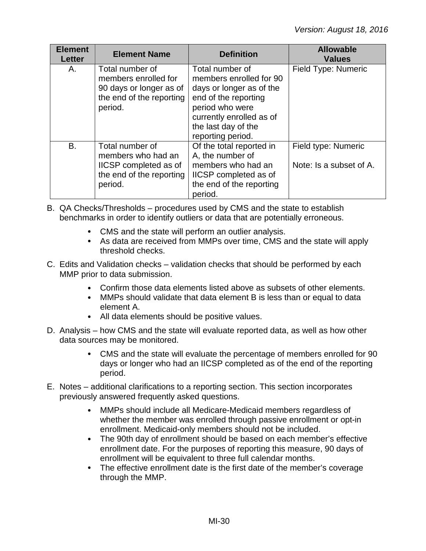| <b>Element</b><br><b>Letter</b> | <b>Element Name</b>                                                                                       | <b>Definition</b>                                                                                                                                                                         | <b>Allowable</b><br><b>Values</b>              |
|---------------------------------|-----------------------------------------------------------------------------------------------------------|-------------------------------------------------------------------------------------------------------------------------------------------------------------------------------------------|------------------------------------------------|
| А.                              | Total number of<br>members enrolled for<br>90 days or longer as of<br>the end of the reporting<br>period. | Total number of<br>members enrolled for 90<br>days or longer as of the<br>end of the reporting<br>period who were<br>currently enrolled as of<br>the last day of the<br>reporting period. | Field Type: Numeric                            |
| B.                              | Total number of<br>members who had an<br>IICSP completed as of<br>the end of the reporting<br>period.     | Of the total reported in<br>A, the number of<br>members who had an<br>IICSP completed as of<br>the end of the reporting<br>period.                                                        | Field type: Numeric<br>Note: Is a subset of A. |

- B. QA Checks/Thresholds procedures used by CMS and the state to establish benchmarks in order to identify outliers or data that are potentially erroneous.
	- CMS and the state will perform an outlier analysis.
	- As data are received from MMPs over time, CMS and the state will apply threshold checks.
- C. Edits and Validation checks validation checks that should be performed by each MMP prior to data submission.
	- Confirm those data elements listed above as subsets of other elements.
	- MMPs should validate that data element B is less than or equal to data element A.
	- All data elements should be positive values.
- D. Analysis how CMS and the state will evaluate reported data, as well as how other data sources may be monitored.
	- CMS and the state will evaluate the percentage of members enrolled for 90  $\bullet$ days or longer who had an IICSP completed as of the end of the reporting period.
- E. Notes additional clarifications to a reporting section. This section incorporates previously answered frequently asked questions.
	- $\bullet$ MMPs should include all Medicare-Medicaid members regardless of whether the member was enrolled through passive enrollment or opt-in enrollment. Medicaid-only members should not be included.
	- $\bullet$ The 90th day of enrollment should be based on each member's effective enrollment date. For the purposes of reporting this measure, 90 days of enrollment will be equivalent to three full calendar months.
	- $\bullet$ The effective enrollment date is the first date of the member's coverage through the MMP.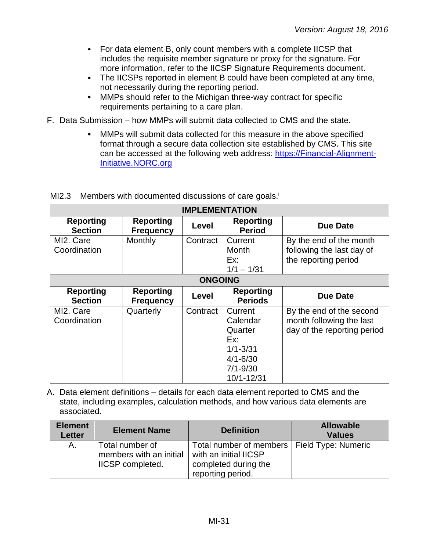- $\bullet$ For data element B, only count members with a complete IICSP that includes the requisite member signature or proxy for the signature. For more information, refer to the IICSP Signature Requirements document.
- The IICSPs reported in element B could have been completed at any time, not necessarily during the reporting period.
- $\bullet$ MMPs should refer to the Michigan three-way contract for specific requirements pertaining to a care plan.
- F. Data Submission how MMPs will submit data collected to CMS and the state.
	- MMPs will submit data collected for this measure in the above specified  $\bullet$ format through a secure data collection site established by CMS. This site can be accessed at the following web address: [https://Financial-Alignment-](https://financial-alignment-initiative.norc.org/)[Initiative.NORC.org](https://financial-alignment-initiative.norc.org/)

|                                    | <b>IMPLEMENTATION</b>                |          |                                                                                                     |                                                                                     |  |
|------------------------------------|--------------------------------------|----------|-----------------------------------------------------------------------------------------------------|-------------------------------------------------------------------------------------|--|
| <b>Reporting</b><br><b>Section</b> | <b>Reporting</b><br><b>Frequency</b> | Level    | <b>Reporting</b><br><b>Period</b>                                                                   | Due Date                                                                            |  |
| MI2. Care<br>Coordination          | Monthly                              | Contract | Current<br>Month<br>Ex:<br>$1/1 - 1/31$                                                             | By the end of the month<br>following the last day of<br>the reporting period        |  |
|                                    | <b>ONGOING</b>                       |          |                                                                                                     |                                                                                     |  |
| <b>Reporting</b><br><b>Section</b> | <b>Reporting</b><br><b>Frequency</b> | Level    | <b>Reporting</b><br><b>Periods</b>                                                                  | Due Date                                                                            |  |
| MI2. Care<br>Coordination          | Quarterly                            | Contract | Current<br>Calendar<br>Quarter<br>Ex:<br>$1/1 - 3/31$<br>$4/1 - 6/30$<br>$7/1 - 9/30$<br>10/1-12/31 | By the end of the second<br>month following the last<br>day of the reporting period |  |

MI2.3 Members with documented discussions of care goals.<sup>i</sup>

| <b>Element</b><br><b>Letter</b> | <b>Element Name</b>                                                   | <b>Definition</b>                                                                                                   | <b>Allowable</b><br><b>Values</b> |
|---------------------------------|-----------------------------------------------------------------------|---------------------------------------------------------------------------------------------------------------------|-----------------------------------|
| А.                              | Total number of<br>members with an initial<br><b>IICSP</b> completed. | Total number of members   Field Type: Numeric<br>with an initial IICSP<br>completed during the<br>reporting period. |                                   |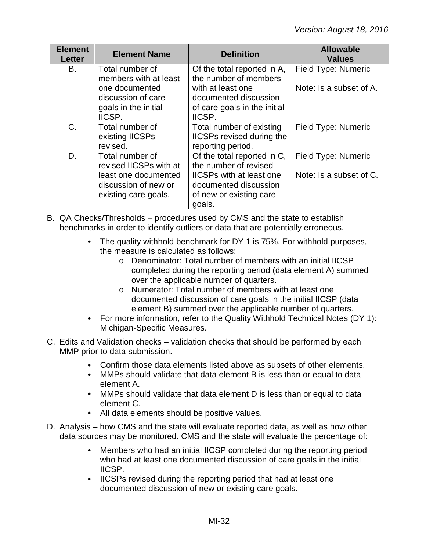| <b>Element</b><br><b>Letter</b> | <b>Element Name</b>                                                                                               | <b>Definition</b>                                                                                                                                     | <b>Allowable</b><br><b>Values</b>              |
|---------------------------------|-------------------------------------------------------------------------------------------------------------------|-------------------------------------------------------------------------------------------------------------------------------------------------------|------------------------------------------------|
| B.                              | Total number of<br>members with at least<br>one documented<br>discussion of care<br>goals in the initial          | Of the total reported in A,<br>the number of members<br>with at least one<br>documented discussion<br>of care goals in the initial                    | Field Type: Numeric<br>Note: Is a subset of A. |
| $C$ .                           | IICSP.<br>Total number of<br>existing IICSPs<br>revised.                                                          | IICSP.<br>Total number of existing<br><b>IICSPs revised during the</b><br>reporting period.                                                           | Field Type: Numeric                            |
| D.                              | Total number of<br>revised IICSPs with at<br>least one documented<br>discussion of new or<br>existing care goals. | Of the total reported in C,<br>the number of revised<br><b>IICSPs with at least one</b><br>documented discussion<br>of new or existing care<br>goals. | Field Type: Numeric<br>Note: Is a subset of C. |

- B. QA Checks/Thresholds procedures used by CMS and the state to establish benchmarks in order to identify outliers or data that are potentially erroneous.
	- The quality withhold benchmark for DY 1 is 75%. For withhold purposes, the measure is calculated as follows:
		- o Denominator: Total number of members with an initial IICSP completed during the reporting period (data element A) summed over the applicable number of quarters.
		- o Numerator: Total number of members with at least one documented discussion of care goals in the initial IICSP (data element B) summed over the applicable number of quarters.
	- For more information, refer to the Quality Withhold Technical Notes (DY 1): Michigan-Specific Measures.
- C. Edits and Validation checks validation checks that should be performed by each MMP prior to data submission.
	- $\bullet$ Confirm those data elements listed above as subsets of other elements.
	- MMPs should validate that data element B is less than or equal to data  $\bullet$ element A.
	- MMPs should validate that data element D is less than or equal to data element C.
	- All data elements should be positive values.
- D. Analysis how CMS and the state will evaluate reported data, as well as how other data sources may be monitored. CMS and the state will evaluate the percentage of:
	- Members who had an initial IICSP completed during the reporting period who had at least one documented discussion of care goals in the initial IICSP.
	- IICSPs revised during the reporting period that had at least one documented discussion of new or existing care goals.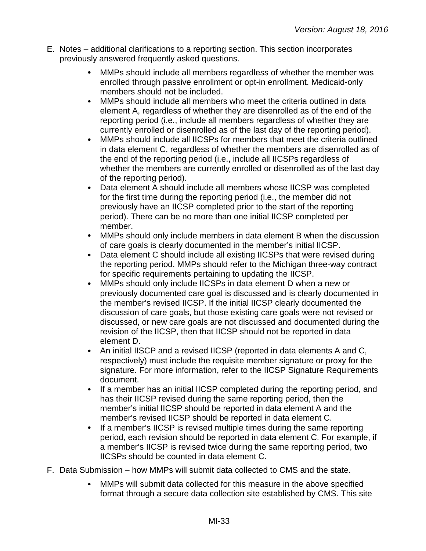- E. Notes additional clarifications to a reporting section. This section incorporates previously answered frequently asked questions.
	- $\bullet$ MMPs should include all members regardless of whether the member was enrolled through passive enrollment or opt-in enrollment. Medicaid-only members should not be included.
	- $\bullet$ MMPs should include all members who meet the criteria outlined in data element A, regardless of whether they are disenrolled as of the end of the reporting period (i.e., include all members regardless of whether they are currently enrolled or disenrolled as of the last day of the reporting period).
	- $\bullet$ MMPs should include all IICSPs for members that meet the criteria outlined in data element C, regardless of whether the members are disenrolled as of the end of the reporting period (i.e., include all IICSPs regardless of whether the members are currently enrolled or disenrolled as of the last day of the reporting period).
	- Data element A should include all members whose IICSP was completed for the first time during the reporting period (i.e., the member did not previously have an IICSP completed prior to the start of the reporting period). There can be no more than one initial IICSP completed per member.
	- MMPs should only include members in data element B when the discussion  $\bullet$ of care goals is clearly documented in the member's initial IICSP.
	- $\bullet$ Data element C should include all existing IICSPs that were revised during the reporting period. MMPs should refer to the Michigan three-way contract for specific requirements pertaining to updating the IICSP.
	- $\bullet$ MMPs should only include IICSPs in data element D when a new or previously documented care goal is discussed and is clearly documented in the member's revised IICSP. If the initial IICSP clearly documented the discussion of care goals, but those existing care goals were not revised or discussed, or new care goals are not discussed and documented during the revision of the IICSP, then that IICSP should not be reported in data element D.
	- An initial IISCP and a revised IICSP (reported in data elements A and C,  $\bullet$ respectively) must include the requisite member signature or proxy for the signature. For more information, refer to the IICSP Signature Requirements document.
	- $\bullet$ If a member has an initial IICSP completed during the reporting period, and has their IICSP revised during the same reporting period, then the member's initial IICSP should be reported in data element A and the member's revised IICSP should be reported in data element C.
	- $\bullet$ If a member's IICSP is revised multiple times during the same reporting period, each revision should be reported in data element C. For example, if a member's IICSP is revised twice during the same reporting period, two IICSPs should be counted in data element C.
- F. Data Submission how MMPs will submit data collected to CMS and the state.
	- MMPs will submit data collected for this measure in the above specified  $\bullet$ format through a secure data collection site established by CMS. This site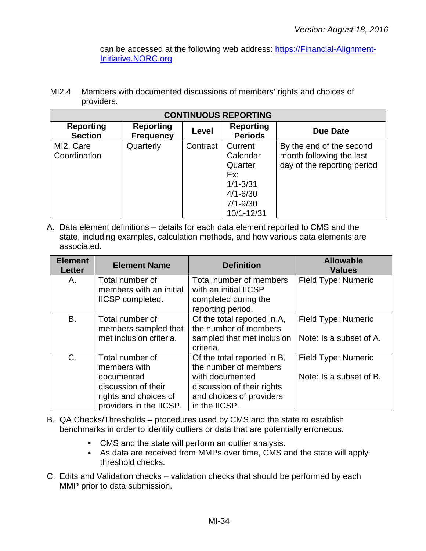can be accessed at the following web address: [https://Financial-Alignment-](https://financial-alignment-initiative.norc.org/)[Initiative.NORC.org](https://financial-alignment-initiative.norc.org/)

MI2.4 Members with documented discussions of members' rights and choices of providers.

|                                    | <b>CONTINUOUS REPORTING</b>          |          |                                                                                                     |                                                                                     |  |
|------------------------------------|--------------------------------------|----------|-----------------------------------------------------------------------------------------------------|-------------------------------------------------------------------------------------|--|
| <b>Reporting</b><br><b>Section</b> | <b>Reporting</b><br><b>Frequency</b> | Level    | <b>Reporting</b><br><b>Periods</b>                                                                  | Due Date                                                                            |  |
| MI2. Care<br>Coordination          | Quarterly                            | Contract | Current<br>Calendar<br>Quarter<br>Ex:<br>$1/1 - 3/31$<br>$4/1 - 6/30$<br>$7/1 - 9/30$<br>10/1-12/31 | By the end of the second<br>month following the last<br>day of the reporting period |  |

| <b>Element</b><br><b>Letter</b> | <b>Element Name</b>                                                                                                      | <b>Definition</b>                                                                                                                                  | <b>Allowable</b><br><b>Values</b>              |
|---------------------------------|--------------------------------------------------------------------------------------------------------------------------|----------------------------------------------------------------------------------------------------------------------------------------------------|------------------------------------------------|
| Α.                              | Total number of<br>members with an initial<br>IICSP completed.                                                           | Total number of members<br>with an initial IICSP<br>completed during the<br>reporting period.                                                      | <b>Field Type: Numeric</b>                     |
| B.                              | Total number of<br>members sampled that<br>met inclusion criteria.                                                       | Of the total reported in A,<br>the number of members<br>sampled that met inclusion<br>criteria.                                                    | Field Type: Numeric<br>Note: Is a subset of A. |
| C.                              | Total number of<br>members with<br>documented<br>discussion of their<br>rights and choices of<br>providers in the IICSP. | Of the total reported in B,<br>the number of members<br>with documented<br>discussion of their rights<br>and choices of providers<br>in the IICSP. | Field Type: Numeric<br>Note: Is a subset of B. |

- B. QA Checks/Thresholds procedures used by CMS and the state to establish benchmarks in order to identify outliers or data that are potentially erroneous.
	- CMS and the state will perform an outlier analysis.
	- As data are received from MMPs over time, CMS and the state will apply threshold checks.
- C. Edits and Validation checks validation checks that should be performed by each MMP prior to data submission.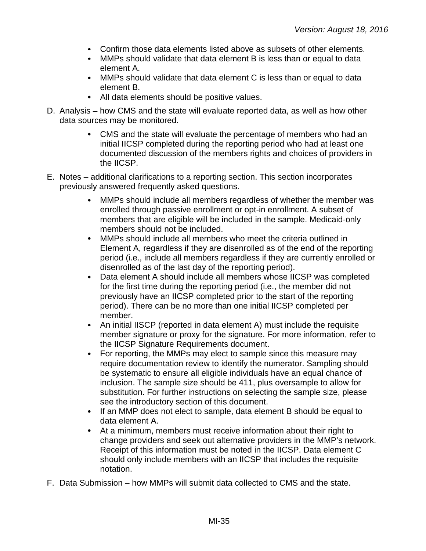- Confirm those data elements listed above as subsets of other elements.
- MMPs should validate that data element B is less than or equal to data element A.
- MMPs should validate that data element C is less than or equal to data element B.
- All data elements should be positive values.
- D. Analysis how CMS and the state will evaluate reported data, as well as how other data sources may be monitored.
	- CMS and the state will evaluate the percentage of members who had an  $\bullet$ initial IICSP completed during the reporting period who had at least one documented discussion of the members rights and choices of providers in the IICSP.
- E. Notes additional clarifications to a reporting section. This section incorporates previously answered frequently asked questions.
	- MMPs should include all members regardless of whether the member was enrolled through passive enrollment or opt-in enrollment. A subset of members that are eligible will be included in the sample. Medicaid-only members should not be included.
	- $\bullet$ MMPs should include all members who meet the criteria outlined in Element A, regardless if they are disenrolled as of the end of the reporting period (i.e., include all members regardless if they are currently enrolled or disenrolled as of the last day of the reporting period).
	- $\bullet$ Data element A should include all members whose IICSP was completed for the first time during the reporting period (i.e., the member did not previously have an IICSP completed prior to the start of the reporting period). There can be no more than one initial IICSP completed per member.
	- $\bullet$ An initial IISCP (reported in data element A) must include the requisite member signature or proxy for the signature. For more information, refer to the IICSP Signature Requirements document.
	- For reporting, the MMPs may elect to sample since this measure may  $\bullet$ require documentation review to identify the numerator. Sampling should be systematic to ensure all eligible individuals have an equal chance of inclusion. The sample size should be 411, plus oversample to allow for substitution. For further instructions on selecting the sample size, please see the introductory section of this document.
	- If an MMP does not elect to sample, data element B should be equal to data element A.
	- At a minimum, members must receive information about their right to change providers and seek out alternative providers in the MMP's network. Receipt of this information must be noted in the IICSP. Data element C should only include members with an IICSP that includes the requisite notation.
- F. Data Submission how MMPs will submit data collected to CMS and the state.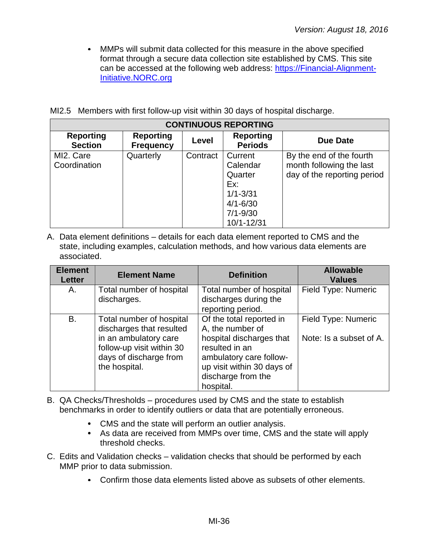MMPs will submit data collected for this measure in the above specified format through a secure data collection site established by CMS. This site can be accessed at the following web address: [https://Financial-Alignment-](https://financial-alignment-initiative.norc.org/)[Initiative.NORC.org](https://financial-alignment-initiative.norc.org/)

|  |  |  | MI2.5 Members with first follow-up visit within 30 days of hospital discharge. |
|--|--|--|--------------------------------------------------------------------------------|
|  |  |  |                                                                                |

|                                    | <b>CONTINUOUS REPORTING</b>          |          |                                                                                                     |                                                                                     |  |
|------------------------------------|--------------------------------------|----------|-----------------------------------------------------------------------------------------------------|-------------------------------------------------------------------------------------|--|
| <b>Reporting</b><br><b>Section</b> | <b>Reporting</b><br><b>Frequency</b> | Level    | <b>Reporting</b><br><b>Periods</b>                                                                  | Due Date                                                                            |  |
| MI2. Care<br>Coordination          | Quarterly                            | Contract | Current<br>Calendar<br>Quarter<br>Ex:<br>$1/1 - 3/31$<br>$4/1 - 6/30$<br>$7/1 - 9/30$<br>10/1-12/31 | By the end of the fourth<br>month following the last<br>day of the reporting period |  |

| <b>Element</b><br><b>Letter</b> | <b>Element Name</b>                                                                                                                                   | <b>Definition</b>                                                                                                                                                                      | <b>Allowable</b><br><b>Values</b>              |
|---------------------------------|-------------------------------------------------------------------------------------------------------------------------------------------------------|----------------------------------------------------------------------------------------------------------------------------------------------------------------------------------------|------------------------------------------------|
| Α.                              | Total number of hospital<br>discharges.                                                                                                               | Total number of hospital<br>discharges during the<br>reporting period.                                                                                                                 | Field Type: Numeric                            |
| <b>B.</b>                       | Total number of hospital<br>discharges that resulted<br>in an ambulatory care<br>follow-up visit within 30<br>days of discharge from<br>the hospital. | Of the total reported in<br>A, the number of<br>hospital discharges that<br>resulted in an<br>ambulatory care follow-<br>up visit within 30 days of<br>discharge from the<br>hospital. | Field Type: Numeric<br>Note: Is a subset of A. |

- B. QA Checks/Thresholds procedures used by CMS and the state to establish benchmarks in order to identify outliers or data that are potentially erroneous.
	- CMS and the state will perform an outlier analysis.
	- As data are received from MMPs over time, CMS and the state will apply threshold checks.
- C. Edits and Validation checks validation checks that should be performed by each MMP prior to data submission.
	- Confirm those data elements listed above as subsets of other elements.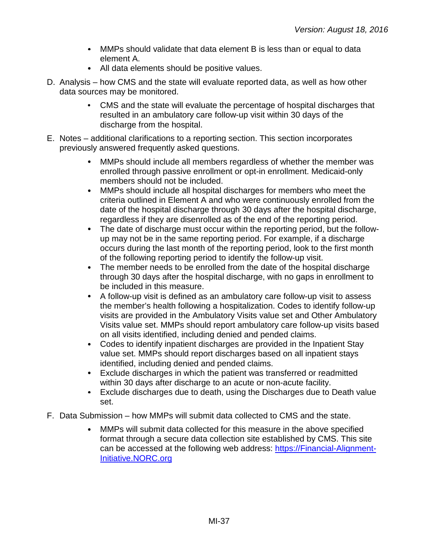- MMPs should validate that data element B is less than or equal to data element A.
- All data elements should be positive values.
- D. Analysis how CMS and the state will evaluate reported data, as well as how other data sources may be monitored.
	- CMS and the state will evaluate the percentage of hospital discharges that resulted in an ambulatory care follow-up visit within 30 days of the discharge from the hospital.
- E. Notes additional clarifications to a reporting section. This section incorporates previously answered frequently asked questions.
	- MMPs should include all members regardless of whether the member was  $\bullet$ enrolled through passive enrollment or opt-in enrollment. Medicaid-only members should not be included.
	- $\bullet$ MMPs should include all hospital discharges for members who meet the criteria outlined in Element A and who were continuously enrolled from the date of the hospital discharge through 30 days after the hospital discharge, regardless if they are disenrolled as of the end of the reporting period.
	- The date of discharge must occur within the reporting period, but the follow- $\bullet$ up may not be in the same reporting period. For example, if a discharge occurs during the last month of the reporting period, look to the first month of the following reporting period to identify the follow-up visit.
	- $\bullet$ The member needs to be enrolled from the date of the hospital discharge through 30 days after the hospital discharge, with no gaps in enrollment to be included in this measure.
	- $\bullet$ A follow-up visit is defined as an ambulatory care follow-up visit to assess the member's health following a hospitalization. Codes to identify follow-up visits are provided in the Ambulatory Visits value set and Other Ambulatory Visits value set. MMPs should report ambulatory care follow-up visits based on all visits identified, including denied and pended claims.
	- $\bullet$ Codes to identify inpatient discharges are provided in the Inpatient Stay value set. MMPs should report discharges based on all inpatient stays identified, including denied and pended claims.
	- $\bullet$ Exclude discharges in which the patient was transferred or readmitted within 30 days after discharge to an acute or non-acute facility.
	- $\bullet$ Exclude discharges due to death, using the Discharges due to Death value set.
- F. Data Submission how MMPs will submit data collected to CMS and the state.
	- MMPs will submit data collected for this measure in the above specified  $\bullet$ format through a secure data collection site established by CMS. This site can be accessed at the following web address: [https://Financial-Alignment-](https://financial-alignment-initiative.norc.org/)[Initiative.NORC.org](https://financial-alignment-initiative.norc.org/)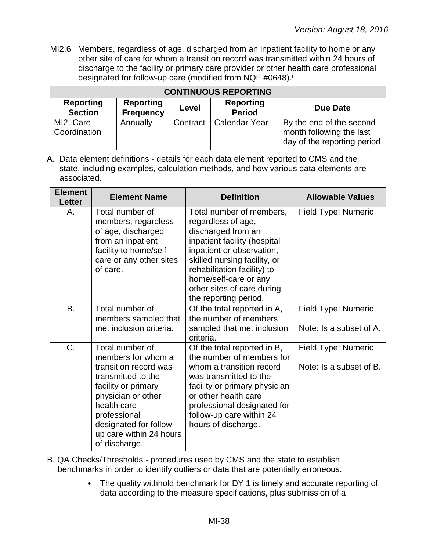MI2.6 Members, regardless of age, discharged from an inpatient facility to home or any other site of care for whom a transition record was transmitted within 24 hours of discharge to the facility or primary care provider or other health care professional designated for follow-up care (modified from NQF #0648). i

| <b>CONTINUOUS REPORTING</b>        |                                      |          |                                   |                                                                                     |  |  |
|------------------------------------|--------------------------------------|----------|-----------------------------------|-------------------------------------------------------------------------------------|--|--|
| <b>Reporting</b><br><b>Section</b> | <b>Reporting</b><br><b>Frequency</b> | Level    | <b>Reporting</b><br><b>Period</b> | Due Date                                                                            |  |  |
| MI2. Care<br>Coordination          | Annually                             | Contract | Calendar Year                     | By the end of the second<br>month following the last<br>day of the reporting period |  |  |

| <b>Element</b><br><b>Letter</b> | <b>Element Name</b>                                                                                                                                                                                                                    | <b>Definition</b>                                                                                                                                                                                                                                                                | <b>Allowable Values</b>                        |
|---------------------------------|----------------------------------------------------------------------------------------------------------------------------------------------------------------------------------------------------------------------------------------|----------------------------------------------------------------------------------------------------------------------------------------------------------------------------------------------------------------------------------------------------------------------------------|------------------------------------------------|
| Α.                              | Total number of<br>members, regardless<br>of age, discharged<br>from an inpatient<br>facility to home/self-<br>care or any other sites<br>of care.                                                                                     | Total number of members,<br>regardless of age,<br>discharged from an<br>inpatient facility (hospital<br>inpatient or observation,<br>skilled nursing facility, or<br>rehabilitation facility) to<br>home/self-care or any<br>other sites of care during<br>the reporting period. | Field Type: Numeric                            |
| B.                              | Total number of<br>members sampled that<br>met inclusion criteria.                                                                                                                                                                     | Of the total reported in A,<br>the number of members<br>sampled that met inclusion<br>criteria.                                                                                                                                                                                  | Field Type: Numeric<br>Note: Is a subset of A. |
| C.                              | Total number of<br>members for whom a<br>transition record was<br>transmitted to the<br>facility or primary<br>physician or other<br>health care<br>professional<br>designated for follow-<br>up care within 24 hours<br>of discharge. | Of the total reported in B,<br>the number of members for<br>whom a transition record<br>was transmitted to the<br>facility or primary physician<br>or other health care<br>professional designated for<br>follow-up care within 24<br>hours of discharge.                        | Field Type: Numeric<br>Note: Is a subset of B. |

- B. QA Checks/Thresholds procedures used by CMS and the state to establish benchmarks in order to identify outliers or data that are potentially erroneous.
	- The quality withhold benchmark for DY 1 is timely and accurate reporting of  $\bullet$ data according to the measure specifications, plus submission of a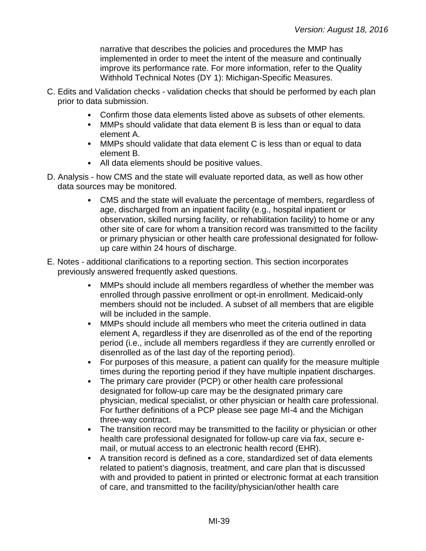narrative that describes the policies and procedures the MMP has implemented in order to meet the intent of the measure and continually improve its performance rate. For more information, refer to the Quality Withhold Technical Notes (DY 1): Michigan-Specific Measures.

- C. Edits and Validation checks validation checks that should be performed by each plan prior to data submission.
	- Confirm those data elements listed above as subsets of other elements.
	- MMPs should validate that data element B is less than or equal to data element A.
	- MMPs should validate that data element C is less than or equal to data element B.
	- All data elements should be positive values.
- D. Analysis how CMS and the state will evaluate reported data, as well as how other data sources may be monitored.
	- CMS and the state will evaluate the percentage of members, regardless of  $\bullet$ age, discharged from an inpatient facility (e.g., hospital inpatient or observation, skilled nursing facility, or rehabilitation facility) to home or any other site of care for whom a transition record was transmitted to the facility or primary physician or other health care professional designated for followup care within 24 hours of discharge.
- E. Notes additional clarifications to a reporting section. This section incorporates previously answered frequently asked questions.
	- MMPs should include all members regardless of whether the member was enrolled through passive enrollment or opt-in enrollment. Medicaid-only members should not be included. A subset of all members that are eligible will be included in the sample.
	- $\bullet$ MMPs should include all members who meet the criteria outlined in data element A, regardless if they are disenrolled as of the end of the reporting period (i.e., include all members regardless if they are currently enrolled or disenrolled as of the last day of the reporting period).
	- For purposes of this measure, a patient can qualify for the measure multiple times during the reporting period if they have multiple inpatient discharges.
	- The primary care provider (PCP) or other health care professional designated for follow-up care may be the designated primary care physician, medical specialist, or other physician or health care professional. For further definitions of a PCP please see page MI-4 and the Michigan three-way contract.
	- The transition record may be transmitted to the facility or physician or other health care professional designated for follow-up care via fax, secure email, or mutual access to an electronic health record (EHR).
	- A transition record is defined as a core, standardized set of data elements  $\bullet$ related to patient's diagnosis, treatment, and care plan that is discussed with and provided to patient in printed or electronic format at each transition of care, and transmitted to the facility/physician/other health care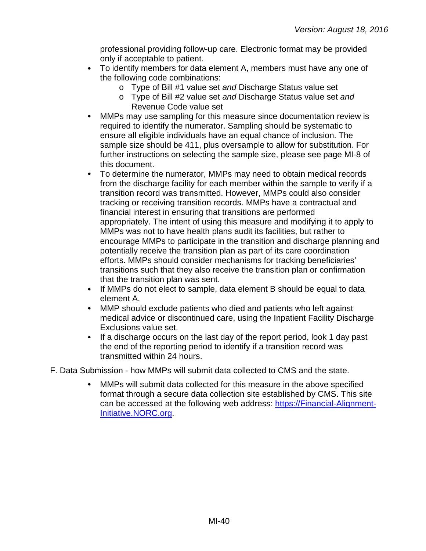professional providing follow-up care. Electronic format may be provided only if acceptable to patient.

- To identify members for data element A, members must have any one of the following code combinations:
	- o Type of Bill #1 value set *and* Discharge Status value set
	- o Type of Bill #2 value set *and* Discharge Status value set *and* Revenue Code value set
- MMPs may use sampling for this measure since documentation review is  $\bullet$ required to identify the numerator. Sampling should be systematic to ensure all eligible individuals have an equal chance of inclusion. The sample size should be 411, plus oversample to allow for substitution. For further instructions on selecting the sample size, please see page MI-8 of this document.
- To determine the numerator, MMPs may need to obtain medical records from the discharge facility for each member within the sample to verify if a transition record was transmitted. However, MMPs could also consider tracking or receiving transition records. MMPs have a contractual and financial interest in ensuring that transitions are performed appropriately. The intent of using this measure and modifying it to apply to MMPs was not to have health plans audit its facilities, but rather to encourage MMPs to participate in the transition and discharge planning and potentially receive the transition plan as part of its care coordination efforts. MMPs should consider mechanisms for tracking beneficiaries' transitions such that they also receive the transition plan or confirmation that the transition plan was sent.
- If MMPs do not elect to sample, data element B should be equal to data element A.
- $\bullet$ MMP should exclude patients who died and patients who left against medical advice or discontinued care, using the Inpatient Facility Discharge Exclusions value set.
- $\bullet$ If a discharge occurs on the last day of the report period, look 1 day past the end of the reporting period to identify if a transition record was transmitted within 24 hours.
- F. Data Submission how MMPs will submit data collected to CMS and the state.
	- MMPs will submit data collected for this measure in the above specified  $\bullet$ format through a secure data collection site established by CMS. This site can be accessed at the following web address: [https://Financial-Alignment-](https://financial-alignment-initiative.norc.org/)[Initiative.NORC.org.](https://financial-alignment-initiative.norc.org/)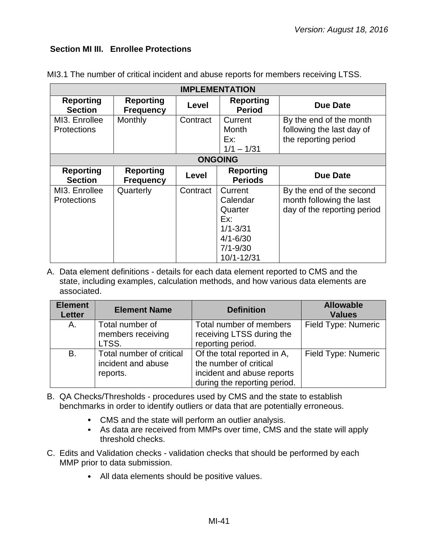### **Section MI III. Enrollee Protections**

|                                     | <b>IMPLEMENTATION</b>                |          |                                                                                                     |                                                                                     |  |  |
|-------------------------------------|--------------------------------------|----------|-----------------------------------------------------------------------------------------------------|-------------------------------------------------------------------------------------|--|--|
| <b>Reporting</b><br><b>Section</b>  | <b>Reporting</b><br><b>Frequency</b> | Level    | <b>Reporting</b><br><b>Period</b>                                                                   | <b>Due Date</b>                                                                     |  |  |
| MI3. Enrollee<br><b>Protections</b> | Monthly                              | Contract | Current<br><b>Month</b><br>Ex:<br>$1/1 - 1/31$                                                      | By the end of the month<br>following the last day of<br>the reporting period        |  |  |
|                                     | <b>ONGOING</b>                       |          |                                                                                                     |                                                                                     |  |  |
| <b>Reporting</b><br><b>Section</b>  | <b>Reporting</b><br><b>Frequency</b> | Level    | <b>Reporting</b><br><b>Periods</b>                                                                  | <b>Due Date</b>                                                                     |  |  |
| MI3. Enrollee<br><b>Protections</b> | Quarterly                            | Contract | Current<br>Calendar<br>Quarter<br>Ex:<br>$1/1 - 3/31$<br>$4/1 - 6/30$<br>$7/1 - 9/30$<br>10/1-12/31 | By the end of the second<br>month following the last<br>day of the reporting period |  |  |

MI3.1 The number of critical incident and abuse reports for members receiving LTSS.

| <b>Element</b><br><b>Letter</b> | <b>Element Name</b>                                        | <b>Definition</b>                                                                                                   | <b>Allowable</b><br><b>Values</b> |
|---------------------------------|------------------------------------------------------------|---------------------------------------------------------------------------------------------------------------------|-----------------------------------|
| A.                              | Total number of<br>members receiving<br>LTSS.              | Total number of members<br>receiving LTSS during the<br>reporting period.                                           | Field Type: Numeric               |
| <b>B.</b>                       | Total number of critical<br>incident and abuse<br>reports. | Of the total reported in A,<br>the number of critical<br>incident and abuse reports<br>during the reporting period. | Field Type: Numeric               |

- B. QA Checks/Thresholds procedures used by CMS and the state to establish benchmarks in order to identify outliers or data that are potentially erroneous.
	- CMS and the state will perform an outlier analysis.
	- As data are received from MMPs over time, CMS and the state will apply threshold checks.
- C. Edits and Validation checks validation checks that should be performed by each MMP prior to data submission.
	- All data elements should be positive values.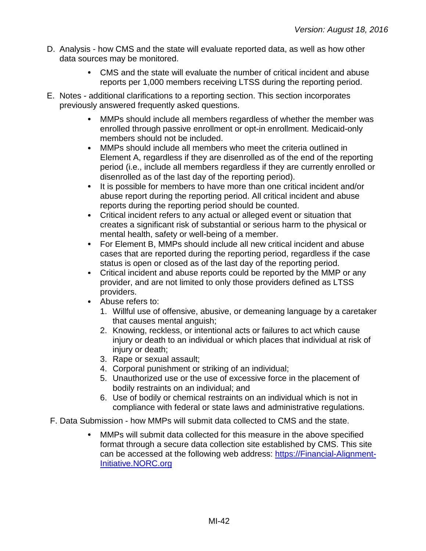- D. Analysis how CMS and the state will evaluate reported data, as well as how other data sources may be monitored.
	- CMS and the state will evaluate the number of critical incident and abuse reports per 1,000 members receiving LTSS during the reporting period.
- E. Notes additional clarifications to a reporting section. This section incorporates previously answered frequently asked questions.
	- MMPs should include all members regardless of whether the member was  $\bullet$ enrolled through passive enrollment or opt-in enrollment. Medicaid-only members should not be included.
	- $\bullet$ MMPs should include all members who meet the criteria outlined in Element A, regardless if they are disenrolled as of the end of the reporting period (i.e., include all members regardless if they are currently enrolled or disenrolled as of the last day of the reporting period).
	- It is possible for members to have more than one critical incident and/or  $\bullet$ abuse report during the reporting period. All critical incident and abuse reports during the reporting period should be counted.
	- $\bullet$ Critical incident refers to any actual or alleged event or situation that creates a significant risk of substantial or serious harm to the physical or mental health, safety or well-being of a member.
	- For Element B, MMPs should include all new critical incident and abuse  $\bullet$ cases that are reported during the reporting period, regardless if the case status is open or closed as of the last day of the reporting period.
	- Critical incident and abuse reports could be reported by the MMP or any  $\bullet$ provider, and are not limited to only those providers defined as LTSS providers.
	- Abuse refers to:  $\bullet$ 
		- 1. Willful use of offensive, abusive, or demeaning language by a caretaker that causes mental anguish;
		- 2. Knowing, reckless, or intentional acts or failures to act which cause injury or death to an individual or which places that individual at risk of injury or death;
		- 3. Rape or sexual assault;
		- 4. Corporal punishment or striking of an individual;
		- 5. Unauthorized use or the use of excessive force in the placement of bodily restraints on an individual; and
		- 6. Use of bodily or chemical restraints on an individual which is not in compliance with federal or state laws and administrative regulations.
- F. Data Submission how MMPs will submit data collected to CMS and the state.
	- MMPs will submit data collected for this measure in the above specified format through a secure data collection site established by CMS. This site can be accessed at the following web address: [https://Financial-Alignment-](https://financial-alignment-initiative.norc.org/)[Initiative.NORC.org](https://financial-alignment-initiative.norc.org/)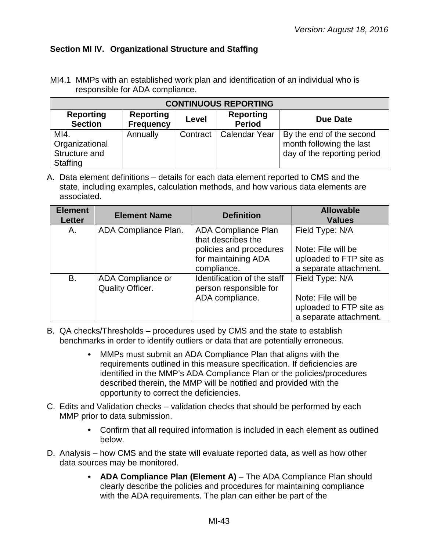## **Section MI IV. Organizational Structure and Staffing**

MI4.1 MMPs with an established work plan and identification of an individual who is responsible for ADA compliance.

| <b>CONTINUOUS REPORTING</b>                         |                                      |          |                                   |                                                                                     |  |  |
|-----------------------------------------------------|--------------------------------------|----------|-----------------------------------|-------------------------------------------------------------------------------------|--|--|
| <b>Reporting</b><br><b>Section</b>                  | <b>Reporting</b><br><b>Frequency</b> | Level    | <b>Reporting</b><br><b>Period</b> | <b>Due Date</b>                                                                     |  |  |
| MI4.<br>Organizational<br>Structure and<br>Staffing | Annually                             | Contract | <b>Calendar Year</b>              | By the end of the second<br>month following the last<br>day of the reporting period |  |  |

| <b>Element</b><br><b>Letter</b> | <b>Element Name</b>                          | <b>Definition</b>                                     | <b>Allowable</b><br><b>Values</b>                 |
|---------------------------------|----------------------------------------------|-------------------------------------------------------|---------------------------------------------------|
| А.                              | ADA Compliance Plan.                         | <b>ADA Compliance Plan</b><br>that describes the      | Field Type: N/A                                   |
|                                 |                                              | policies and procedures                               | Note: File will be                                |
|                                 |                                              | for maintaining ADA<br>compliance.                    | uploaded to FTP site as<br>a separate attachment. |
| B.                              | ADA Compliance or<br><b>Quality Officer.</b> | Identification of the staff<br>person responsible for | Field Type: N/A                                   |
|                                 |                                              | ADA compliance.                                       | Note: File will be                                |
|                                 |                                              |                                                       | uploaded to FTP site as<br>a separate attachment. |

- B. QA checks/Thresholds procedures used by CMS and the state to establish benchmarks in order to identify outliers or data that are potentially erroneous.
	- MMPs must submit an ADA Compliance Plan that aligns with the  $\bullet$ requirements outlined in this measure specification. If deficiencies are identified in the MMP's ADA Compliance Plan or the policies/procedures described therein, the MMP will be notified and provided with the opportunity to correct the deficiencies.
- C. Edits and Validation checks validation checks that should be performed by each MMP prior to data submission.
	- Confirm that all required information is included in each element as outlined below.
- D. Analysis how CMS and the state will evaluate reported data, as well as how other data sources may be monitored.
	- **ADA Compliance Plan (Element A)** The ADA Compliance Plan should clearly describe the policies and procedures for maintaining compliance with the ADA requirements. The plan can either be part of the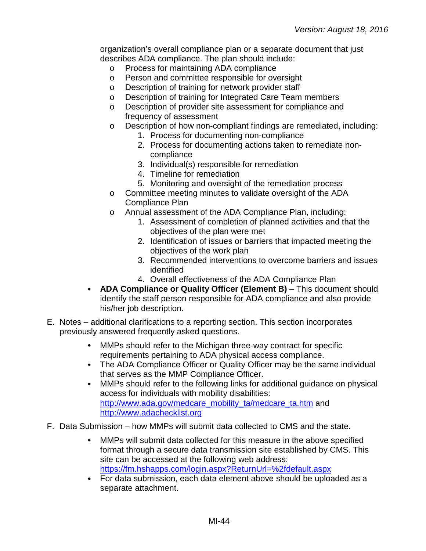organization's overall compliance plan or a separate document that just describes ADA compliance. The plan should include:

- o Process for maintaining ADA compliance
- o Person and committee responsible for oversight<br>
o Description of training for network provider staff
- Description of training for network provider staff
- o Description of training for Integrated Care Team members
- o Description of provider site assessment for compliance and frequency of assessment
- o Description of how non-compliant findings are remediated, including:
	- 1. Process for documenting non-compliance
		- 2. Process for documenting actions taken to remediate noncompliance
	- 3. Individual(s) responsible for remediation
	- 4. Timeline for remediation
	- 5. Monitoring and oversight of the remediation process
- o Committee meeting minutes to validate oversight of the ADA Compliance Plan
- o Annual assessment of the ADA Compliance Plan, including:
	- 1. Assessment of completion of planned activities and that the objectives of the plan were met
	- 2. Identification of issues or barriers that impacted meeting the objectives of the work plan
	- 3. Recommended interventions to overcome barriers and issues identified
	- 4. Overall effectiveness of the ADA Compliance Plan
- $\bullet$ **ADA Compliance or Quality Officer (Element B)** – This document should identify the staff person responsible for ADA compliance and also provide his/her job description.
- E. Notes additional clarifications to a reporting section. This section incorporates previously answered frequently asked questions.
	- MMPs should refer to the Michigan three-way contract for specific  $\bullet$ requirements pertaining to ADA physical access compliance.
	- The ADA Compliance Officer or Quality Officer may be the same individual that serves as the MMP Compliance Officer.
	- $\bullet$ MMPs should refer to the following links for additional guidance on physical access for individuals with mobility disabilities: [http://www.ada.gov/medcare\\_mobility\\_ta/medcare\\_ta.htm](http://www.ada.gov/medcare_mobility_ta/medcare_ta.htm) and [http://www.adachecklist.org](http://www.adachecklist.org/)
- F. Data Submission how MMPs will submit data collected to CMS and the state.
	- MMPs will submit data collected for this measure in the above specified  $\bullet$ format through a secure data transmission site established by CMS. This site can be accessed at the following web address: <https://fm.hshapps.com/login.aspx?ReturnUrl=%2fdefault.aspx>
	- For data submission, each data element above should be uploaded as a separate attachment.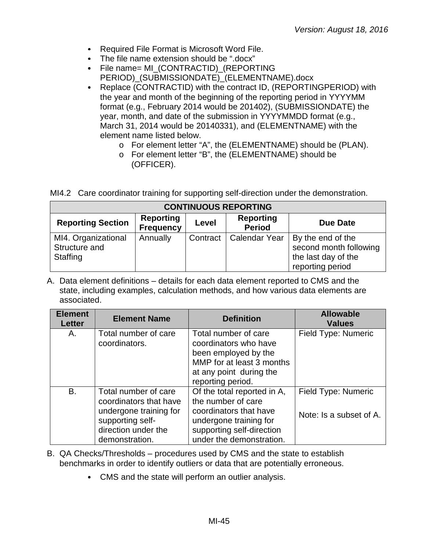- Required File Format is Microsoft Word File.
- The file name extension should be ".docx"
- File name= MI\_(CONTRACTID)\_(REPORTING PERIOD)\_(SUBMISSIONDATE)\_(ELEMENTNAME).docx
- Replace (CONTRACTID) with the contract ID, (REPORTINGPERIOD) with  $\bullet$ the year and month of the beginning of the reporting period in YYYYMM format (e.g., February 2014 would be 201402), (SUBMISSIONDATE) the year, month, and date of the submission in YYYYMMDD format (e.g., March 31, 2014 would be 20140331), and (ELEMENTNAME) with the element name listed below.
	- o For element letter "A", the (ELEMENTNAME) should be (PLAN).
	- o For element letter "B", the (ELEMENTNAME) should be (OFFICER).

|  | MI4.2 Care coordinator training for supporting self-direction under the demonstration. |  |  |  |  |  |
|--|----------------------------------------------------------------------------------------|--|--|--|--|--|
|--|----------------------------------------------------------------------------------------|--|--|--|--|--|

| <b>CONTINUOUS REPORTING</b>                      |                                      |          |                                   |                                                                                        |  |  |
|--------------------------------------------------|--------------------------------------|----------|-----------------------------------|----------------------------------------------------------------------------------------|--|--|
| <b>Reporting Section</b>                         | <b>Reporting</b><br><b>Frequency</b> | Level    | <b>Reporting</b><br><b>Period</b> | Due Date                                                                               |  |  |
| MI4. Organizational<br>Structure and<br>Staffing | Annually                             | Contract | <b>Calendar Year</b>              | By the end of the<br>second month following<br>the last day of the<br>reporting period |  |  |

| <b>Element</b><br><b>Letter</b> | <b>Element Name</b>                                                                                                                   | <b>Definition</b>                                                                                                                                              | <b>Allowable</b><br><b>Values</b>              |
|---------------------------------|---------------------------------------------------------------------------------------------------------------------------------------|----------------------------------------------------------------------------------------------------------------------------------------------------------------|------------------------------------------------|
| Α.                              | Total number of care<br>coordinators.                                                                                                 | Total number of care<br>coordinators who have<br>been employed by the<br>MMP for at least 3 months<br>at any point during the<br>reporting period.             | Field Type: Numeric                            |
| B.                              | Total number of care<br>coordinators that have<br>undergone training for<br>supporting self-<br>direction under the<br>demonstration. | Of the total reported in A,<br>the number of care<br>coordinators that have<br>undergone training for<br>supporting self-direction<br>under the demonstration. | Field Type: Numeric<br>Note: Is a subset of A. |

- B. QA Checks/Thresholds procedures used by CMS and the state to establish benchmarks in order to identify outliers or data that are potentially erroneous.
	- CMS and the state will perform an outlier analysis.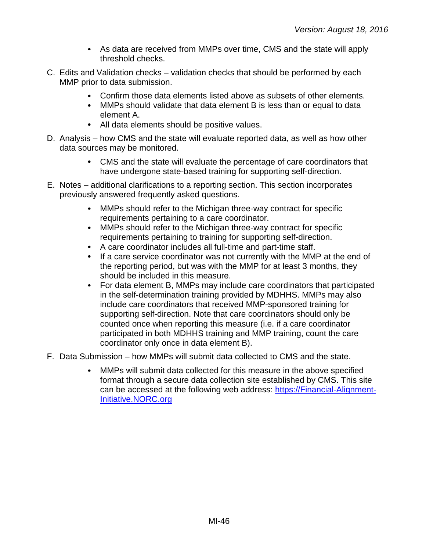- As data are received from MMPs over time, CMS and the state will apply threshold checks.
- C. Edits and Validation checks validation checks that should be performed by each MMP prior to data submission.
	- Confirm those data elements listed above as subsets of other elements.
	- MMPs should validate that data element B is less than or equal to data element A.
	- All data elements should be positive values.
- D. Analysis how CMS and the state will evaluate reported data, as well as how other data sources may be monitored.
	- CMS and the state will evaluate the percentage of care coordinators that have undergone state-based training for supporting self-direction.
- E. Notes additional clarifications to a reporting section. This section incorporates previously answered frequently asked questions.
	- $\bullet$ MMPs should refer to the Michigan three-way contract for specific requirements pertaining to a care coordinator.
	- MMPs should refer to the Michigan three-way contract for specific  $\bullet$ requirements pertaining to training for supporting self-direction.
	- A care coordinator includes all full-time and part-time staff.
	- If a care service coordinator was not currently with the MMP at the end of the reporting period, but was with the MMP for at least 3 months, they should be included in this measure.
	- $\bullet$ For data element B, MMPs may include care coordinators that participated in the self-determination training provided by MDHHS. MMPs may also include care coordinators that received MMP-sponsored training for supporting self-direction. Note that care coordinators should only be counted once when reporting this measure (i.e. if a care coordinator participated in both MDHHS training and MMP training, count the care coordinator only once in data element B).
- F. Data Submission how MMPs will submit data collected to CMS and the state.
	- $\bullet$ MMPs will submit data collected for this measure in the above specified format through a secure data collection site established by CMS. This site can be accessed at the following web address: [https://Financial-Alignment-](https://financial-alignment-initiative.norc.org/)[Initiative.NORC.org](https://financial-alignment-initiative.norc.org/)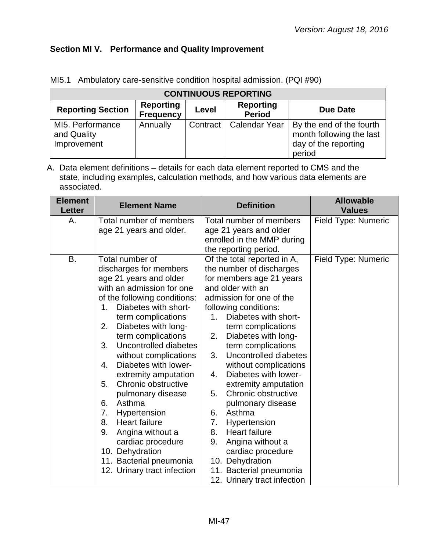## **Section MI V. Performance and Quality Improvement**

| <b>CONTINUOUS REPORTING</b>                    |                                      |          |                                   |                                                                                        |  |  |
|------------------------------------------------|--------------------------------------|----------|-----------------------------------|----------------------------------------------------------------------------------------|--|--|
| <b>Reporting Section</b>                       | <b>Reporting</b><br><b>Frequency</b> | Level    | <b>Reporting</b><br><b>Period</b> | <b>Due Date</b>                                                                        |  |  |
| MI5. Performance<br>and Quality<br>Improvement | Annually                             | Contract | <b>Calendar Year</b>              | By the end of the fourth<br>month following the last<br>day of the reporting<br>period |  |  |

MI5.1 Ambulatory care-sensitive condition hospital admission. (PQI #90)

| <b>Element</b><br><b>Letter</b> | <b>Element Name</b>                                                                                                                                                                                                                                                                                                                                                                                                                                                                                                                                                                                     | <b>Definition</b>                                                                                                                                                                                                                                                                                                                                                                                                                                                                                                                                                                                                                    | <b>Allowable</b><br><b>Values</b> |
|---------------------------------|---------------------------------------------------------------------------------------------------------------------------------------------------------------------------------------------------------------------------------------------------------------------------------------------------------------------------------------------------------------------------------------------------------------------------------------------------------------------------------------------------------------------------------------------------------------------------------------------------------|--------------------------------------------------------------------------------------------------------------------------------------------------------------------------------------------------------------------------------------------------------------------------------------------------------------------------------------------------------------------------------------------------------------------------------------------------------------------------------------------------------------------------------------------------------------------------------------------------------------------------------------|-----------------------------------|
| А.                              | Total number of members<br>age 21 years and older.                                                                                                                                                                                                                                                                                                                                                                                                                                                                                                                                                      | Total number of members<br>age 21 years and older<br>enrolled in the MMP during<br>the reporting period.                                                                                                                                                                                                                                                                                                                                                                                                                                                                                                                             | Field Type: Numeric               |
| <b>B.</b>                       | Total number of<br>discharges for members<br>age 21 years and older<br>with an admission for one<br>of the following conditions:<br>Diabetes with short-<br>1.<br>term complications<br>2.<br>Diabetes with long-<br>term complications<br>3.<br>Uncontrolled diabetes<br>without complications<br>Diabetes with lower-<br>4.<br>extremity amputation<br>Chronic obstructive<br>5.<br>pulmonary disease<br>Asthma<br>6.<br>7.<br>Hypertension<br>8.<br><b>Heart failure</b><br>9.<br>Angina without a<br>cardiac procedure<br>10. Dehydration<br>11. Bacterial pneumonia<br>12. Urinary tract infection | Of the total reported in A,<br>the number of discharges<br>for members age 21 years<br>and older with an<br>admission for one of the<br>following conditions:<br>Diabetes with short-<br>1.<br>term complications<br>Diabetes with long-<br>2.<br>term complications<br>Uncontrolled diabetes<br>3.<br>without complications<br>Diabetes with lower-<br>4.<br>extremity amputation<br>Chronic obstructive<br>5.<br>pulmonary disease<br>Asthma<br>6.<br>7.<br>Hypertension<br><b>Heart failure</b><br>8.<br>9.<br>Angina without a<br>cardiac procedure<br>10. Dehydration<br>11. Bacterial pneumonia<br>12. Urinary tract infection | Field Type: Numeric               |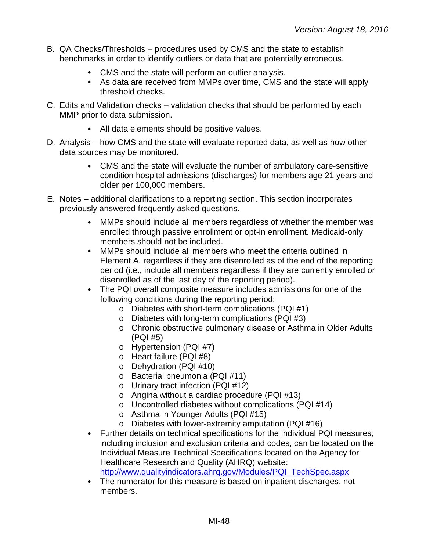- B. QA Checks/Thresholds procedures used by CMS and the state to establish benchmarks in order to identify outliers or data that are potentially erroneous.
	- CMS and the state will perform an outlier analysis.
	- As data are received from MMPs over time, CMS and the state will apply threshold checks.
- C. Edits and Validation checks validation checks that should be performed by each MMP prior to data submission.
	- All data elements should be positive values.
- D. Analysis how CMS and the state will evaluate reported data, as well as how other data sources may be monitored.
	- CMS and the state will evaluate the number of ambulatory care-sensitive condition hospital admissions (discharges) for members age 21 years and older per 100,000 members.
- E. Notes additional clarifications to a reporting section. This section incorporates previously answered frequently asked questions.
	- $\bullet$ MMPs should include all members regardless of whether the member was enrolled through passive enrollment or opt-in enrollment. Medicaid-only members should not be included.
	- MMPs should include all members who meet the criteria outlined in  $\bullet$ Element A, regardless if they are disenrolled as of the end of the reporting period (i.e., include all members regardless if they are currently enrolled or disenrolled as of the last day of the reporting period).
	- The PQI overall composite measure includes admissions for one of the following conditions during the reporting period:
		- o Diabetes with short-term complications (PQI #1)
		- o Diabetes with long-term complications (PQI #3)
		- o Chronic obstructive pulmonary disease or Asthma in Older Adults (PQI #5)
		- o Hypertension (PQI #7)
		- o Heart failure (PQI #8)
		- o Dehydration (PQI #10)
		- o Bacterial pneumonia (PQI #11)
		- o Urinary tract infection (PQI #12)
		- o Angina without a cardiac procedure (PQI #13)
		- o Uncontrolled diabetes without complications (PQI #14)
		- o Asthma in Younger Adults (PQI #15)
		- o Diabetes with lower-extremity amputation (PQI #16)
	- Further details on technical specifications for the individual PQI measures, including inclusion and exclusion criteria and codes, can be located on the Individual Measure Technical Specifications located on the Agency for Healthcare Research and Quality (AHRQ) website: [http://www.qualityindicators.ahrq.gov/Modules/PQI\\_TechSpec.aspx](http://www.qualityindicators.ahrq.gov/Modules/PQI_TechSpec.aspx)
	- The numerator for this measure is based on inpatient discharges, not members.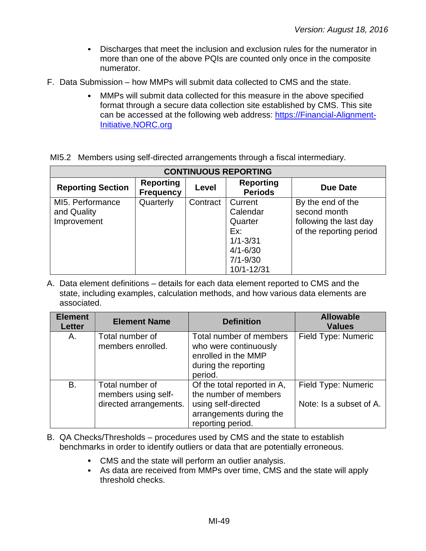- $\bullet$ Discharges that meet the inclusion and exclusion rules for the numerator in more than one of the above PQIs are counted only once in the composite numerator.
- F. Data Submission how MMPs will submit data collected to CMS and the state.
	- MMPs will submit data collected for this measure in the above specified  $\bullet$ format through a secure data collection site established by CMS. This site can be accessed at the following web address: [https://Financial-Alignment-](https://financial-alignment-initiative.norc.org/)[Initiative.NORC.org](https://financial-alignment-initiative.norc.org/)

|  |  |  |  |  |  | MI5.2 Members using self-directed arrangements through a fiscal intermediary. |
|--|--|--|--|--|--|-------------------------------------------------------------------------------|
|--|--|--|--|--|--|-------------------------------------------------------------------------------|

| <b>CONTINUOUS REPORTING</b>                    |                                      |              |                                                                                                     |                                                                                        |  |
|------------------------------------------------|--------------------------------------|--------------|-----------------------------------------------------------------------------------------------------|----------------------------------------------------------------------------------------|--|
| <b>Reporting Section</b>                       | <b>Reporting</b><br><b>Frequency</b> | <b>Level</b> | <b>Reporting</b><br><b>Periods</b>                                                                  | Due Date                                                                               |  |
| MI5. Performance<br>and Quality<br>Improvement | Quarterly                            | Contract     | Current<br>Calendar<br>Quarter<br>Ex:<br>$1/1 - 3/31$<br>$4/1 - 6/30$<br>$7/1 - 9/30$<br>10/1-12/31 | By the end of the<br>second month<br>following the last day<br>of the reporting period |  |

| <b>Element</b><br><b>Letter</b> | <b>Element Name</b>                                              | <b>Definition</b>                                                                                                           | <b>Allowable</b><br><b>Values</b>              |
|---------------------------------|------------------------------------------------------------------|-----------------------------------------------------------------------------------------------------------------------------|------------------------------------------------|
| Α.                              | Total number of<br>members enrolled.                             | Total number of members<br>who were continuously<br>enrolled in the MMP<br>during the reporting<br>period.                  | Field Type: Numeric                            |
| <b>B.</b>                       | Total number of<br>members using self-<br>directed arrangements. | Of the total reported in A,<br>the number of members<br>using self-directed<br>arrangements during the<br>reporting period. | Field Type: Numeric<br>Note: Is a subset of A. |

- B. QA Checks/Thresholds procedures used by CMS and the state to establish benchmarks in order to identify outliers or data that are potentially erroneous.
	- CMS and the state will perform an outlier analysis.
	- As data are received from MMPs over time, CMS and the state will apply threshold checks.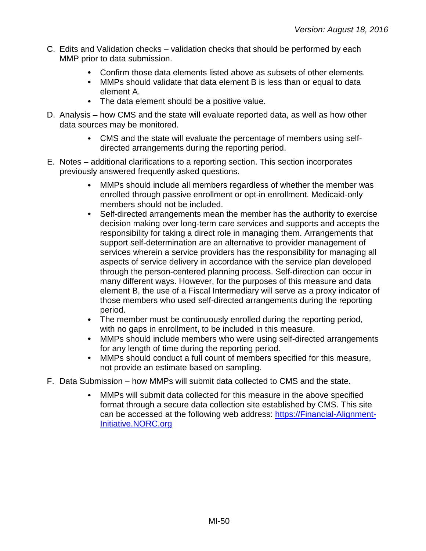- C. Edits and Validation checks validation checks that should be performed by each MMP prior to data submission.
	- Confirm those data elements listed above as subsets of other elements.
	- MMPs should validate that data element B is less than or equal to data element A.
	- The data element should be a positive value.
- D. Analysis how CMS and the state will evaluate reported data, as well as how other data sources may be monitored.
	- CMS and the state will evaluate the percentage of members using selfdirected arrangements during the reporting period.
- E. Notes additional clarifications to a reporting section. This section incorporates previously answered frequently asked questions.
	- MMPs should include all members regardless of whether the member was enrolled through passive enrollment or opt-in enrollment. Medicaid-only members should not be included.
	- Self-directed arrangements mean the member has the authority to exercise decision making over long-term care services and supports and accepts the responsibility for taking a direct role in managing them. Arrangements that support self-determination are an alternative to provider management of services wherein a service providers has the responsibility for managing all aspects of service delivery in accordance with the service plan developed through the person-centered planning process. Self-direction can occur in many different ways. However, for the purposes of this measure and data element B, the use of a Fiscal Intermediary will serve as a proxy indicator of those members who used self-directed arrangements during the reporting period.
	- The member must be continuously enrolled during the reporting period, with no gaps in enrollment, to be included in this measure.
	- $\bullet$ MMPs should include members who were using self-directed arrangements for any length of time during the reporting period.
	- $\bullet$ MMPs should conduct a full count of members specified for this measure, not provide an estimate based on sampling.
- F. Data Submission how MMPs will submit data collected to CMS and the state.
	- MMPs will submit data collected for this measure in the above specified  $\bullet$ format through a secure data collection site established by CMS. This site can be accessed at the following web address: [https://Financial-Alignment-](https://financial-alignment-initiative.norc.org/)[Initiative.NORC.org](https://financial-alignment-initiative.norc.org/)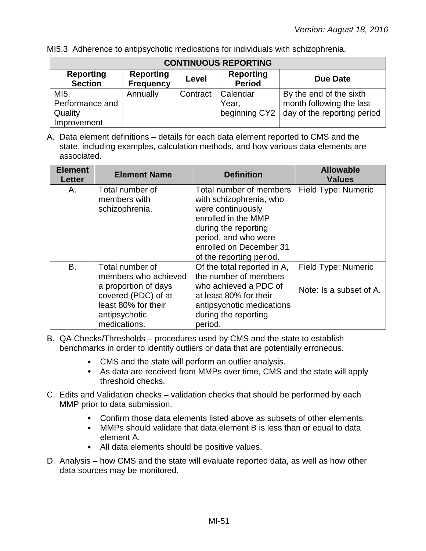MI5.3 Adherence to antipsychotic medications for individuals with schizophrenia.

| <b>CONTINUOUS REPORTING</b>        |                                      |          |                                   |                                                                                                  |  |  |
|------------------------------------|--------------------------------------|----------|-----------------------------------|--------------------------------------------------------------------------------------------------|--|--|
| <b>Reporting</b><br><b>Section</b> | <b>Reporting</b><br><b>Frequency</b> | Level    | <b>Reporting</b><br><b>Period</b> | <b>Due Date</b>                                                                                  |  |  |
| MI5.<br>Performance and<br>Quality | Annually                             | Contract | Calendar<br>Year,                 | By the end of the sixth<br>month following the last<br>beginning CY2 day of the reporting period |  |  |
| Improvement                        |                                      |          |                                   |                                                                                                  |  |  |

A. Data element definitions – details for each data element reported to CMS and the state, including examples, calculation methods, and how various data elements are associated.

| <b>Element</b><br><b>Letter</b> | <b>Element Name</b>                                                                                                                            | <b>Definition</b>                                                                                                                                                                                     | <b>Allowable</b><br><b>Values</b>              |
|---------------------------------|------------------------------------------------------------------------------------------------------------------------------------------------|-------------------------------------------------------------------------------------------------------------------------------------------------------------------------------------------------------|------------------------------------------------|
| А.                              | Total number of<br>members with<br>schizophrenia.                                                                                              | Total number of members<br>with schizophrenia, who<br>were continuously<br>enrolled in the MMP<br>during the reporting<br>period, and who were<br>enrolled on December 31<br>of the reporting period. | Field Type: Numeric                            |
| <b>B.</b>                       | Total number of<br>members who achieved<br>a proportion of days<br>covered (PDC) of at<br>least 80% for their<br>antipsychotic<br>medications. | Of the total reported in A,<br>the number of members<br>who achieved a PDC of<br>at least 80% for their<br>antipsychotic medications<br>during the reporting<br>period.                               | Field Type: Numeric<br>Note: Is a subset of A. |

B. QA Checks/Thresholds – procedures used by CMS and the state to establish benchmarks in order to identify outliers or data that are potentially erroneous.

- CMS and the state will perform an outlier analysis.
- As data are received from MMPs over time, CMS and the state will apply threshold checks.
- C. Edits and Validation checks validation checks that should be performed by each MMP prior to data submission.
	- Confirm those data elements listed above as subsets of other elements.
	- MMPs should validate that data element B is less than or equal to data element A.
	- All data elements should be positive values.
- D. Analysis how CMS and the state will evaluate reported data, as well as how other data sources may be monitored.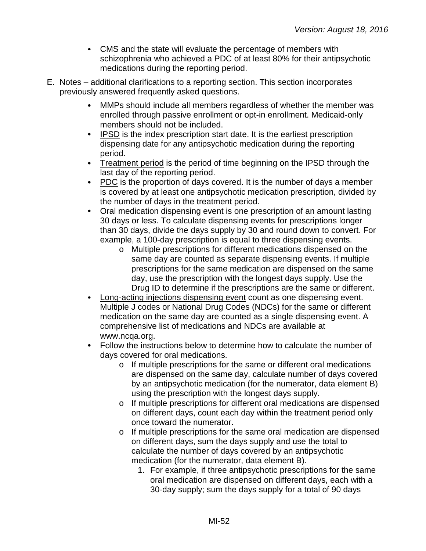- CMS and the state will evaluate the percentage of members with schizophrenia who achieved a PDC of at least 80% for their antipsychotic medications during the reporting period.
- E. Notes additional clarifications to a reporting section. This section incorporates previously answered frequently asked questions.
	- MMPs should include all members regardless of whether the member was  $\bullet$ enrolled through passive enrollment or opt-in enrollment. Medicaid-only members should not be included.
	- IPSD is the index prescription start date. It is the earliest prescription dispensing date for any antipsychotic medication during the reporting period.
	- Treatment period is the period of time beginning on the IPSD through the  $\bullet$ last day of the reporting period.
	- PDC is the proportion of days covered. It is the number of days a member is covered by at least one antipsychotic medication prescription, divided by the number of days in the treatment period.
	- Oral medication dispensing event is one prescription of an amount lasting  $\bullet$ 30 days or less. To calculate dispensing events for prescriptions longer than 30 days, divide the days supply by 30 and round down to convert. For example, a 100-day prescription is equal to three dispensing events.
		- o Multiple prescriptions for different medications dispensed on the same day are counted as separate dispensing events. If multiple prescriptions for the same medication are dispensed on the same day, use the prescription with the longest days supply. Use the Drug ID to determine if the prescriptions are the same or different.
	- Long-acting injections dispensing event count as one dispensing event. Multiple J codes or National Drug Codes (NDCs) for the same or different medication on the same day are counted as a single dispensing event. A comprehensive list of medications and NDCs are available at www.ncqa.org.
	- Follow the instructions below to determine how to calculate the number of days covered for oral medications.
		- o If multiple prescriptions for the same or different oral medications are dispensed on the same day, calculate number of days covered by an antipsychotic medication (for the numerator, data element B) using the prescription with the longest days supply.
		- o If multiple prescriptions for different oral medications are dispensed on different days, count each day within the treatment period only once toward the numerator.
		- o If multiple prescriptions for the same oral medication are dispensed on different days, sum the days supply and use the total to calculate the number of days covered by an antipsychotic medication (for the numerator, data element B).
			- 1. For example, if three antipsychotic prescriptions for the same oral medication are dispensed on different days, each with a 30-day supply; sum the days supply for a total of 90 days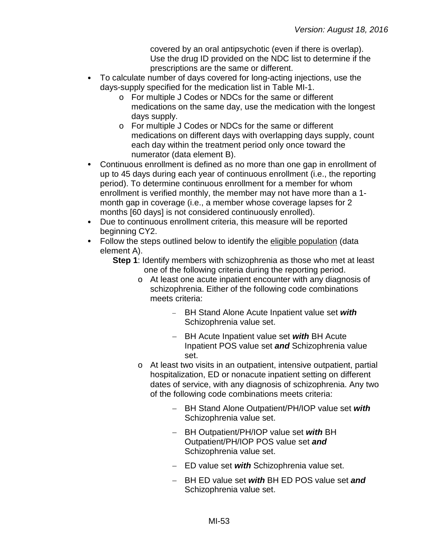covered by an oral antipsychotic (even if there is overlap). Use the drug ID provided on the NDC list to determine if the prescriptions are the same or different.

- To calculate number of days covered for long-acting injections, use the days-supply specified for the medication list in Table MI-1.
	- o For multiple J Codes or NDCs for the same or different medications on the same day, use the medication with the longest days supply.
	- o For multiple J Codes or NDCs for the same or different medications on different days with overlapping days supply, count each day within the treatment period only once toward the numerator (data element B).
- $\bullet$ Continuous enrollment is defined as no more than one gap in enrollment of up to 45 days during each year of continuous enrollment (i.e., the reporting period). To determine continuous enrollment for a member for whom enrollment is verified monthly, the member may not have more than a 1 month gap in coverage (i.e., a member whose coverage lapses for 2 months [60 days] is not considered continuously enrolled).
- Due to continuous enrollment criteria, this measure will be reported  $\bullet$ beginning CY2.
- Follow the steps outlined below to identify the eligible population (data element A).
	- **Step 1**: Identify members with schizophrenia as those who met at least one of the following criteria during the reporting period.
		- o At least one acute inpatient encounter with any diagnosis of schizophrenia. Either of the following code combinations meets criteria:
			- − BH Stand Alone Acute Inpatient value set *with*  Schizophrenia value set.
			- − BH Acute Inpatient value set *with* BH Acute Inpatient POS value set *and* Schizophrenia value set.
		- o At least two visits in an outpatient, intensive outpatient, partial hospitalization, ED or nonacute inpatient setting on different dates of service, with any diagnosis of schizophrenia. Any two of the following code combinations meets criteria:
			- − BH Stand Alone Outpatient/PH/IOP value set *with* Schizophrenia value set.
			- − BH Outpatient/PH/IOP value set *with* BH Outpatient/PH/IOP POS value set *and* Schizophrenia value set.
			- − ED value set *with* Schizophrenia value set.
			- − BH ED value set *with* BH ED POS value set *and* Schizophrenia value set.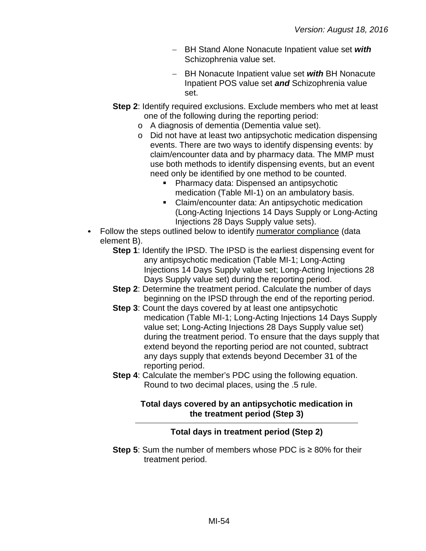- − BH Stand Alone Nonacute Inpatient value set *with* Schizophrenia value set.
- − BH Nonacute Inpatient value set *with* BH Nonacute Inpatient POS value set *and* Schizophrenia value set.
- **Step 2**: Identify required exclusions. Exclude members who met at least one of the following during the reporting period:
	- o A diagnosis of dementia (Dementia value set).
	- o Did not have at least two antipsychotic medication dispensing events. There are two ways to identify dispensing events: by claim/encounter data and by pharmacy data. The MMP must use both methods to identify dispensing events, but an event need only be identified by one method to be counted.
		- **Pharmacy data: Dispensed an antipsychotic** medication (Table MI-1) on an ambulatory basis.
		- **EXECLA** Claim/encounter data: An antipsychotic medication (Long-Acting Injections 14 Days Supply or Long-Acting Injections 28 Days Supply value sets).
- Follow the steps outlined below to identify numerator compliance (data element B).
	- **Step 1**: Identify the IPSD. The IPSD is the earliest dispensing event for any antipsychotic medication (Table MI-1; Long-Acting Injections 14 Days Supply value set; Long-Acting Injections 28 Days Supply value set) during the reporting period.
	- **Step 2**: Determine the treatment period. Calculate the number of days beginning on the IPSD through the end of the reporting period.
	- **Step 3**: Count the days covered by at least one antipsychotic medication (Table MI-1; Long-Acting Injections 14 Days Supply value set; Long-Acting Injections 28 Days Supply value set) during the treatment period. To ensure that the days supply that extend beyond the reporting period are not counted, subtract any days supply that extends beyond December 31 of the reporting period.
	- **Step 4:** Calculate the member's PDC using the following equation. Round to two decimal places, using the .5 rule.

### **Total days covered by an antipsychotic medication in the treatment period (Step 3)**

## **Total days in treatment period (Step 2)**

**Step 5**: Sum the number of members whose PDC is ≥ 80% for their treatment period.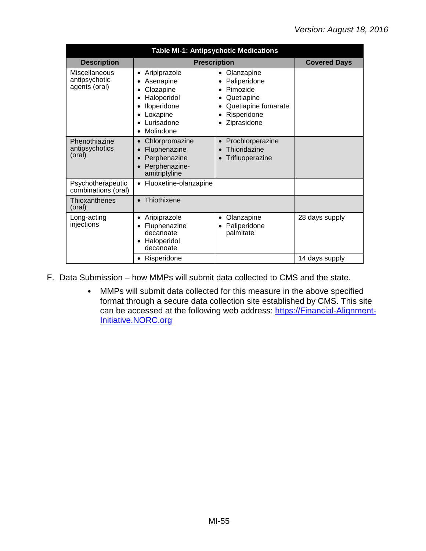| <b>Table MI-1: Antipsychotic Medications</b>    |                                                                                                                                                 |                                                                                                                        |                     |  |
|-------------------------------------------------|-------------------------------------------------------------------------------------------------------------------------------------------------|------------------------------------------------------------------------------------------------------------------------|---------------------|--|
| <b>Description</b>                              | <b>Prescription</b>                                                                                                                             |                                                                                                                        | <b>Covered Days</b> |  |
| Miscellaneous<br>antipsychotic<br>agents (oral) | Aripiprazole<br>$\bullet$<br>Asenapine<br>٠<br>Clozapine<br>٠<br>Haloperidol<br>Iloperidone<br>Loxapine<br>Lurisadone<br>Molindone<br>$\bullet$ | Olanzapine<br>$\bullet$<br>Paliperidone<br>Pimozide<br>Quetiapine<br>Quetiapine fumarate<br>Risperidone<br>Ziprasidone |                     |  |
| Phenothiazine<br>antipsychotics<br>(oral)       | Chlorpromazine<br>$\bullet$<br>Fluphenazine<br>Perphenazine<br>$\bullet$<br>Perphenazine-<br>amitriptyline                                      | Prochlorperazine<br>Thioridazine<br>Trifluoperazine                                                                    |                     |  |
| Psychotherapeutic<br>combinations (oral)        | Fluoxetine-olanzapine                                                                                                                           |                                                                                                                        |                     |  |
| Thioxanthenes<br>(oral)                         | Thiothixene<br>$\bullet$                                                                                                                        |                                                                                                                        |                     |  |
| Long-acting<br>injections                       | Aripiprazole<br>$\bullet$<br>Fluphenazine<br>decanoate<br>Haloperidol<br>decanoate                                                              | Olanzapine<br>Paliperidone<br>palmitate                                                                                | 28 days supply      |  |
|                                                 | Risperidone                                                                                                                                     |                                                                                                                        | 14 days supply      |  |

F. Data Submission – how MMPs will submit data collected to CMS and the state.

MMPs will submit data collected for this measure in the above specified  $\bullet$ format through a secure data collection site established by CMS. This site can be accessed at the following web address: [https://Financial-Alignment-](https://financial-alignment-initiative.norc.org/)[Initiative.NORC.org](https://financial-alignment-initiative.norc.org/)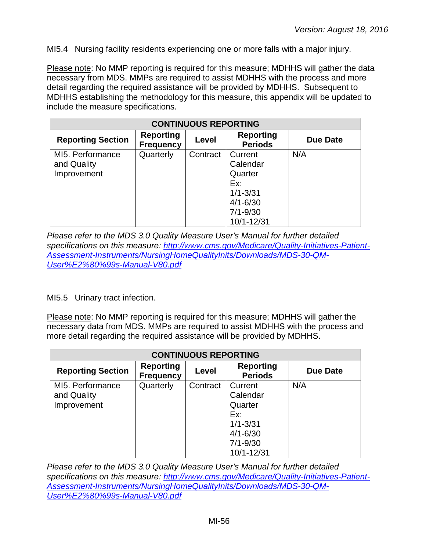MI5.4 Nursing facility residents experiencing one or more falls with a major injury.

Please note: No MMP reporting is required for this measure; MDHHS will gather the data necessary from MDS. MMPs are required to assist MDHHS with the process and more detail regarding the required assistance will be provided by MDHHS. Subsequent to MDHHS establishing the methodology for this measure, this appendix will be updated to include the measure specifications.

| <b>CONTINUOUS REPORTING</b>                    |                                      |          |                                            |                 |  |
|------------------------------------------------|--------------------------------------|----------|--------------------------------------------|-----------------|--|
| <b>Reporting Section</b>                       | <b>Reporting</b><br><b>Frequency</b> | Level    | <b>Reporting</b><br><b>Periods</b>         | <b>Due Date</b> |  |
| MI5. Performance<br>and Quality<br>Improvement | Quarterly                            | Contract | Current<br>Calendar<br>Quarter             | N/A             |  |
|                                                |                                      |          | Ex:<br>$1/1 - 3/31$                        |                 |  |
|                                                |                                      |          | $4/1 - 6/30$<br>$7/1 - 9/30$<br>10/1-12/31 |                 |  |

*Please refer to the MDS 3.0 Quality Measure User's Manual for further detailed specifications on this measure: [http://www.cms.gov/Medicare/Quality-Initiatives-Patient-](http://www.cms.gov/Medicare/Quality-Initiatives-Patient-Assessment-Instruments/NursingHomeQualityInits/Downloads/MDS-30-QM-User%E2%80%99s-Manual-V80.pdf)[Assessment-Instruments/NursingHomeQualityInits/Downloads/MDS-30-QM-](http://www.cms.gov/Medicare/Quality-Initiatives-Patient-Assessment-Instruments/NursingHomeQualityInits/Downloads/MDS-30-QM-User%E2%80%99s-Manual-V80.pdf)[User%E2%80%99s-Manual-V80.pdf](http://www.cms.gov/Medicare/Quality-Initiatives-Patient-Assessment-Instruments/NursingHomeQualityInits/Downloads/MDS-30-QM-User%E2%80%99s-Manual-V80.pdf)*

MI5.5 Urinary tract infection.

Please note: No MMP reporting is required for this measure; MDHHS will gather the necessary data from MDS. MMPs are required to assist MDHHS with the process and more detail regarding the required assistance will be provided by MDHHS.

| <b>CONTINUOUS REPORTING</b> |                                      |          |                                    |                 |  |
|-----------------------------|--------------------------------------|----------|------------------------------------|-----------------|--|
| <b>Reporting Section</b>    | <b>Reporting</b><br><b>Frequency</b> | Level    | <b>Reporting</b><br><b>Periods</b> | <b>Due Date</b> |  |
| MI5. Performance            | Quarterly                            | Contract | Current                            | N/A             |  |
| and Quality                 |                                      |          | Calendar                           |                 |  |
| Improvement                 |                                      |          | Quarter<br>Ex:                     |                 |  |
|                             |                                      |          | $1/1 - 3/31$                       |                 |  |
|                             |                                      |          | $4/1 - 6/30$                       |                 |  |
|                             |                                      |          | $7/1 - 9/30$                       |                 |  |
|                             |                                      |          | 10/1-12/31                         |                 |  |

*Please refer to the MDS 3.0 Quality Measure User's Manual for further detailed specifications on this measure: [http://www.cms.gov/Medicare/Quality-Initiatives-Patient-](http://www.cms.gov/Medicare/Quality-Initiatives-Patient-Assessment-Instruments/NursingHomeQualityInits/Downloads/MDS-30-QM-User%E2%80%99s-Manual-V80.pdf)[Assessment-Instruments/NursingHomeQualityInits/Downloads/MDS-30-QM-](http://www.cms.gov/Medicare/Quality-Initiatives-Patient-Assessment-Instruments/NursingHomeQualityInits/Downloads/MDS-30-QM-User%E2%80%99s-Manual-V80.pdf)[User%E2%80%99s-Manual-V80.pdf](http://www.cms.gov/Medicare/Quality-Initiatives-Patient-Assessment-Instruments/NursingHomeQualityInits/Downloads/MDS-30-QM-User%E2%80%99s-Manual-V80.pdf)*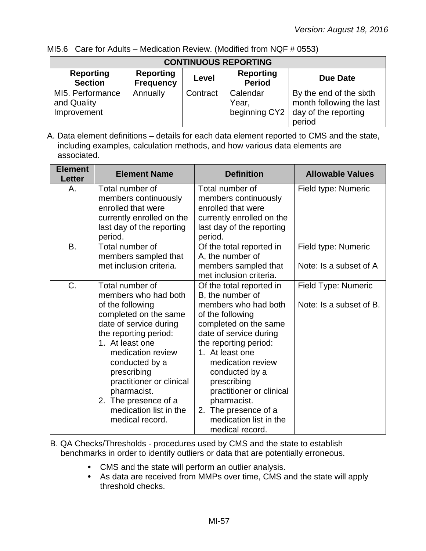| <b>CONTINUOUS REPORTING</b>                    |                                      |          |                                    |                                                                                       |  |
|------------------------------------------------|--------------------------------------|----------|------------------------------------|---------------------------------------------------------------------------------------|--|
| <b>Reporting</b><br><b>Section</b>             | <b>Reporting</b><br><b>Frequency</b> | Level    | <b>Reporting</b><br><b>Period</b>  | Due Date                                                                              |  |
| MI5. Performance<br>and Quality<br>Improvement | Annually                             | Contract | Calendar<br>Year.<br>beginning CY2 | By the end of the sixth<br>month following the last<br>day of the reporting<br>period |  |

MI5.6 Care for Adults – Medication Review. (Modified from NQF # 0553)

| <b>Element</b><br><b>Letter</b> | <b>Element Name</b>                                                                                                                                                                                                                                                                                                              | <b>Definition</b>                                                                                                                                                                                                                                                                                                                                             | <b>Allowable Values</b>                        |
|---------------------------------|----------------------------------------------------------------------------------------------------------------------------------------------------------------------------------------------------------------------------------------------------------------------------------------------------------------------------------|---------------------------------------------------------------------------------------------------------------------------------------------------------------------------------------------------------------------------------------------------------------------------------------------------------------------------------------------------------------|------------------------------------------------|
| Α.                              | Total number of<br>members continuously<br>enrolled that were<br>currently enrolled on the<br>last day of the reporting<br>period.                                                                                                                                                                                               | Total number of<br>members continuously<br>enrolled that were<br>currently enrolled on the<br>last day of the reporting<br>period.                                                                                                                                                                                                                            | Field type: Numeric                            |
| <b>B.</b>                       | Total number of<br>members sampled that<br>met inclusion criteria.                                                                                                                                                                                                                                                               | Of the total reported in<br>A, the number of<br>members sampled that<br>met inclusion criteria.                                                                                                                                                                                                                                                               | Field type: Numeric<br>Note: Is a subset of A  |
| C.                              | Total number of<br>members who had both<br>of the following<br>completed on the same<br>date of service during<br>the reporting period:<br>1. At least one<br>medication review<br>conducted by a<br>prescribing<br>practitioner or clinical<br>pharmacist.<br>2. The presence of a<br>medication list in the<br>medical record. | Of the total reported in<br>B, the number of<br>members who had both<br>of the following<br>completed on the same<br>date of service during<br>the reporting period:<br>1. At least one<br>medication review<br>conducted by a<br>prescribing<br>practitioner or clinical<br>pharmacist.<br>2. The presence of a<br>medication list in the<br>medical record. | Field Type: Numeric<br>Note: Is a subset of B. |

- B. QA Checks/Thresholds procedures used by CMS and the state to establish benchmarks in order to identify outliers or data that are potentially erroneous.
	- CMS and the state will perform an outlier analysis.
	- As data are received from MMPs over time, CMS and the state will apply threshold checks.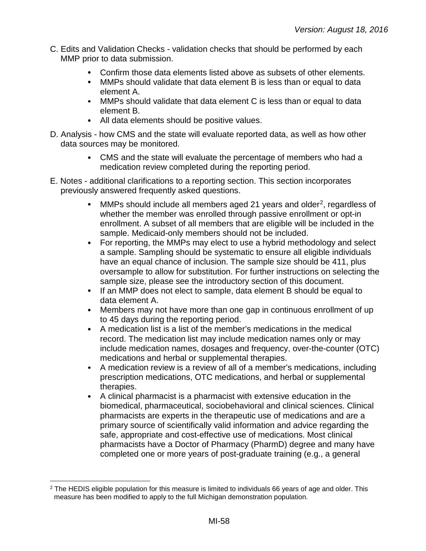- C. Edits and Validation Checks validation checks that should be performed by each MMP prior to data submission.
	- Confirm those data elements listed above as subsets of other elements.  $\bullet$
	- MMPs should validate that data element B is less than or equal to data element A.
	- MMPs should validate that data element C is less than or equal to data element B.
	- All data elements should be positive values.
- D. Analysis how CMS and the state will evaluate reported data, as well as how other data sources may be monitored.
	- CMS and the state will evaluate the percentage of members who had a medication review completed during the reporting period.
- E. Notes additional clarifications to a reporting section. This section incorporates previously answered frequently asked questions.
	- MMPs should include all members aged 21 years and older<sup>2</sup>, regardless of  $\bullet$ whether the member was enrolled through passive enrollment or opt-in enrollment. A subset of all members that are eligible will be included in the sample. Medicaid-only members should not be included.
	- For reporting, the MMPs may elect to use a hybrid methodology and select  $\bullet$ a sample. Sampling should be systematic to ensure all eligible individuals have an equal chance of inclusion. The sample size should be 411, plus oversample to allow for substitution. For further instructions on selecting the sample size, please see the introductory section of this document.
	- If an MMP does not elect to sample, data element B should be equal to data element A.
	- $\bullet$ Members may not have more than one gap in continuous enrollment of up to 45 days during the reporting period.
	- A medication list is a list of the member's medications in the medical  $\bullet$ record. The medication list may include medication names only or may include medication names, dosages and frequency, over-the-counter (OTC) medications and herbal or supplemental therapies.
	- $\bullet$ A medication review is a review of all of a member's medications, including prescription medications, OTC medications, and herbal or supplemental therapies.
	- A clinical pharmacist is a pharmacist with extensive education in the  $\bullet$ biomedical, pharmaceutical, sociobehavioral and clinical sciences. Clinical pharmacists are experts in the therapeutic use of medications and are a primary source of scientifically valid information and advice regarding the safe, appropriate and cost-effective use of medications. Most clinical pharmacists have a Doctor of Pharmacy (PharmD) degree and many have completed one or more years of post-graduate training (e.g., a general

<span id="page-57-0"></span><sup>&</sup>lt;sup>2</sup> The HEDIS eligible population for this measure is limited to individuals 66 years of age and older. This measure has been modified to apply to the full Michigan demonstration population.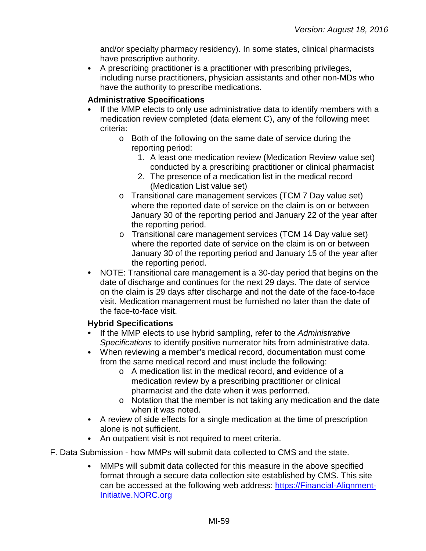and/or specialty pharmacy residency). In some states, clinical pharmacists have prescriptive authority.

A prescribing practitioner is a practitioner with prescribing privileges,  $\bullet$ including nurse practitioners, physician assistants and other non-MDs who have the authority to prescribe medications.

### **Administrative Specifications**

- If the MMP elects to only use administrative data to identify members with a medication review completed (data element C), any of the following meet criteria:
	- o Both of the following on the same date of service during the reporting period:
		- 1. A least one medication review (Medication Review value set) conducted by a prescribing practitioner or clinical pharmacist
		- 2. The presence of a medication list in the medical record (Medication List value set)
	- o Transitional care management services (TCM 7 Day value set) where the reported date of service on the claim is on or between January 30 of the reporting period and January 22 of the year after the reporting period.
	- o Transitional care management services (TCM 14 Day value set) where the reported date of service on the claim is on or between January 30 of the reporting period and January 15 of the year after the reporting period.
- $\bullet$ NOTE: Transitional care management is a 30-day period that begins on the date of discharge and continues for the next 29 days. The date of service on the claim is 29 days after discharge and not the date of the face-to-face visit. Medication management must be furnished no later than the date of the face-to-face visit.

### **Hybrid Specifications**

- If the MMP elects to use hybrid sampling, refer to the *Administrative*   $\bullet$ *Specifications* to identify positive numerator hits from administrative data.
- When reviewing a member's medical record, documentation must come from the same medical record and must include the following:
	- o A medication list in the medical record, **and** evidence of a medication review by a prescribing practitioner or clinical pharmacist and the date when it was performed.
	- o Notation that the member is not taking any medication and the date when it was noted.
- A review of side effects for a single medication at the time of prescription alone is not sufficient.
- An outpatient visit is not required to meet criteria.
- F. Data Submission how MMPs will submit data collected to CMS and the state.
	- $\bullet$ MMPs will submit data collected for this measure in the above specified format through a secure data collection site established by CMS. This site can be accessed at the following web address: [https://Financial-Alignment-](https://financial-alignment-initiative.norc.org/)[Initiative.NORC.org](https://financial-alignment-initiative.norc.org/)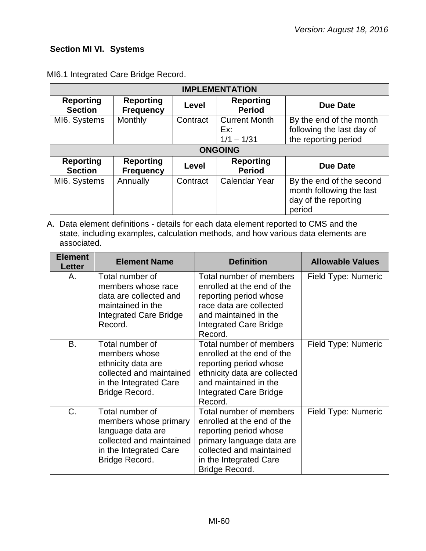## **Section MI VI. Systems**

| <b>IMPLEMENTATION</b>              |                                      |          |                                             |                                                                                        |
|------------------------------------|--------------------------------------|----------|---------------------------------------------|----------------------------------------------------------------------------------------|
| <b>Reporting</b><br><b>Section</b> | <b>Reporting</b><br><b>Frequency</b> | Level    | <b>Reporting</b><br><b>Period</b>           | <b>Due Date</b>                                                                        |
| MI6. Systems                       | Monthly                              | Contract | <b>Current Month</b><br>Ex:<br>$1/1 - 1/31$ | By the end of the month<br>following the last day of<br>the reporting period           |
|                                    |                                      |          | <b>ONGOING</b>                              |                                                                                        |
| <b>Reporting</b><br><b>Section</b> | <b>Reporting</b><br><b>Frequency</b> | Level    | <b>Reporting</b><br><b>Period</b>           | <b>Due Date</b>                                                                        |
| MI6. Systems                       | Annually                             | Contract | <b>Calendar Year</b>                        | By the end of the second<br>month following the last<br>day of the reporting<br>period |

MI6.1 Integrated Care Bridge Record.

| <b>Element</b><br><b>Letter</b> | <b>Element Name</b>                                                                                                                   | <b>Definition</b>                                                                                                                                                                    | <b>Allowable Values</b> |
|---------------------------------|---------------------------------------------------------------------------------------------------------------------------------------|--------------------------------------------------------------------------------------------------------------------------------------------------------------------------------------|-------------------------|
| Α.                              | Total number of<br>members whose race<br>data are collected and<br>maintained in the<br>Integrated Care Bridge<br>Record.             | Total number of members<br>enrolled at the end of the<br>reporting period whose<br>race data are collected<br>and maintained in the<br><b>Integrated Care Bridge</b><br>Record.      | Field Type: Numeric     |
| В.                              | Total number of<br>members whose<br>ethnicity data are<br>collected and maintained<br>in the Integrated Care<br>Bridge Record.        | Total number of members<br>enrolled at the end of the<br>reporting period whose<br>ethnicity data are collected<br>and maintained in the<br>Integrated Care Bridge<br>Record.        | Field Type: Numeric     |
| C.                              | Total number of<br>members whose primary<br>language data are<br>collected and maintained<br>in the Integrated Care<br>Bridge Record. | Total number of members<br>enrolled at the end of the<br>reporting period whose<br>primary language data are<br>collected and maintained<br>in the Integrated Care<br>Bridge Record. | Field Type: Numeric     |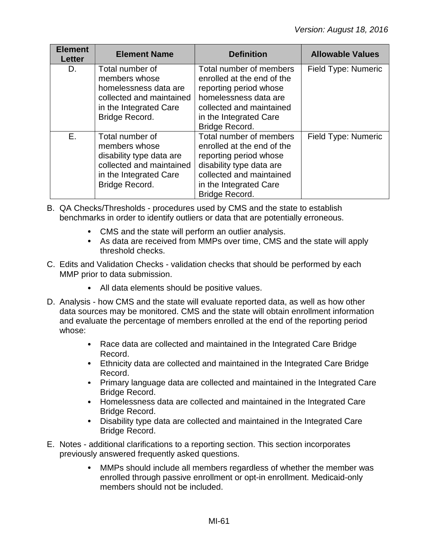| <b>Element</b><br><b>Letter</b> | <b>Element Name</b>                                                                                                                  | <b>Definition</b>                                                                                                                                                                   | <b>Allowable Values</b> |
|---------------------------------|--------------------------------------------------------------------------------------------------------------------------------------|-------------------------------------------------------------------------------------------------------------------------------------------------------------------------------------|-------------------------|
| D.                              | Total number of<br>members whose<br>homelessness data are<br>collected and maintained<br>in the Integrated Care<br>Bridge Record.    | Total number of members<br>enrolled at the end of the<br>reporting period whose<br>homelessness data are<br>collected and maintained<br>in the Integrated Care<br>Bridge Record.    | Field Type: Numeric     |
| E.                              | Total number of<br>members whose<br>disability type data are<br>collected and maintained<br>in the Integrated Care<br>Bridge Record. | Total number of members<br>enrolled at the end of the<br>reporting period whose<br>disability type data are<br>collected and maintained<br>in the Integrated Care<br>Bridge Record. | Field Type: Numeric     |

- B. QA Checks/Thresholds procedures used by CMS and the state to establish benchmarks in order to identify outliers or data that are potentially erroneous.
	- CMS and the state will perform an outlier analysis.
	- As data are received from MMPs over time, CMS and the state will apply threshold checks.
- C. Edits and Validation Checks validation checks that should be performed by each MMP prior to data submission.
	- All data elements should be positive values.
- D. Analysis how CMS and the state will evaluate reported data, as well as how other data sources may be monitored. CMS and the state will obtain enrollment information and evaluate the percentage of members enrolled at the end of the reporting period whose:
	- Race data are collected and maintained in the Integrated Care Bridge Record.
	- Ethnicity data are collected and maintained in the Integrated Care Bridge Record.
	- Primary language data are collected and maintained in the Integrated Care Bridge Record.
	- Homelessness data are collected and maintained in the Integrated Care Bridge Record.
	- Disability type data are collected and maintained in the Integrated Care Bridge Record.
- E. Notes additional clarifications to a reporting section. This section incorporates previously answered frequently asked questions.
	- $\bullet$ MMPs should include all members regardless of whether the member was enrolled through passive enrollment or opt-in enrollment. Medicaid-only members should not be included.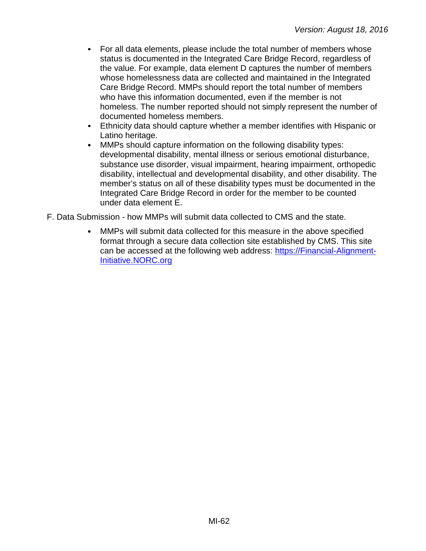- $\bullet$ For all data elements, please include the total number of members whose status is documented in the Integrated Care Bridge Record, regardless of the value. For example, data element D captures the number of members whose homelessness data are collected and maintained in the Integrated Care Bridge Record. MMPs should report the total number of members who have this information documented, even if the member is not homeless. The number reported should not simply represent the number of documented homeless members.
- $\bullet$ Ethnicity data should capture whether a member identifies with Hispanic or Latino heritage.
- $\bullet$ MMPs should capture information on the following disability types: developmental disability, mental illness or serious emotional disturbance, substance use disorder, visual impairment, hearing impairment, orthopedic disability, intellectual and developmental disability, and other disability. The member's status on all of these disability types must be documented in the Integrated Care Bridge Record in order for the member to be counted under data element E.
- F. Data Submission how MMPs will submit data collected to CMS and the state.
	- MMPs will submit data collected for this measure in the above specified format through a secure data collection site established by CMS. This site can be accessed at the following web address: [https://Financial-Alignment-](https://financial-alignment-initiative.norc.org/)[Initiative.NORC.org](https://financial-alignment-initiative.norc.org/)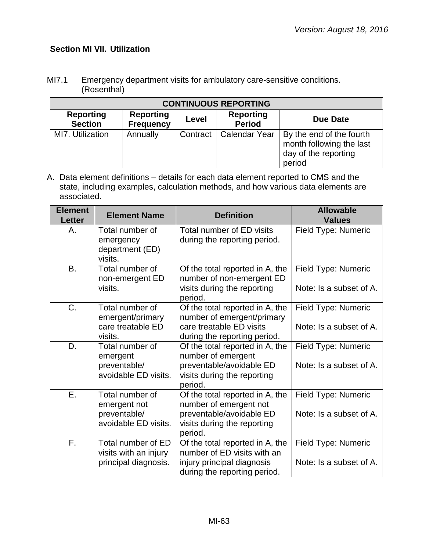# **Section MI VII. Utilization**

| MI7.1 | Emergency department visits for ambulatory care-sensitive conditions. |
|-------|-----------------------------------------------------------------------|
|       | (Rosenthal)                                                           |

| <b>CONTINUOUS REPORTING</b>        |                                      |          |                                   |                                                                                        |  |
|------------------------------------|--------------------------------------|----------|-----------------------------------|----------------------------------------------------------------------------------------|--|
| <b>Reporting</b><br><b>Section</b> | <b>Reporting</b><br><b>Frequency</b> | Level    | <b>Reporting</b><br><b>Period</b> | Due Date                                                                               |  |
| MI7. Utilization                   | Annually                             | Contract | Calendar Year                     | By the end of the fourth<br>month following the last<br>day of the reporting<br>period |  |

| <b>Element</b><br><b>Letter</b> | <b>Element Name</b>                                                     | <b>Definition</b>                                                                                                               | <b>Allowable</b><br><b>Values</b>              |
|---------------------------------|-------------------------------------------------------------------------|---------------------------------------------------------------------------------------------------------------------------------|------------------------------------------------|
| Α.                              | Total number of<br>emergency<br>department (ED)<br>visits.              | Total number of ED visits<br>during the reporting period.                                                                       | Field Type: Numeric                            |
| <b>B.</b>                       | Total number of<br>non-emergent ED<br>visits.                           | Of the total reported in A, the<br>number of non-emergent ED<br>visits during the reporting<br>period.                          | Field Type: Numeric<br>Note: Is a subset of A. |
| C.                              | Total number of<br>emergent/primary<br>care treatable ED<br>visits.     | Of the total reported in A, the<br>number of emergent/primary<br>care treatable ED visits<br>during the reporting period.       | Field Type: Numeric<br>Note: Is a subset of A. |
| D.                              | Total number of<br>emergent<br>preventable/<br>avoidable ED visits.     | Of the total reported in A, the<br>number of emergent<br>preventable/avoidable ED<br>visits during the reporting<br>period.     | Field Type: Numeric<br>Note: Is a subset of A. |
| $\overline{E}$ .                | Total number of<br>emergent not<br>preventable/<br>avoidable ED visits. | Of the total reported in A, the<br>number of emergent not<br>preventable/avoidable ED<br>visits during the reporting<br>period. | Field Type: Numeric<br>Note: Is a subset of A. |
| F.                              | Total number of ED<br>visits with an injury<br>principal diagnosis.     | Of the total reported in A, the<br>number of ED visits with an<br>injury principal diagnosis<br>during the reporting period.    | Field Type: Numeric<br>Note: Is a subset of A. |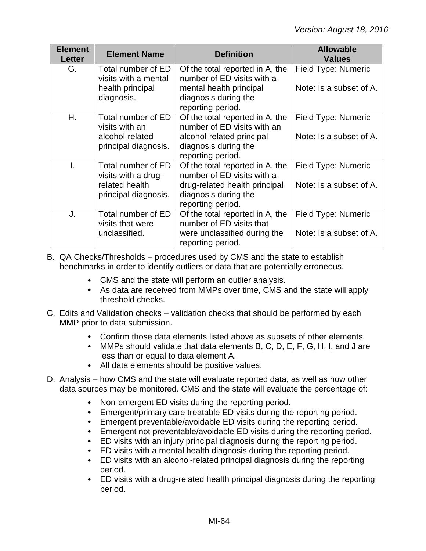| <b>Element</b><br><b>Letter</b> | <b>Element Name</b>                                                                 | <b>Definition</b>                                                                                                                           | <b>Allowable</b><br><b>Values</b>              |
|---------------------------------|-------------------------------------------------------------------------------------|---------------------------------------------------------------------------------------------------------------------------------------------|------------------------------------------------|
| G.                              | Total number of ED<br>visits with a mental<br>health principal<br>diagnosis.        | Of the total reported in A, the<br>number of ED visits with a<br>mental health principal<br>diagnosis during the<br>reporting period.       | Field Type: Numeric<br>Note: Is a subset of A. |
| Η.                              | Total number of ED<br>visits with an<br>alcohol-related<br>principal diagnosis.     | Of the total reported in A, the<br>number of ED visits with an<br>alcohol-related principal<br>diagnosis during the<br>reporting period.    | Field Type: Numeric<br>Note: Is a subset of A. |
| T.                              | Total number of ED<br>visits with a drug-<br>related health<br>principal diagnosis. | Of the total reported in A, the<br>number of ED visits with a<br>drug-related health principal<br>diagnosis during the<br>reporting period. | Field Type: Numeric<br>Note: Is a subset of A. |
| J.                              | Total number of ED<br>visits that were<br>unclassified.                             | Of the total reported in A, the<br>number of ED visits that<br>were unclassified during the<br>reporting period.                            | Field Type: Numeric<br>Note: Is a subset of A. |

- B. QA Checks/Thresholds procedures used by CMS and the state to establish benchmarks in order to identify outliers or data that are potentially erroneous.
	- CMS and the state will perform an outlier analysis.
	- As data are received from MMPs over time, CMS and the state will apply threshold checks.
- C. Edits and Validation checks validation checks that should be performed by each MMP prior to data submission.
	- Confirm those data elements listed above as subsets of other elements.
	- MMPs should validate that data elements B, C, D, E, F, G, H, I, and J are less than or equal to data element A.
	- All data elements should be positive values.
- D. Analysis how CMS and the state will evaluate reported data, as well as how other data sources may be monitored. CMS and the state will evaluate the percentage of:
	- $\bullet$ Non-emergent ED visits during the reporting period.
	- Emergent/primary care treatable ED visits during the reporting period.
	- Emergent preventable/avoidable ED visits during the reporting period.
	- Emergent not preventable/avoidable ED visits during the reporting period.
	- ED visits with an injury principal diagnosis during the reporting period.
	- ED visits with a mental health diagnosis during the reporting period.
	- ED visits with an alcohol-related principal diagnosis during the reporting  $\bullet$ period.
	- ED visits with a drug-related health principal diagnosis during the reporting period.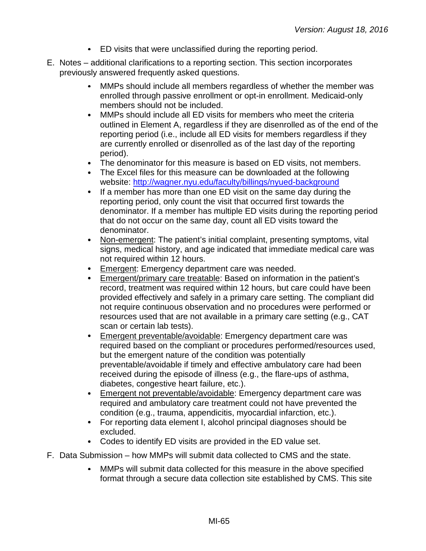- ED visits that were unclassified during the reporting period.
- E. Notes additional clarifications to a reporting section. This section incorporates previously answered frequently asked questions.
	- MMPs should include all members regardless of whether the member was  $\bullet$ enrolled through passive enrollment or opt-in enrollment. Medicaid-only members should not be included.
	- $\bullet$ MMPs should include all ED visits for members who meet the criteria outlined in Element A, regardless if they are disenrolled as of the end of the reporting period (i.e., include all ED visits for members regardless if they are currently enrolled or disenrolled as of the last day of the reporting period).
	- The denominator for this measure is based on ED visits, not members.
	- The Excel files for this measure can be downloaded at the following website:<http://wagner.nyu.edu/faculty/billings/nyued-background>
	- $\bullet$ If a member has more than one ED visit on the same day during the reporting period, only count the visit that occurred first towards the denominator. If a member has multiple ED visits during the reporting period that do not occur on the same day, count all ED visits toward the denominator.
	- Non-emergent: The patient's initial complaint, presenting symptoms, vital  $\bullet$ signs, medical history, and age indicated that immediate medical care was not required within 12 hours.
	- Emergent: Emergency department care was needed.
	- Emergent/primary care treatable: Based on information in the patient's record, treatment was required within 12 hours, but care could have been provided effectively and safely in a primary care setting. The compliant did not require continuous observation and no procedures were performed or resources used that are not available in a primary care setting (e.g., CAT scan or certain lab tests).
	- Emergent preventable/avoidable: Emergency department care was  $\bullet$ required based on the compliant or procedures performed/resources used, but the emergent nature of the condition was potentially preventable/avoidable if timely and effective ambulatory care had been received during the episode of illness (e.g., the flare-ups of asthma, diabetes, congestive heart failure, etc.).
	- **Emergent not preventable/avoidable:** Emergency department care was required and ambulatory care treatment could not have prevented the condition (e.g., trauma, appendicitis, myocardial infarction, etc.).
	- For reporting data element I, alcohol principal diagnoses should be excluded.
	- Codes to identify ED visits are provided in the ED value set.
- F. Data Submission how MMPs will submit data collected to CMS and the state.
	- $\bullet$ MMPs will submit data collected for this measure in the above specified format through a secure data collection site established by CMS. This site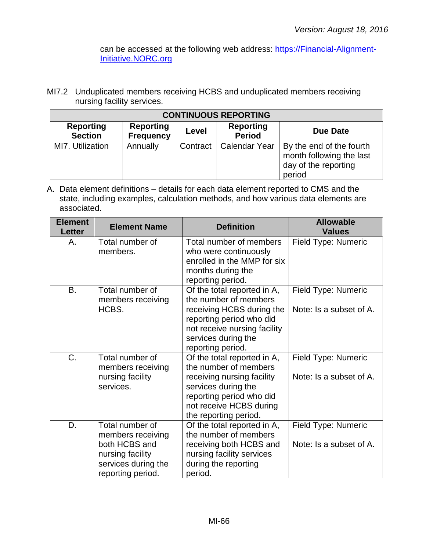can be accessed at the following web address: [https://Financial-Alignment-](https://financial-alignment-initiative.norc.org/)[Initiative.NORC.org](https://financial-alignment-initiative.norc.org/)

MI7.2 Unduplicated members receiving HCBS and unduplicated members receiving nursing facility services.

| <b>CONTINUOUS REPORTING</b>        |                                      |          |                            |                                                                                        |  |
|------------------------------------|--------------------------------------|----------|----------------------------|----------------------------------------------------------------------------------------|--|
| <b>Reporting</b><br><b>Section</b> | <b>Reporting</b><br><b>Frequency</b> | Level    | Reporting<br><b>Period</b> | Due Date                                                                               |  |
| MI7. Utilization                   | Annually                             | Contract | <b>Calendar Year</b>       | By the end of the fourth<br>month following the last<br>day of the reporting<br>period |  |

| <b>Element</b><br><b>Letter</b> | <b>Element Name</b>                                                                                                   | <b>Definition</b>                                                                                                                                                                         | <b>Allowable</b><br><b>Values</b>                     |
|---------------------------------|-----------------------------------------------------------------------------------------------------------------------|-------------------------------------------------------------------------------------------------------------------------------------------------------------------------------------------|-------------------------------------------------------|
| А.                              | Total number of<br>members.                                                                                           | Total number of members<br>who were continuously<br>enrolled in the MMP for six<br>months during the<br>reporting period.                                                                 | <b>Field Type: Numeric</b>                            |
| <b>B.</b>                       | Total number of<br>members receiving<br>HCBS.                                                                         | Of the total reported in A,<br>the number of members<br>receiving HCBS during the<br>reporting period who did<br>not receive nursing facility<br>services during the<br>reporting period. | Field Type: Numeric<br>Note: Is a subset of A.        |
| C.                              | Total number of<br>members receiving<br>nursing facility<br>services.                                                 | Of the total reported in A,<br>the number of members<br>receiving nursing facility<br>services during the<br>reporting period who did<br>not receive HCBS during<br>the reporting period. | Field Type: Numeric<br>Note: Is a subset of A.        |
| D.                              | Total number of<br>members receiving<br>both HCBS and<br>nursing facility<br>services during the<br>reporting period. | Of the total reported in A,<br>the number of members<br>receiving both HCBS and<br>nursing facility services<br>during the reporting<br>period.                                           | <b>Field Type: Numeric</b><br>Note: Is a subset of A. |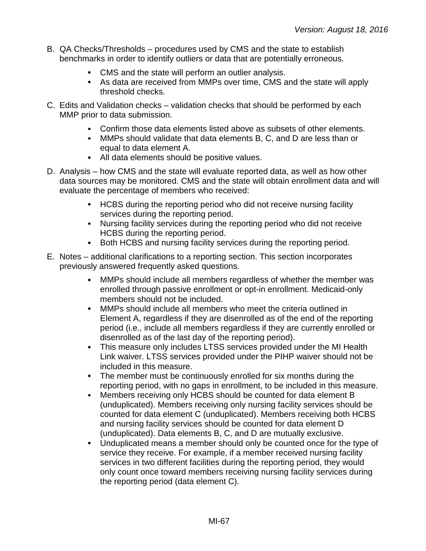- B. QA Checks/Thresholds procedures used by CMS and the state to establish benchmarks in order to identify outliers or data that are potentially erroneous.
	- CMS and the state will perform an outlier analysis.
	- As data are received from MMPs over time, CMS and the state will apply threshold checks.
- C. Edits and Validation checks validation checks that should be performed by each MMP prior to data submission.
	- Confirm those data elements listed above as subsets of other elements.
	- MMPs should validate that data elements B, C, and D are less than or equal to data element A.
	- All data elements should be positive values.
- D. Analysis how CMS and the state will evaluate reported data, as well as how other data sources may be monitored. CMS and the state will obtain enrollment data and will evaluate the percentage of members who received:
	- HCBS during the reporting period who did not receive nursing facility services during the reporting period.
	- Nursing facility services during the reporting period who did not receive HCBS during the reporting period.
	- Both HCBS and nursing facility services during the reporting period.
- E. Notes additional clarifications to a reporting section. This section incorporates previously answered frequently asked questions.
	- $\bullet$ MMPs should include all members regardless of whether the member was enrolled through passive enrollment or opt-in enrollment. Medicaid-only members should not be included.
	- $\bullet$ MMPs should include all members who meet the criteria outlined in Element A, regardless if they are disenrolled as of the end of the reporting period (i.e., include all members regardless if they are currently enrolled or disenrolled as of the last day of the reporting period).
	- This measure only includes LTSS services provided under the MI Health  $\bullet$ Link waiver. LTSS services provided under the PIHP waiver should not be included in this measure.
	- The member must be continuously enrolled for six months during the reporting period, with no gaps in enrollment, to be included in this measure.
	- Members receiving only HCBS should be counted for data element B  $\bullet$ (unduplicated). Members receiving only nursing facility services should be counted for data element C (unduplicated). Members receiving both HCBS and nursing facility services should be counted for data element D (unduplicated). Data elements B, C, and D are mutually exclusive.
	- $\bullet$ Unduplicated means a member should only be counted once for the type of service they receive. For example, if a member received nursing facility services in two different facilities during the reporting period, they would only count once toward members receiving nursing facility services during the reporting period (data element C).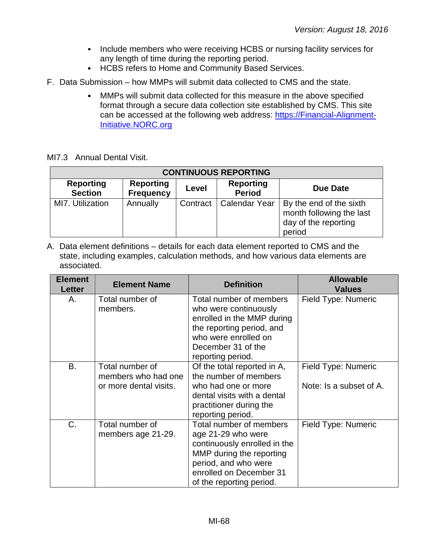- Include members who were receiving HCBS or nursing facility services for any length of time during the reporting period.
- HCBS refers to Home and Community Based Services.
- F. Data Submission how MMPs will submit data collected to CMS and the state.
	- MMPs will submit data collected for this measure in the above specified  $\bullet$ format through a secure data collection site established by CMS. This site can be accessed at the following web address: [https://Financial-Alignment-](https://financial-alignment-initiative.norc.org/)[Initiative.NORC.org](https://financial-alignment-initiative.norc.org/)

MI7.3 Annual Dental Visit.

| <b>CONTINUOUS REPORTING</b>        |                                      |          |                                   |                                                                                       |  |  |
|------------------------------------|--------------------------------------|----------|-----------------------------------|---------------------------------------------------------------------------------------|--|--|
| <b>Reporting</b><br><b>Section</b> | <b>Reporting</b><br><b>Frequency</b> | Level    | <b>Reporting</b><br><b>Period</b> | Due Date                                                                              |  |  |
| MI7. Utilization                   | Annually                             | Contract | Calendar Year                     | By the end of the sixth<br>month following the last<br>day of the reporting<br>period |  |  |

| <b>Element</b><br><b>Letter</b> | <b>Element Name</b>                                              | <b>Definition</b>                                                                                                                                                                        | <b>Allowable</b><br><b>Values</b>              |
|---------------------------------|------------------------------------------------------------------|------------------------------------------------------------------------------------------------------------------------------------------------------------------------------------------|------------------------------------------------|
| Α.                              | Total number of<br>members.                                      | Total number of members<br>who were continuously<br>enrolled in the MMP during<br>the reporting period, and<br>who were enrolled on<br>December 31 of the<br>reporting period.           | Field Type: Numeric                            |
| <b>B.</b>                       | Total number of<br>members who had one<br>or more dental visits. | Of the total reported in A,<br>the number of members<br>who had one or more<br>dental visits with a dental<br>practitioner during the<br>reporting period.                               | Field Type: Numeric<br>Note: Is a subset of A. |
| C.                              | Total number of<br>members age 21-29.                            | Total number of members<br>age 21-29 who were<br>continuously enrolled in the<br>MMP during the reporting<br>period, and who were<br>enrolled on December 31<br>of the reporting period. | Field Type: Numeric                            |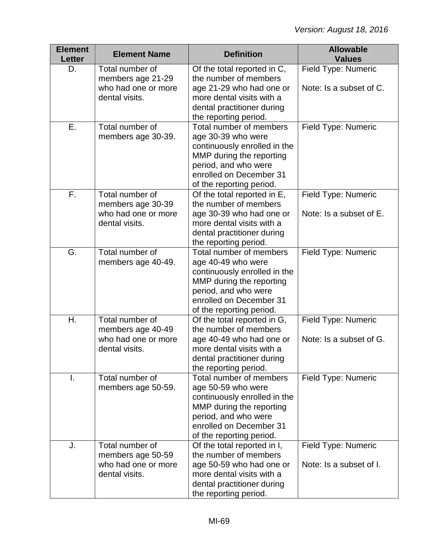| <b>Element</b><br><b>Letter</b> | <b>Element Name</b>                                                           | <b>Definition</b>                                                                                                                                                                        | <b>Allowable</b><br><b>Values</b>              |
|---------------------------------|-------------------------------------------------------------------------------|------------------------------------------------------------------------------------------------------------------------------------------------------------------------------------------|------------------------------------------------|
| D.                              | Total number of<br>members age 21-29                                          | Of the total reported in C,<br>the number of members                                                                                                                                     | Field Type: Numeric                            |
|                                 | who had one or more<br>dental visits.                                         | age 21-29 who had one or<br>more dental visits with a<br>dental practitioner during<br>the reporting period.                                                                             | Note: Is a subset of C.                        |
| Ε.                              | Total number of<br>members age 30-39.                                         | Total number of members<br>age 30-39 who were<br>continuously enrolled in the<br>MMP during the reporting<br>period, and who were<br>enrolled on December 31<br>of the reporting period. | Field Type: Numeric                            |
| F.                              | Total number of<br>members age 30-39<br>who had one or more<br>dental visits. | Of the total reported in E,<br>the number of members<br>age 30-39 who had one or<br>more dental visits with a<br>dental practitioner during<br>the reporting period.                     | Field Type: Numeric<br>Note: Is a subset of E. |
| G.                              | Total number of<br>members age 40-49.                                         | Total number of members<br>age 40-49 who were<br>continuously enrolled in the<br>MMP during the reporting<br>period, and who were<br>enrolled on December 31<br>of the reporting period. | Field Type: Numeric                            |
| Η.                              | Total number of<br>members age 40-49<br>who had one or more<br>dental visits. | Of the total reported in G,<br>the number of members<br>age 40-49 who had one or<br>more dental visits with a<br>dental practitioner during<br>the reporting period.                     | Field Type: Numeric<br>Note: Is a subset of G. |
| I.                              | Total number of<br>members age 50-59.                                         | Total number of members<br>age 50-59 who were<br>continuously enrolled in the<br>MMP during the reporting<br>period, and who were<br>enrolled on December 31<br>of the reporting period. | Field Type: Numeric                            |
| J.                              | Total number of<br>members age 50-59<br>who had one or more<br>dental visits. | Of the total reported in I,<br>the number of members<br>age 50-59 who had one or<br>more dental visits with a<br>dental practitioner during<br>the reporting period.                     | Field Type: Numeric<br>Note: Is a subset of I. |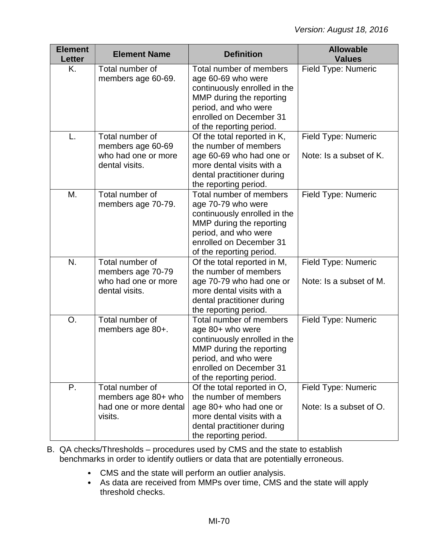| <b>Element</b><br><b>Letter</b> | <b>Element Name</b>                                                           | <b>Definition</b>                                                                                                                                                                        | <b>Allowable</b><br><b>Values</b>              |
|---------------------------------|-------------------------------------------------------------------------------|------------------------------------------------------------------------------------------------------------------------------------------------------------------------------------------|------------------------------------------------|
| K.                              | Total number of<br>members age 60-69.                                         | Total number of members<br>age 60-69 who were<br>continuously enrolled in the<br>MMP during the reporting<br>period, and who were<br>enrolled on December 31<br>of the reporting period. | Field Type: Numeric                            |
| L.                              | Total number of<br>members age 60-69<br>who had one or more<br>dental visits. | Of the total reported in K,<br>the number of members<br>age 60-69 who had one or<br>more dental visits with a<br>dental practitioner during<br>the reporting period.                     | Field Type: Numeric<br>Note: Is a subset of K. |
| Μ.                              | Total number of<br>members age 70-79.                                         | Total number of members<br>age 70-79 who were<br>continuously enrolled in the<br>MMP during the reporting<br>period, and who were<br>enrolled on December 31<br>of the reporting period. | Field Type: Numeric                            |
| N.                              | Total number of<br>members age 70-79<br>who had one or more<br>dental visits. | Of the total reported in M,<br>the number of members<br>age 70-79 who had one or<br>more dental visits with a<br>dental practitioner during<br>the reporting period.                     | Field Type: Numeric<br>Note: Is a subset of M. |
| O.                              | Total number of<br>members age 80+.                                           | Total number of members<br>age 80+ who were<br>continuously enrolled in the<br>MMP during the reporting<br>period, and who were<br>enrolled on December 31<br>of the reporting period.   | Field Type: Numeric                            |
| P.                              | Total number of<br>members age 80+ who<br>had one or more dental<br>visits.   | Of the total reported in O,<br>the number of members<br>age 80+ who had one or<br>more dental visits with a<br>dental practitioner during<br>the reporting period.                       | Field Type: Numeric<br>Note: Is a subset of O. |

- B. QA checks/Thresholds procedures used by CMS and the state to establish benchmarks in order to identify outliers or data that are potentially erroneous.
	- CMS and the state will perform an outlier analysis.
	- As data are received from MMPs over time, CMS and the state will apply threshold checks.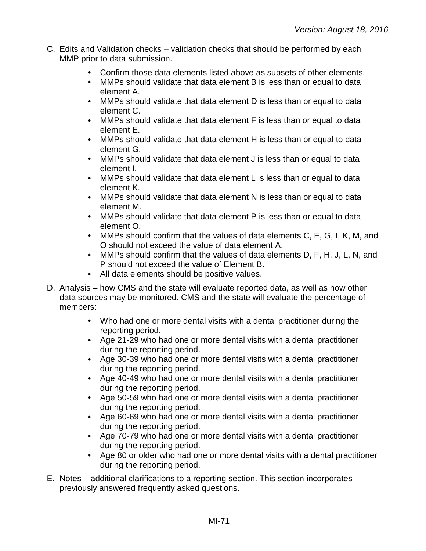- C. Edits and Validation checks validation checks that should be performed by each MMP prior to data submission.
	- Confirm those data elements listed above as subsets of other elements.  $\bullet$
	- $\bullet$ MMPs should validate that data element B is less than or equal to data element A.
	- $\bullet$ MMPs should validate that data element D is less than or equal to data element C.
	- MMPs should validate that data element F is less than or equal to data element E.
	- $\bullet$ MMPs should validate that data element H is less than or equal to data element G.
	- MMPs should validate that data element J is less than or equal to data element I.
	- $\bullet$ MMPs should validate that data element L is less than or equal to data element K.
	- $\bullet$ MMPs should validate that data element N is less than or equal to data element M.
	- MMPs should validate that data element P is less than or equal to data element O.
	- MMPs should confirm that the values of data elements C, E, G, I, K, M, and  $\bullet$ O should not exceed the value of data element A.
	- MMPs should confirm that the values of data elements D, F, H, J, L, N, and P should not exceed the value of Element B.
	- All data elements should be positive values.
- D. Analysis how CMS and the state will evaluate reported data, as well as how other data sources may be monitored. CMS and the state will evaluate the percentage of members:
	- Who had one or more dental visits with a dental practitioner during the reporting period.
	- Age 21-29 who had one or more dental visits with a dental practitioner during the reporting period.
	- Age 30-39 who had one or more dental visits with a dental practitioner during the reporting period.
	- Age 40-49 who had one or more dental visits with a dental practitioner during the reporting period.
	- Age 50-59 who had one or more dental visits with a dental practitioner during the reporting period.
	- Age 60-69 who had one or more dental visits with a dental practitioner during the reporting period.
	- Age 70-79 who had one or more dental visits with a dental practitioner during the reporting period.
	- Age 80 or older who had one or more dental visits with a dental practitioner during the reporting period.
- E. Notes additional clarifications to a reporting section. This section incorporates previously answered frequently asked questions.